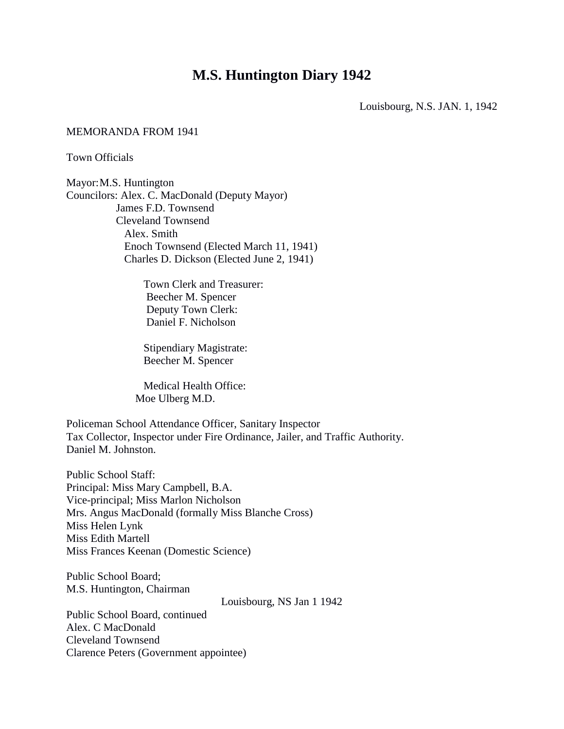# **M.S. Huntington Diary 1942**

Louisbourg, N.S. JAN. 1, 1942

#### MEMORANDA FROM 1941

Town Officials

Mayor:M.S. Huntington Councilors: Alex. C. MacDonald (Deputy Mayor) James F.D. Townsend Cleveland Townsend Alex. Smith Enoch Townsend (Elected March 11, 1941) Charles D. Dickson (Elected June 2, 1941)

> Town Clerk and Treasurer: Beecher M. Spencer Deputy Town Clerk: Daniel F. Nicholson

 Stipendiary Magistrate: Beecher M. Spencer

 Medical Health Office: Moe Ulberg M.D.

Policeman School Attendance Officer, Sanitary Inspector Tax Collector, Inspector under Fire Ordinance, Jailer, and Traffic Authority. Daniel M. Johnston.

Public School Staff: Principal: Miss Mary Campbell, B.A. Vice-principal; Miss Marlon Nicholson Mrs. Angus MacDonald (formally Miss Blanche Cross) Miss Helen Lynk Miss Edith Martell Miss Frances Keenan (Domestic Science)

Public School Board; M.S. Huntington, Chairman

Louisbourg, NS Jan 1 1942

Public School Board, continued Alex. C MacDonald Cleveland Townsend Clarence Peters (Government appointee)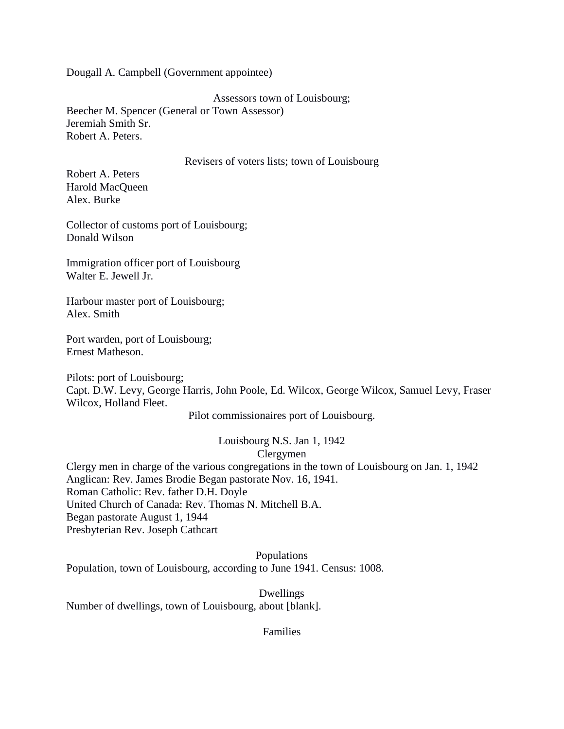Dougall A. Campbell (Government appointee)

Assessors town of Louisbourg;

Beecher M. Spencer (General or Town Assessor) Jeremiah Smith Sr. Robert A. Peters.

### Revisers of voters lists; town of Louisbourg

Robert A. Peters Harold MacQueen Alex. Burke

Collector of customs port of Louisbourg; Donald Wilson

Immigration officer port of Louisbourg Walter E. Jewell Jr.

Harbour master port of Louisbourg; Alex. Smith

Port warden, port of Louisbourg; Ernest Matheson.

Pilots: port of Louisbourg; Capt. D.W. Levy, George Harris, John Poole, Ed. Wilcox, George Wilcox, Samuel Levy, Fraser Wilcox, Holland Fleet.

Pilot commissionaires port of Louisbourg.

Louisbourg N.S. Jan 1, 1942 Clergymen

Clergy men in charge of the various congregations in the town of Louisbourg on Jan. 1, 1942 Anglican: Rev. James Brodie Began pastorate Nov. 16, 1941. Roman Catholic: Rev. father D.H. Doyle United Church of Canada: Rev. Thomas N. Mitchell B.A. Began pastorate August 1, 1944 Presbyterian Rev. Joseph Cathcart

Populations Population, town of Louisbourg, according to June 1941. Census: 1008.

Dwellings Number of dwellings, town of Louisbourg, about [blank].

Families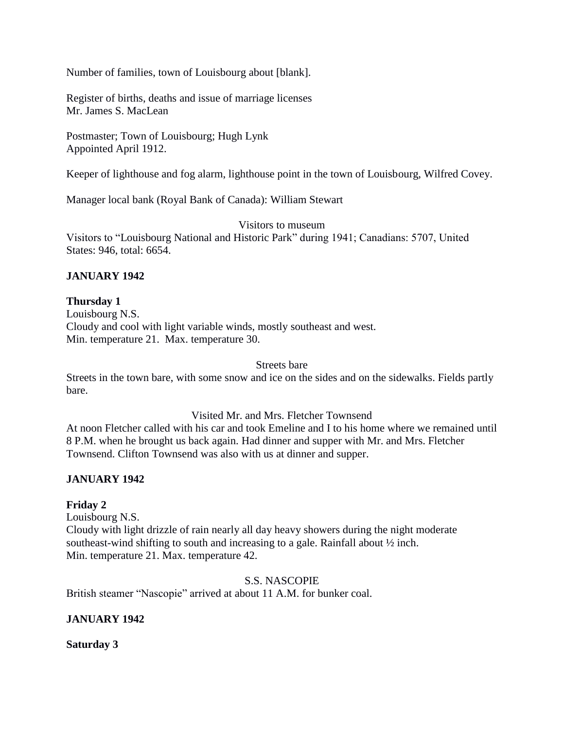Number of families, town of Louisbourg about [blank].

Register of births, deaths and issue of marriage licenses Mr. James S. MacLean

Postmaster; Town of Louisbourg; Hugh Lynk Appointed April 1912.

Keeper of lighthouse and fog alarm, lighthouse point in the town of Louisbourg, Wilfred Covey.

Manager local bank (Royal Bank of Canada): William Stewart

Visitors to museum

Visitors to "Louisbourg National and Historic Park" during 1941; Canadians: 5707, United States: 946, total: 6654.

# **JANUARY 1942**

## **Thursday 1**

Louisbourg N.S. Cloudy and cool with light variable winds, mostly southeast and west. Min. temperature 21. Max. temperature 30.

Streets bare

Streets in the town bare, with some snow and ice on the sides and on the sidewalks. Fields partly bare.

## Visited Mr. and Mrs. Fletcher Townsend

At noon Fletcher called with his car and took Emeline and I to his home where we remained until 8 P.M. when he brought us back again. Had dinner and supper with Mr. and Mrs. Fletcher Townsend. Clifton Townsend was also with us at dinner and supper.

# **JANUARY 1942**

## **Friday 2**

Louisbourg N.S. Cloudy with light drizzle of rain nearly all day heavy showers during the night moderate southeast-wind shifting to south and increasing to a gale. Rainfall about ½ inch. Min. temperature 21. Max. temperature 42.

S.S. NASCOPIE

British steamer "Nascopie" arrived at about 11 A.M. for bunker coal.

# **JANUARY 1942**

**Saturday 3**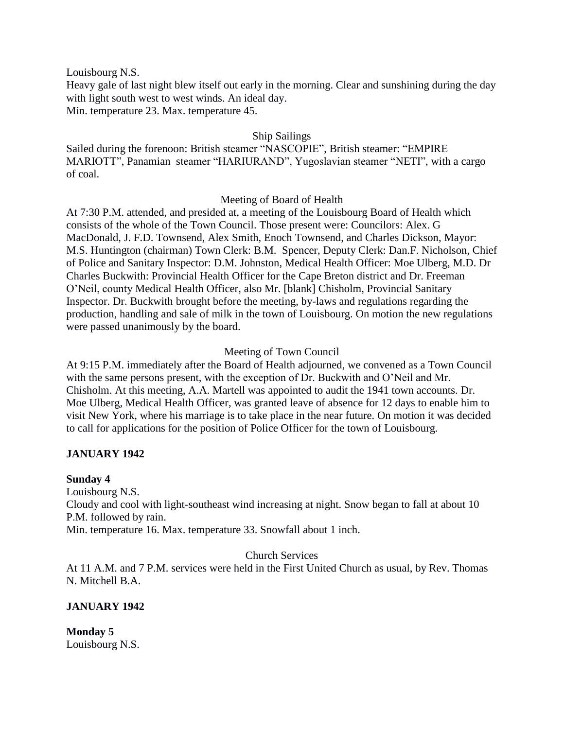Louisbourg N.S.

Heavy gale of last night blew itself out early in the morning. Clear and sunshining during the day with light south west to west winds. An ideal day.

Min. temperature 23. Max. temperature 45.

## Ship Sailings

Sailed during the forenoon: British steamer "NASCOPIE", British steamer: "EMPIRE MARIOTT", Panamian steamer "HARIURAND", Yugoslavian steamer "NETI", with a cargo of coal.

## Meeting of Board of Health

At 7:30 P.M. attended, and presided at, a meeting of the Louisbourg Board of Health which consists of the whole of the Town Council. Those present were: Councilors: Alex. G MacDonald, J. F.D. Townsend, Alex Smith, Enoch Townsend, and Charles Dickson, Mayor: M.S. Huntington (chairman) Town Clerk: B.M. Spencer, Deputy Clerk: Dan.F. Nicholson, Chief of Police and Sanitary Inspector: D.M. Johnston, Medical Health Officer: Moe Ulberg, M.D. Dr Charles Buckwith: Provincial Health Officer for the Cape Breton district and Dr. Freeman O'Neil, county Medical Health Officer, also Mr. [blank] Chisholm, Provincial Sanitary Inspector. Dr. Buckwith brought before the meeting, by-laws and regulations regarding the production, handling and sale of milk in the town of Louisbourg. On motion the new regulations were passed unanimously by the board.

# Meeting of Town Council

At 9:15 P.M. immediately after the Board of Health adjourned, we convened as a Town Council with the same persons present, with the exception of Dr. Buckwith and O'Neil and Mr. Chisholm. At this meeting, A.A. Martell was appointed to audit the 1941 town accounts. Dr. Moe Ulberg, Medical Health Officer, was granted leave of absence for 12 days to enable him to visit New York, where his marriage is to take place in the near future. On motion it was decided to call for applications for the position of Police Officer for the town of Louisbourg.

# **JANUARY 1942**

# **Sunday 4**

Louisbourg N.S. Cloudy and cool with light-southeast wind increasing at night. Snow began to fall at about 10 P.M. followed by rain. Min. temperature 16. Max. temperature 33. Snowfall about 1 inch.

## Church Services

At 11 A.M. and 7 P.M. services were held in the First United Church as usual, by Rev. Thomas N. Mitchell B.A.

# **JANUARY 1942**

**Monday 5** Louisbourg N.S.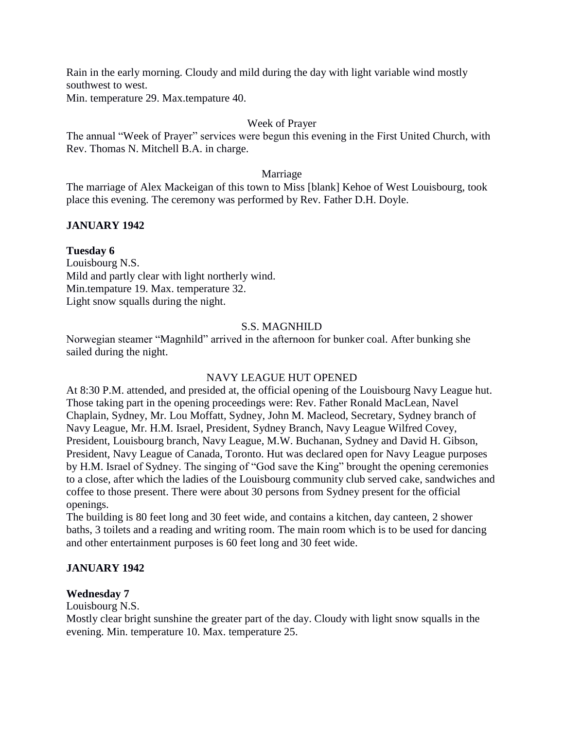Rain in the early morning. Cloudy and mild during the day with light variable wind mostly southwest to west.

Min. temperature 29. Max.tempature 40.

# Week of Prayer

The annual "Week of Prayer" services were begun this evening in the First United Church, with Rev. Thomas N. Mitchell B.A. in charge.

## Marriage

The marriage of Alex Mackeigan of this town to Miss [blank] Kehoe of West Louisbourg, took place this evening. The ceremony was performed by Rev. Father D.H. Doyle.

# **JANUARY 1942**

# **Tuesday 6**

Louisbourg N.S. Mild and partly clear with light northerly wind. Min.tempature 19. Max. temperature 32. Light snow squalls during the night.

# S.S. MAGNHILD

Norwegian steamer "Magnhild" arrived in the afternoon for bunker coal. After bunking she sailed during the night.

# NAVY LEAGUE HUT OPENED

At 8:30 P.M. attended, and presided at, the official opening of the Louisbourg Navy League hut. Those taking part in the opening proceedings were: Rev. Father Ronald MacLean, Navel Chaplain, Sydney, Mr. Lou Moffatt, Sydney, John M. Macleod, Secretary, Sydney branch of Navy League, Mr. H.M. Israel, President, Sydney Branch, Navy League Wilfred Covey, President, Louisbourg branch, Navy League, M.W. Buchanan, Sydney and David H. Gibson, President, Navy League of Canada, Toronto. Hut was declared open for Navy League purposes by H.M. Israel of Sydney. The singing of "God save the King" brought the opening ceremonies to a close, after which the ladies of the Louisbourg community club served cake, sandwiches and coffee to those present. There were about 30 persons from Sydney present for the official openings.

The building is 80 feet long and 30 feet wide, and contains a kitchen, day canteen, 2 shower baths, 3 toilets and a reading and writing room. The main room which is to be used for dancing and other entertainment purposes is 60 feet long and 30 feet wide.

# **JANUARY 1942**

# **Wednesday 7**

Louisbourg N.S.

Mostly clear bright sunshine the greater part of the day. Cloudy with light snow squalls in the evening. Min. temperature 10. Max. temperature 25.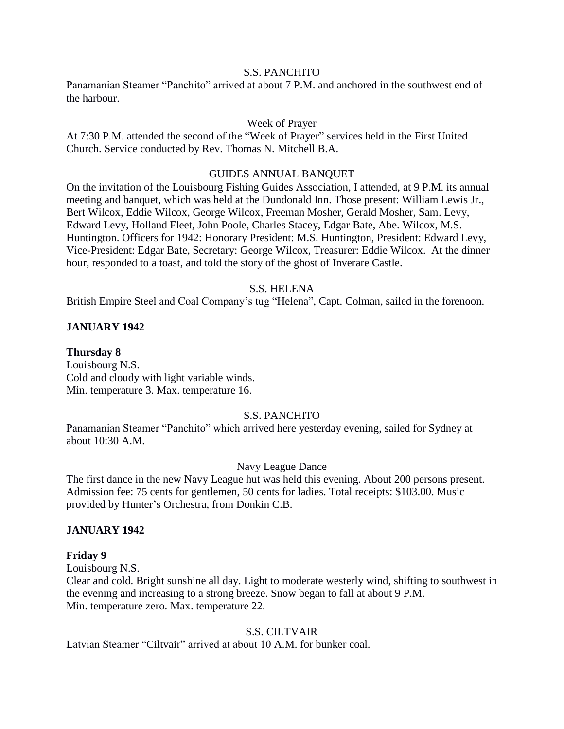## S.S. PANCHITO

Panamanian Steamer "Panchito" arrived at about 7 P.M. and anchored in the southwest end of the harbour.

## Week of Prayer

At 7:30 P.M. attended the second of the "Week of Prayer" services held in the First United Church. Service conducted by Rev. Thomas N. Mitchell B.A.

### GUIDES ANNUAL BANQUET

On the invitation of the Louisbourg Fishing Guides Association, I attended, at 9 P.M. its annual meeting and banquet, which was held at the Dundonald Inn. Those present: William Lewis Jr., Bert Wilcox, Eddie Wilcox, George Wilcox, Freeman Mosher, Gerald Mosher, Sam. Levy, Edward Levy, Holland Fleet, John Poole, Charles Stacey, Edgar Bate, Abe. Wilcox, M.S. Huntington. Officers for 1942: Honorary President: M.S. Huntington, President: Edward Levy, Vice-President: Edgar Bate, Secretary: George Wilcox, Treasurer: Eddie Wilcox. At the dinner hour, responded to a toast, and told the story of the ghost of Inverare Castle.

## S.S. HELENA

British Empire Steel and Coal Company's tug "Helena", Capt. Colman, sailed in the forenoon.

## **JANUARY 1942**

### **Thursday 8**

Louisbourg N.S. Cold and cloudy with light variable winds. Min. temperature 3. Max. temperature 16.

#### S.S. PANCHITO

Panamanian Steamer "Panchito" which arrived here yesterday evening, sailed for Sydney at about 10:30 A.M.

#### Navy League Dance

The first dance in the new Navy League hut was held this evening. About 200 persons present. Admission fee: 75 cents for gentlemen, 50 cents for ladies. Total receipts: \$103.00. Music provided by Hunter's Orchestra, from Donkin C.B.

## **JANUARY 1942**

#### **Friday 9**

Louisbourg N.S.

Clear and cold. Bright sunshine all day. Light to moderate westerly wind, shifting to southwest in the evening and increasing to a strong breeze. Snow began to fall at about 9 P.M. Min. temperature zero. Max. temperature 22.

#### S.S. CILTVAIR

Latvian Steamer "Ciltvair" arrived at about 10 A.M. for bunker coal.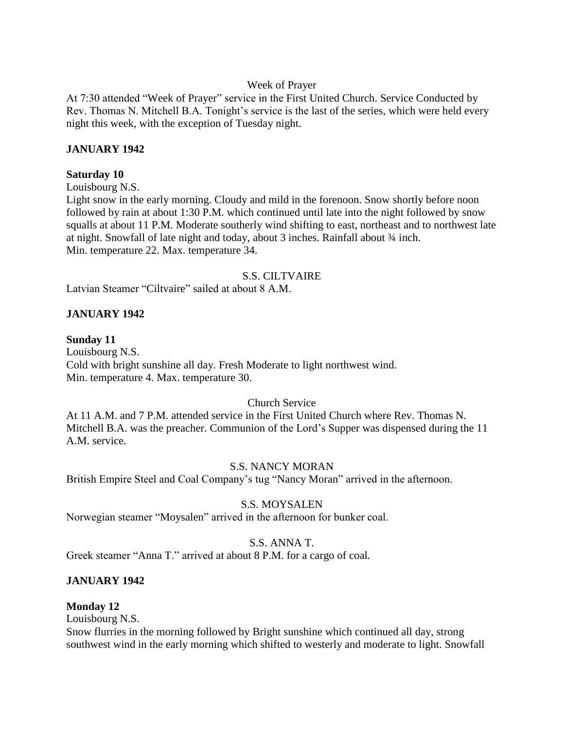## Week of Prayer

At 7:30 attended "Week of Prayer" service in the First United Church. Service Conducted by Rev. Thomas N. Mitchell B.A. Tonight's service is the last of the series, which were held every night this week, with the exception of Tuesday night.

## **JANUARY 1942**

## **Saturday 10**

Louisbourg N.S.

Light snow in the early morning. Cloudy and mild in the forenoon. Snow shortly before noon followed by rain at about 1:30 P.M. which continued until late into the night followed by snow squalls at about 11 P.M. Moderate southerly wind shifting to east, northeast and to northwest late at night. Snowfall of late night and today, about 3 inches. Rainfall about ¾ inch. Min. temperature 22. Max. temperature 34.

## S.S. CILTVAIRE

Latvian Steamer "Ciltvaire" sailed at about 8 A.M.

## **JANUARY 1942**

## **Sunday 11**

Louisbourg N.S. Cold with bright sunshine all day. Fresh Moderate to light northwest wind. Min. temperature 4. Max. temperature 30.

# Church Service

At 11 A.M. and 7 P.M. attended service in the First United Church where Rev. Thomas N. Mitchell B.A. was the preacher. Communion of the Lord's Supper was dispensed during the 11 A.M. service.

## S.S. NANCY MORAN

British Empire Steel and Coal Company's tug "Nancy Moran" arrived in the afternoon.

## S.S. MOYSALEN

Norwegian steamer "Moysalen" arrived in the afternoon for bunker coal.

# S.S. ANNA T.

Greek steamer "Anna T." arrived at about 8 P.M. for a cargo of coal.

# **JANUARY 1942**

## **Monday 12**

Louisbourg N.S.

Snow flurries in the morning followed by Bright sunshine which continued all day, strong southwest wind in the early morning which shifted to westerly and moderate to light. Snowfall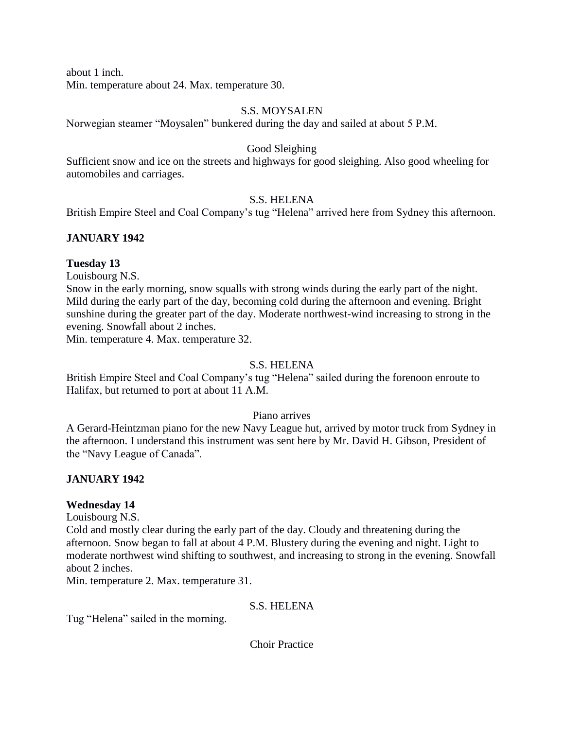about 1 inch.

Min. temperature about 24. Max. temperature 30.

## S.S. MOYSALEN

Norwegian steamer "Moysalen" bunkered during the day and sailed at about 5 P.M.

## Good Sleighing

Sufficient snow and ice on the streets and highways for good sleighing. Also good wheeling for automobiles and carriages.

## S.S. HELENA

British Empire Steel and Coal Company's tug "Helena" arrived here from Sydney this afternoon.

# **JANUARY 1942**

## **Tuesday 13**

Louisbourg N.S.

Snow in the early morning, snow squalls with strong winds during the early part of the night. Mild during the early part of the day, becoming cold during the afternoon and evening. Bright sunshine during the greater part of the day. Moderate northwest-wind increasing to strong in the evening. Snowfall about 2 inches.

Min. temperature 4. Max. temperature 32.

## S.S. HELENA

British Empire Steel and Coal Company's tug "Helena" sailed during the forenoon enroute to Halifax, but returned to port at about 11 A.M.

#### Piano arrives

A Gerard-Heintzman piano for the new Navy League hut, arrived by motor truck from Sydney in the afternoon. I understand this instrument was sent here by Mr. David H. Gibson, President of the "Navy League of Canada".

## **JANUARY 1942**

## **Wednesday 14**

Louisbourg N.S.

Cold and mostly clear during the early part of the day. Cloudy and threatening during the afternoon. Snow began to fall at about 4 P.M. Blustery during the evening and night. Light to moderate northwest wind shifting to southwest, and increasing to strong in the evening. Snowfall about 2 inches.

Min. temperature 2. Max. temperature 31.

## S.S. HELENA

Tug "Helena" sailed in the morning.

Choir Practice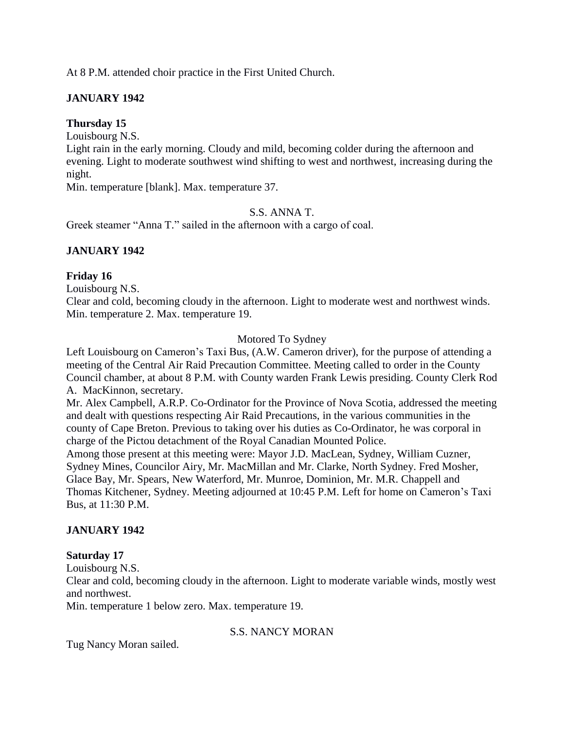At 8 P.M. attended choir practice in the First United Church.

# **JANUARY 1942**

# **Thursday 15**

Louisbourg N.S.

Light rain in the early morning. Cloudy and mild, becoming colder during the afternoon and evening. Light to moderate southwest wind shifting to west and northwest, increasing during the night.

Min. temperature [blank]. Max. temperature 37.

# S.S. ANNA T.

Greek steamer "Anna T." sailed in the afternoon with a cargo of coal.

# **JANUARY 1942**

# **Friday 16**

Louisbourg N.S.

Clear and cold, becoming cloudy in the afternoon. Light to moderate west and northwest winds. Min. temperature 2. Max. temperature 19.

## Motored To Sydney

Left Louisbourg on Cameron's Taxi Bus, (A.W. Cameron driver), for the purpose of attending a meeting of the Central Air Raid Precaution Committee. Meeting called to order in the County Council chamber, at about 8 P.M. with County warden Frank Lewis presiding. County Clerk Rod A. MacKinnon, secretary.

Mr. Alex Campbell, A.R.P. Co-Ordinator for the Province of Nova Scotia, addressed the meeting and dealt with questions respecting Air Raid Precautions, in the various communities in the county of Cape Breton. Previous to taking over his duties as Co-Ordinator, he was corporal in charge of the Pictou detachment of the Royal Canadian Mounted Police.

Among those present at this meeting were: Mayor J.D. MacLean, Sydney, William Cuzner, Sydney Mines, Councilor Airy, Mr. MacMillan and Mr. Clarke, North Sydney. Fred Mosher, Glace Bay, Mr. Spears, New Waterford, Mr. Munroe, Dominion, Mr. M.R. Chappell and Thomas Kitchener, Sydney. Meeting adjourned at 10:45 P.M. Left for home on Cameron's Taxi Bus, at 11:30 P.M.

# **JANUARY 1942**

# **Saturday 17**

Louisbourg N.S.

Clear and cold, becoming cloudy in the afternoon. Light to moderate variable winds, mostly west and northwest.

Min. temperature 1 below zero. Max. temperature 19.

# S.S. NANCY MORAN

Tug Nancy Moran sailed.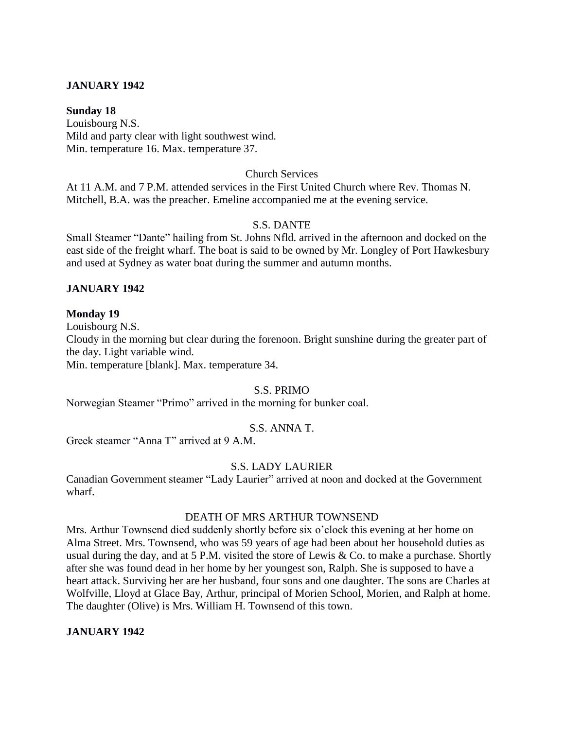## **JANUARY 1942**

### **Sunday 18**

Louisbourg N.S. Mild and party clear with light southwest wind. Min. temperature 16. Max. temperature 37.

### Church Services

At 11 A.M. and 7 P.M. attended services in the First United Church where Rev. Thomas N. Mitchell, B.A. was the preacher. Emeline accompanied me at the evening service.

## S.S. DANTE

Small Steamer "Dante" hailing from St. Johns Nfld. arrived in the afternoon and docked on the east side of the freight wharf. The boat is said to be owned by Mr. Longley of Port Hawkesbury and used at Sydney as water boat during the summer and autumn months.

## **JANUARY 1942**

## **Monday 19**

Louisbourg N.S.

Cloudy in the morning but clear during the forenoon. Bright sunshine during the greater part of the day. Light variable wind.

Min. temperature [blank]. Max. temperature 34.

## S.S. PRIMO

Norwegian Steamer "Primo" arrived in the morning for bunker coal.

## S.S. ANNA T.

Greek steamer "Anna T" arrived at 9 A.M.

## S.S. LADY LAURIER

Canadian Government steamer "Lady Laurier" arrived at noon and docked at the Government wharf.

## DEATH OF MRS ARTHUR TOWNSEND

Mrs. Arthur Townsend died suddenly shortly before six o'clock this evening at her home on Alma Street. Mrs. Townsend, who was 59 years of age had been about her household duties as usual during the day, and at 5 P.M. visited the store of Lewis & Co. to make a purchase. Shortly after she was found dead in her home by her youngest son, Ralph. She is supposed to have a heart attack. Surviving her are her husband, four sons and one daughter. The sons are Charles at Wolfville, Lloyd at Glace Bay, Arthur, principal of Morien School, Morien, and Ralph at home. The daughter (Olive) is Mrs. William H. Townsend of this town.

## **JANUARY 1942**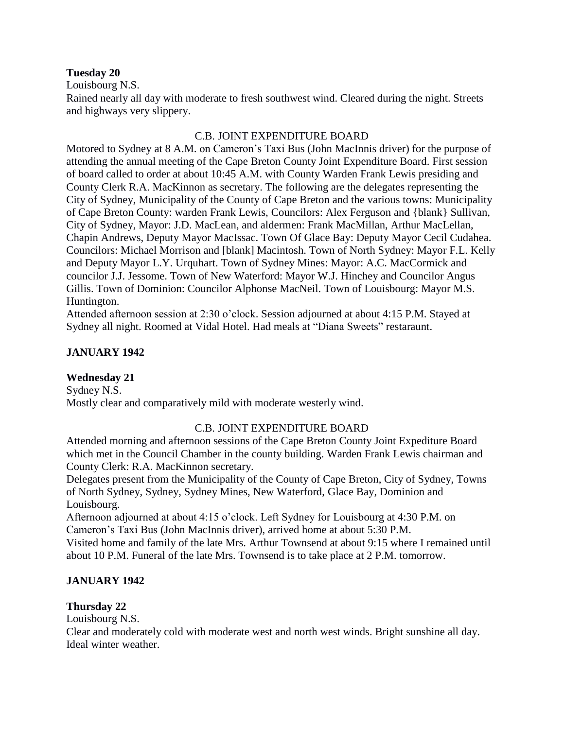### **Tuesday 20**

Louisbourg N.S.

Rained nearly all day with moderate to fresh southwest wind. Cleared during the night. Streets and highways very slippery.

## C.B. JOINT EXPENDITURE BOARD

Motored to Sydney at 8 A.M. on Cameron's Taxi Bus (John MacInnis driver) for the purpose of attending the annual meeting of the Cape Breton County Joint Expenditure Board. First session of board called to order at about 10:45 A.M. with County Warden Frank Lewis presiding and County Clerk R.A. MacKinnon as secretary. The following are the delegates representing the City of Sydney, Municipality of the County of Cape Breton and the various towns: Municipality of Cape Breton County: warden Frank Lewis, Councilors: Alex Ferguson and {blank} Sullivan, City of Sydney, Mayor: J.D. MacLean, and aldermen: Frank MacMillan, Arthur MacLellan, Chapin Andrews, Deputy Mayor MacIssac. Town Of Glace Bay: Deputy Mayor Cecil Cudahea. Councilors: Michael Morrison and [blank] Macintosh. Town of North Sydney: Mayor F.L. Kelly and Deputy Mayor L.Y. Urquhart. Town of Sydney Mines: Mayor: A.C. MacCormick and councilor J.J. Jessome. Town of New Waterford: Mayor W.J. Hinchey and Councilor Angus Gillis. Town of Dominion: Councilor Alphonse MacNeil. Town of Louisbourg: Mayor M.S. Huntington.

Attended afternoon session at 2:30 o'clock. Session adjourned at about 4:15 P.M. Stayed at Sydney all night. Roomed at Vidal Hotel. Had meals at "Diana Sweets" restaraunt.

# **JANUARY 1942**

## **Wednesday 21**

Sydney N.S. Mostly clear and comparatively mild with moderate westerly wind.

## C.B. JOINT EXPENDITURE BOARD

Attended morning and afternoon sessions of the Cape Breton County Joint Expediture Board which met in the Council Chamber in the county building. Warden Frank Lewis chairman and County Clerk: R.A. MacKinnon secretary.

Delegates present from the Municipality of the County of Cape Breton, City of Sydney, Towns of North Sydney, Sydney, Sydney Mines, New Waterford, Glace Bay, Dominion and Louisbourg.

Afternoon adjourned at about 4:15 o'clock. Left Sydney for Louisbourg at 4:30 P.M. on Cameron's Taxi Bus (John MacInnis driver), arrived home at about 5:30 P.M.

Visited home and family of the late Mrs. Arthur Townsend at about 9:15 where I remained until about 10 P.M. Funeral of the late Mrs. Townsend is to take place at 2 P.M. tomorrow.

## **JANUARY 1942**

## **Thursday 22**

Louisbourg N.S.

Clear and moderately cold with moderate west and north west winds. Bright sunshine all day. Ideal winter weather.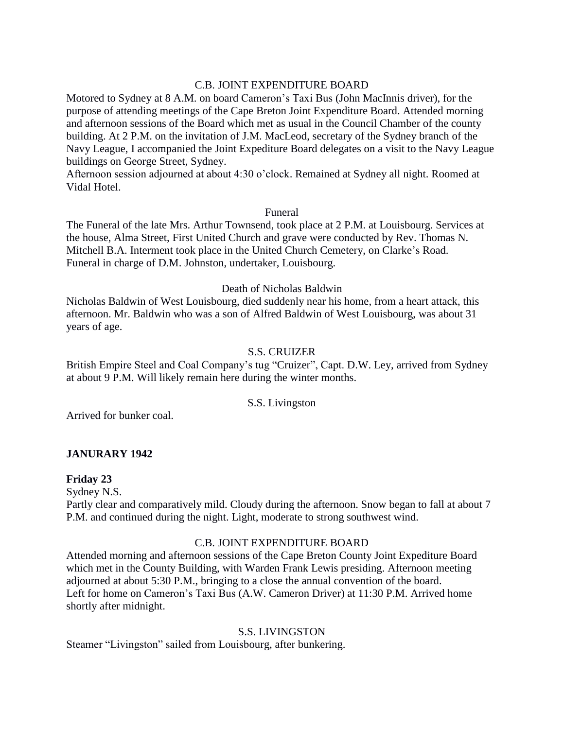## C.B. JOINT EXPENDITURE BOARD

Motored to Sydney at 8 A.M. on board Cameron's Taxi Bus (John MacInnis driver), for the purpose of attending meetings of the Cape Breton Joint Expenditure Board. Attended morning and afternoon sessions of the Board which met as usual in the Council Chamber of the county building. At 2 P.M. on the invitation of J.M. MacLeod, secretary of the Sydney branch of the Navy League, I accompanied the Joint Expediture Board delegates on a visit to the Navy League buildings on George Street, Sydney.

Afternoon session adjourned at about 4:30 o'clock. Remained at Sydney all night. Roomed at Vidal Hotel.

## Funeral

The Funeral of the late Mrs. Arthur Townsend, took place at 2 P.M. at Louisbourg. Services at the house, Alma Street, First United Church and grave were conducted by Rev. Thomas N. Mitchell B.A. Interment took place in the United Church Cemetery, on Clarke's Road. Funeral in charge of D.M. Johnston, undertaker, Louisbourg.

## Death of Nicholas Baldwin

Nicholas Baldwin of West Louisbourg, died suddenly near his home, from a heart attack, this afternoon. Mr. Baldwin who was a son of Alfred Baldwin of West Louisbourg, was about 31 years of age.

## S.S. CRUIZER

British Empire Steel and Coal Company's tug "Cruizer", Capt. D.W. Ley, arrived from Sydney at about 9 P.M. Will likely remain here during the winter months.

## S.S. Livingston

Arrived for bunker coal.

# **JANURARY 1942**

## **Friday 23**

Sydney N.S.

Partly clear and comparatively mild. Cloudy during the afternoon. Snow began to fall at about 7 P.M. and continued during the night. Light, moderate to strong southwest wind.

## C.B. JOINT EXPENDITURE BOARD

Attended morning and afternoon sessions of the Cape Breton County Joint Expediture Board which met in the County Building, with Warden Frank Lewis presiding. Afternoon meeting adjourned at about 5:30 P.M., bringing to a close the annual convention of the board. Left for home on Cameron's Taxi Bus (A.W. Cameron Driver) at 11:30 P.M. Arrived home shortly after midnight.

# S.S. LIVINGSTON

Steamer "Livingston" sailed from Louisbourg, after bunkering.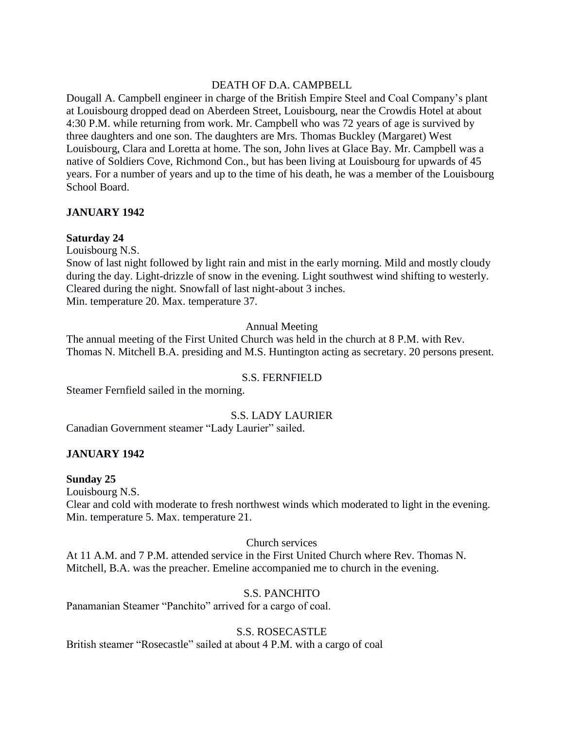# DEATH OF D.A. CAMPBELL

Dougall A. Campbell engineer in charge of the British Empire Steel and Coal Company's plant at Louisbourg dropped dead on Aberdeen Street, Louisbourg, near the Crowdis Hotel at about 4:30 P.M. while returning from work. Mr. Campbell who was 72 years of age is survived by three daughters and one son. The daughters are Mrs. Thomas Buckley (Margaret) West Louisbourg, Clara and Loretta at home. The son, John lives at Glace Bay. Mr. Campbell was a native of Soldiers Cove, Richmond Con., but has been living at Louisbourg for upwards of 45 years. For a number of years and up to the time of his death, he was a member of the Louisbourg School Board.

## **JANUARY 1942**

## **Saturday 24**

Louisbourg N.S.

Snow of last night followed by light rain and mist in the early morning. Mild and mostly cloudy during the day. Light-drizzle of snow in the evening. Light southwest wind shifting to westerly. Cleared during the night. Snowfall of last night-about 3 inches. Min. temperature 20. Max. temperature 37.

## Annual Meeting

The annual meeting of the First United Church was held in the church at 8 P.M. with Rev. Thomas N. Mitchell B.A. presiding and M.S. Huntington acting as secretary. 20 persons present.

## S.S. FERNFIELD

Steamer Fernfield sailed in the morning.

# S.S. LADY LAURIER

Canadian Government steamer "Lady Laurier" sailed.

# **JANUARY 1942**

## **Sunday 25**

Louisbourg N.S.

Clear and cold with moderate to fresh northwest winds which moderated to light in the evening. Min. temperature 5. Max. temperature 21.

## Church services

At 11 A.M. and 7 P.M. attended service in the First United Church where Rev. Thomas N. Mitchell, B.A. was the preacher. Emeline accompanied me to church in the evening.

# S.S. PANCHITO

Panamanian Steamer "Panchito" arrived for a cargo of coal.

## S.S. ROSECASTLE

British steamer "Rosecastle" sailed at about 4 P.M. with a cargo of coal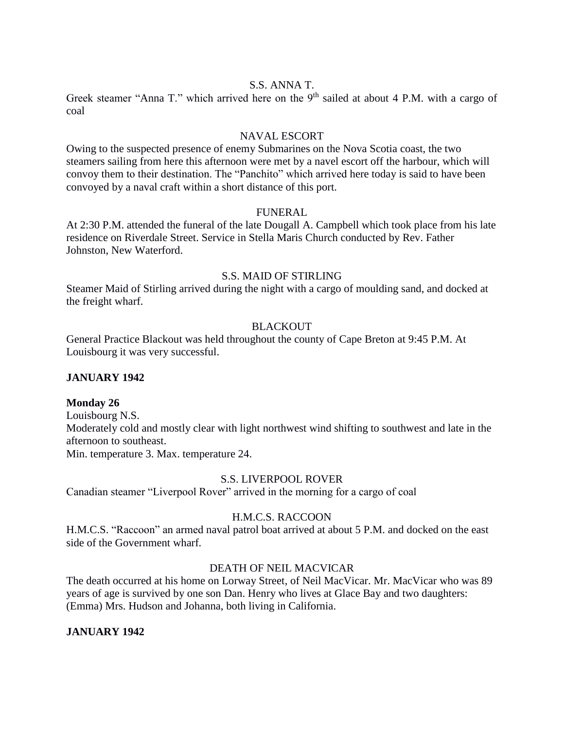## S.S. ANNA T.

Greek steamer "Anna T." which arrived here on the  $9<sup>th</sup>$  sailed at about 4 P.M. with a cargo of coal

## NAVAL ESCORT

Owing to the suspected presence of enemy Submarines on the Nova Scotia coast, the two steamers sailing from here this afternoon were met by a navel escort off the harbour, which will convoy them to their destination. The "Panchito" which arrived here today is said to have been convoyed by a naval craft within a short distance of this port.

### FUNERAL

At 2:30 P.M. attended the funeral of the late Dougall A. Campbell which took place from his late residence on Riverdale Street. Service in Stella Maris Church conducted by Rev. Father Johnston, New Waterford.

## S.S. MAID OF STIRLING

Steamer Maid of Stirling arrived during the night with a cargo of moulding sand, and docked at the freight wharf.

## **BLACKOUT**

General Practice Blackout was held throughout the county of Cape Breton at 9:45 P.M. At Louisbourg it was very successful.

## **JANUARY 1942**

## **Monday 26**

Louisbourg N.S. Moderately cold and mostly clear with light northwest wind shifting to southwest and late in the afternoon to southeast. Min. temperature 3. Max. temperature 24.

## S.S. LIVERPOOL ROVER

Canadian steamer "Liverpool Rover" arrived in the morning for a cargo of coal

# H.M.C.S. RACCOON

H.M.C.S. "Raccoon" an armed naval patrol boat arrived at about 5 P.M. and docked on the east side of the Government wharf.

## DEATH OF NEIL MACVICAR

The death occurred at his home on Lorway Street, of Neil MacVicar. Mr. MacVicar who was 89 years of age is survived by one son Dan. Henry who lives at Glace Bay and two daughters: (Emma) Mrs. Hudson and Johanna, both living in California.

# **JANUARY 1942**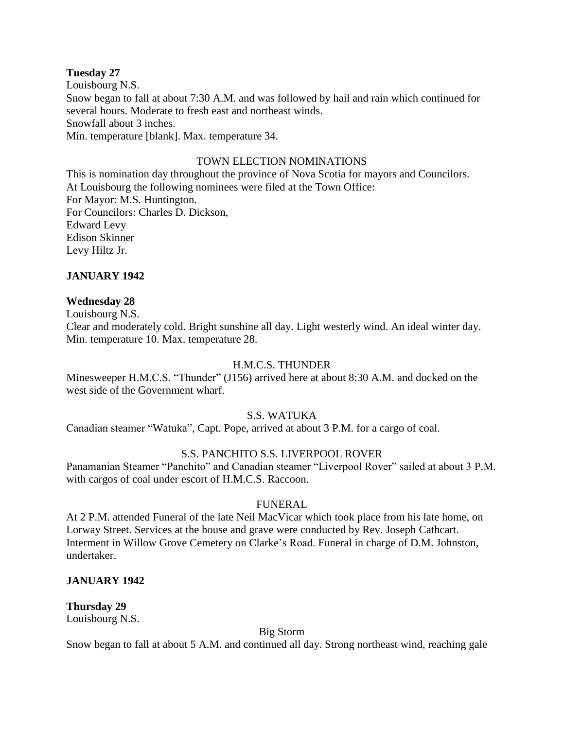### **Tuesday 27**

Louisbourg N.S. Snow began to fall at about 7:30 A.M. and was followed by hail and rain which continued for several hours. Moderate to fresh east and northeast winds. Snowfall about 3 inches. Min. temperature [blank]. Max. temperature 34.

## TOWN ELECTION NOMINATIONS

This is nomination day throughout the province of Nova Scotia for mayors and Councilors. At Louisbourg the following nominees were filed at the Town Office: For Mayor: M.S. Huntington. For Councilors: Charles D. Dickson, Edward Levy Edison Skinner Levy Hiltz Jr.

## **JANUARY 1942**

### **Wednesday 28**

Louisbourg N.S.

Clear and moderately cold. Bright sunshine all day. Light westerly wind. An ideal winter day. Min. temperature 10. Max. temperature 28.

### H.M.C.S. THUNDER

Minesweeper H.M.C.S. "Thunder" (J156) arrived here at about 8:30 A.M. and docked on the west side of the Government wharf.

#### S.S. WATUKA

Canadian steamer "Watuka", Capt. Pope, arrived at about 3 P.M. for a cargo of coal.

#### S.S. PANCHITO S.S. LIVERPOOL ROVER

Panamanian Steamer "Panchito" and Canadian steamer "Liverpool Rover" sailed at about 3 P.M. with cargos of coal under escort of H.M.C.S. Raccoon.

#### FUNERAL

At 2 P.M. attended Funeral of the late Neil MacVicar which took place from his late home, on Lorway Street. Services at the house and grave were conducted by Rev. Joseph Cathcart. Interment in Willow Grove Cemetery on Clarke's Road. Funeral in charge of D.M. Johnston, undertaker.

#### **JANUARY 1942**

**Thursday 29** Louisbourg N.S.

Big Storm

Snow began to fall at about 5 A.M. and continued all day. Strong northeast wind, reaching gale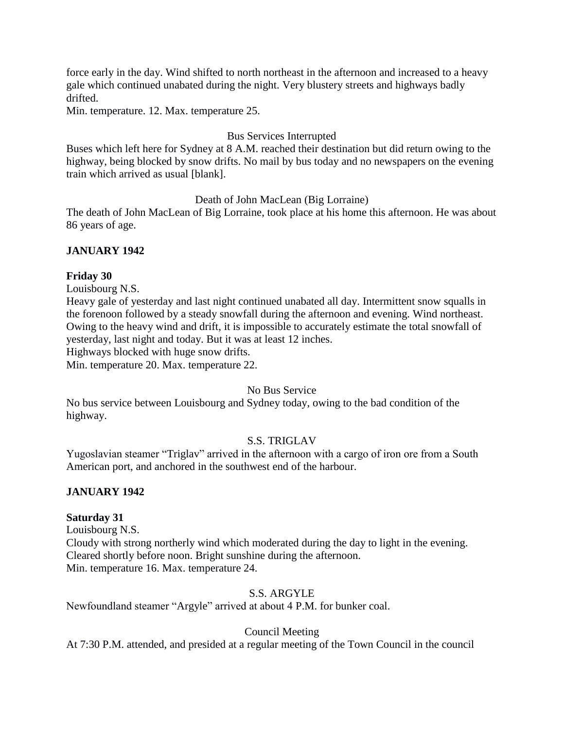force early in the day. Wind shifted to north northeast in the afternoon and increased to a heavy gale which continued unabated during the night. Very blustery streets and highways badly drifted.

Min. temperature. 12. Max. temperature 25.

## Bus Services Interrupted

Buses which left here for Sydney at 8 A.M. reached their destination but did return owing to the highway, being blocked by snow drifts. No mail by bus today and no newspapers on the evening train which arrived as usual [blank].

Death of John MacLean (Big Lorraine)

The death of John MacLean of Big Lorraine, took place at his home this afternoon. He was about 86 years of age.

## **JANUARY 1942**

## **Friday 30**

Louisbourg N.S.

Heavy gale of yesterday and last night continued unabated all day. Intermittent snow squalls in the forenoon followed by a steady snowfall during the afternoon and evening. Wind northeast. Owing to the heavy wind and drift, it is impossible to accurately estimate the total snowfall of yesterday, last night and today. But it was at least 12 inches.

Highways blocked with huge snow drifts.

Min. temperature 20. Max. temperature 22.

## No Bus Service

No bus service between Louisbourg and Sydney today, owing to the bad condition of the highway.

# S.S. TRIGLAV

Yugoslavian steamer "Triglav" arrived in the afternoon with a cargo of iron ore from a South American port, and anchored in the southwest end of the harbour.

## **JANUARY 1942**

## **Saturday 31**

Louisbourg N.S.

Cloudy with strong northerly wind which moderated during the day to light in the evening. Cleared shortly before noon. Bright sunshine during the afternoon. Min. temperature 16. Max. temperature 24.

# S.S. ARGYLE

Newfoundland steamer "Argyle" arrived at about 4 P.M. for bunker coal.

# Council Meeting

At 7:30 P.M. attended, and presided at a regular meeting of the Town Council in the council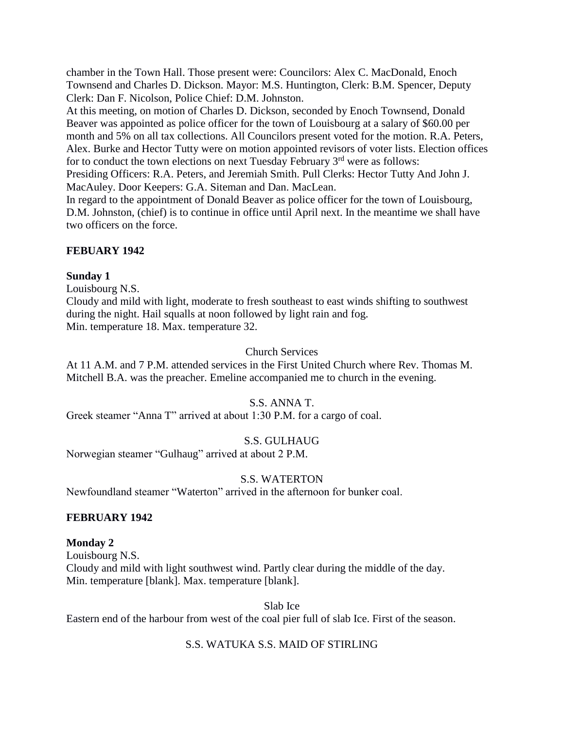chamber in the Town Hall. Those present were: Councilors: Alex C. MacDonald, Enoch Townsend and Charles D. Dickson. Mayor: M.S. Huntington, Clerk: B.M. Spencer, Deputy Clerk: Dan F. Nicolson, Police Chief: D.M. Johnston.

At this meeting, on motion of Charles D. Dickson, seconded by Enoch Townsend, Donald Beaver was appointed as police officer for the town of Louisbourg at a salary of \$60.00 per month and 5% on all tax collections. All Councilors present voted for the motion. R.A. Peters, Alex. Burke and Hector Tutty were on motion appointed revisors of voter lists. Election offices for to conduct the town elections on next Tuesday February 3<sup>rd</sup> were as follows: Presiding Officers: R.A. Peters, and Jeremiah Smith. Pull Clerks: Hector Tutty And John J.

MacAuley. Door Keepers: G.A. Siteman and Dan. MacLean.

In regard to the appointment of Donald Beaver as police officer for the town of Louisbourg, D.M. Johnston, (chief) is to continue in office until April next. In the meantime we shall have two officers on the force.

# **FEBUARY 1942**

## **Sunday 1**

Louisbourg N.S.

Cloudy and mild with light, moderate to fresh southeast to east winds shifting to southwest during the night. Hail squalls at noon followed by light rain and fog. Min. temperature 18. Max. temperature 32.

## Church Services

At 11 A.M. and 7 P.M. attended services in the First United Church where Rev. Thomas M. Mitchell B.A. was the preacher. Emeline accompanied me to church in the evening.

# S.S. ANNA T.

Greek steamer "Anna T" arrived at about 1:30 P.M. for a cargo of coal.

# S.S. GULHAUG

Norwegian steamer "Gulhaug" arrived at about 2 P.M.

# S.S. WATERTON

Newfoundland steamer "Waterton" arrived in the afternoon for bunker coal.

# **FEBRUARY 1942**

# **Monday 2**

Louisbourg N.S. Cloudy and mild with light southwest wind. Partly clear during the middle of the day. Min. temperature [blank]. Max. temperature [blank].

Slab Ice

Eastern end of the harbour from west of the coal pier full of slab Ice. First of the season.

# S.S. WATUKA S.S. MAID OF STIRLING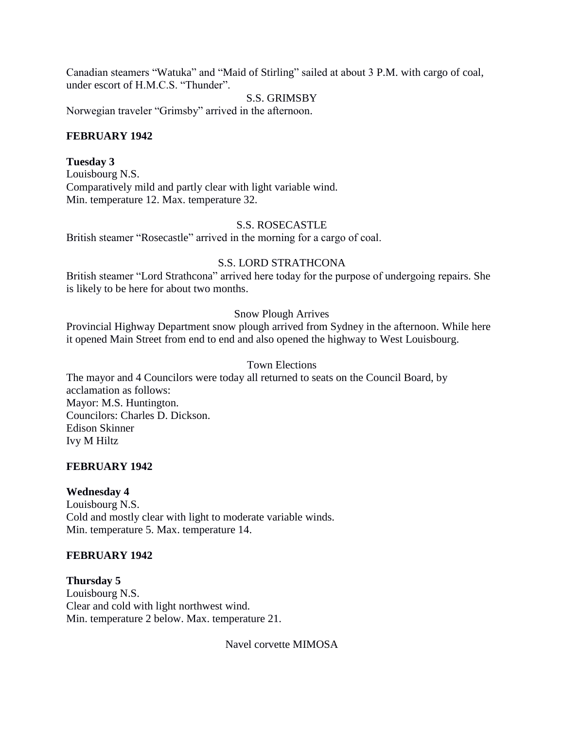Canadian steamers "Watuka" and "Maid of Stirling" sailed at about 3 P.M. with cargo of coal, under escort of H.M.C.S. "Thunder".

## S.S. GRIMSBY

Norwegian traveler "Grimsby" arrived in the afternoon.

## **FEBRUARY 1942**

## **Tuesday 3**

Louisbourg N.S. Comparatively mild and partly clear with light variable wind. Min. temperature 12. Max. temperature 32.

## S.S. ROSECASTLE

British steamer "Rosecastle" arrived in the morning for a cargo of coal.

## S.S. LORD STRATHCONA

British steamer "Lord Strathcona" arrived here today for the purpose of undergoing repairs. She is likely to be here for about two months.

## Snow Plough Arrives

Provincial Highway Department snow plough arrived from Sydney in the afternoon. While here it opened Main Street from end to end and also opened the highway to West Louisbourg.

## Town Elections

The mayor and 4 Councilors were today all returned to seats on the Council Board, by acclamation as follows: Mayor: M.S. Huntington. Councilors: Charles D. Dickson. Edison Skinner Ivy M Hiltz

## **FEBRUARY 1942**

## **Wednesday 4**

Louisbourg N.S. Cold and mostly clear with light to moderate variable winds. Min. temperature 5. Max. temperature 14.

## **FEBRUARY 1942**

**Thursday 5** Louisbourg N.S. Clear and cold with light northwest wind. Min. temperature 2 below. Max. temperature 21.

Navel corvette MIMOSA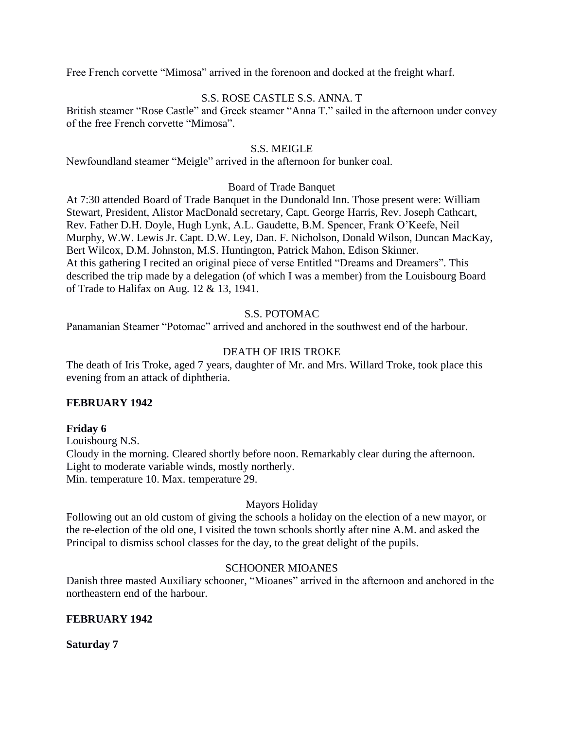Free French corvette "Mimosa" arrived in the forenoon and docked at the freight wharf.

## S.S. ROSE CASTLE S.S. ANNA. T

British steamer "Rose Castle" and Greek steamer "Anna T." sailed in the afternoon under convey of the free French corvette "Mimosa".

### S.S. MEIGLE

Newfoundland steamer "Meigle" arrived in the afternoon for bunker coal.

### Board of Trade Banquet

At 7:30 attended Board of Trade Banquet in the Dundonald Inn. Those present were: William Stewart, President, Alistor MacDonald secretary, Capt. George Harris, Rev. Joseph Cathcart, Rev. Father D.H. Doyle, Hugh Lynk, A.L. Gaudette, B.M. Spencer, Frank O'Keefe, Neil Murphy, W.W. Lewis Jr. Capt. D.W. Ley, Dan. F. Nicholson, Donald Wilson, Duncan MacKay, Bert Wilcox, D.M. Johnston, M.S. Huntington, Patrick Mahon, Edison Skinner. At this gathering I recited an original piece of verse Entitled "Dreams and Dreamers". This described the trip made by a delegation (of which I was a member) from the Louisbourg Board of Trade to Halifax on Aug. 12 & 13, 1941.

## S.S. POTOMAC

Panamanian Steamer "Potomac" arrived and anchored in the southwest end of the harbour.

## DEATH OF IRIS TROKE

The death of Iris Troke, aged 7 years, daughter of Mr. and Mrs. Willard Troke, took place this evening from an attack of diphtheria.

## **FEBRUARY 1942**

#### **Friday 6**

Louisbourg N.S. Cloudy in the morning. Cleared shortly before noon. Remarkably clear during the afternoon. Light to moderate variable winds, mostly northerly. Min. temperature 10. Max. temperature 29.

## Mayors Holiday

Following out an old custom of giving the schools a holiday on the election of a new mayor, or the re-election of the old one, I visited the town schools shortly after nine A.M. and asked the Principal to dismiss school classes for the day, to the great delight of the pupils.

## SCHOONER MIOANES

Danish three masted Auxiliary schooner, "Mioanes" arrived in the afternoon and anchored in the northeastern end of the harbour.

## **FEBRUARY 1942**

**Saturday 7**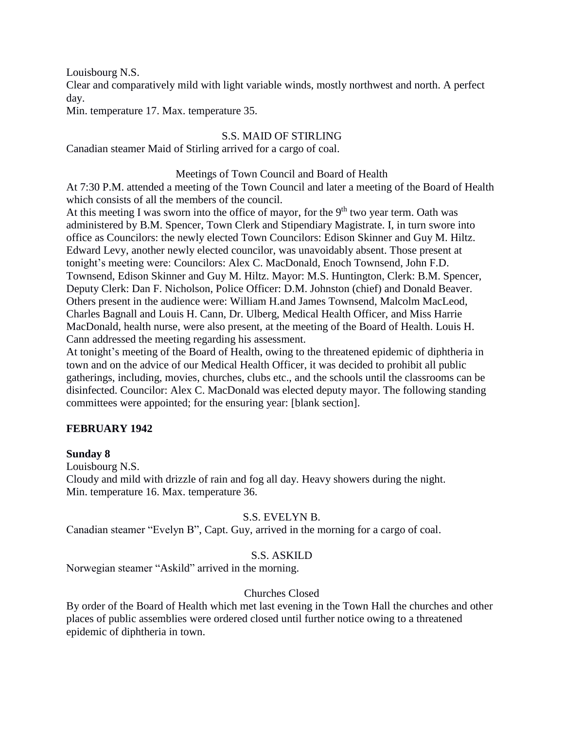Louisbourg N.S.

Clear and comparatively mild with light variable winds, mostly northwest and north. A perfect day.

Min. temperature 17. Max. temperature 35.

# S.S. MAID OF STIRLING

Canadian steamer Maid of Stirling arrived for a cargo of coal.

## Meetings of Town Council and Board of Health

At 7:30 P.M. attended a meeting of the Town Council and later a meeting of the Board of Health which consists of all the members of the council.

At this meeting I was sworn into the office of mayor, for the  $9<sup>th</sup>$  two year term. Oath was administered by B.M. Spencer, Town Clerk and Stipendiary Magistrate. I, in turn swore into office as Councilors: the newly elected Town Councilors: Edison Skinner and Guy M. Hiltz. Edward Levy, another newly elected councilor, was unavoidably absent. Those present at tonight's meeting were: Councilors: Alex C. MacDonald, Enoch Townsend, John F.D. Townsend, Edison Skinner and Guy M. Hiltz. Mayor: M.S. Huntington, Clerk: B.M. Spencer, Deputy Clerk: Dan F. Nicholson, Police Officer: D.M. Johnston (chief) and Donald Beaver. Others present in the audience were: William H.and James Townsend, Malcolm MacLeod, Charles Bagnall and Louis H. Cann, Dr. Ulberg, Medical Health Officer, and Miss Harrie MacDonald, health nurse, were also present, at the meeting of the Board of Health. Louis H. Cann addressed the meeting regarding his assessment.

At tonight's meeting of the Board of Health, owing to the threatened epidemic of diphtheria in town and on the advice of our Medical Health Officer, it was decided to prohibit all public gatherings, including, movies, churches, clubs etc., and the schools until the classrooms can be disinfected. Councilor: Alex C. MacDonald was elected deputy mayor. The following standing committees were appointed; for the ensuring year: [blank section].

# **FEBRUARY 1942**

# **Sunday 8**

Louisbourg N.S. Cloudy and mild with drizzle of rain and fog all day. Heavy showers during the night. Min. temperature 16. Max. temperature 36.

# S.S. EVELYN B.

Canadian steamer "Evelyn B", Capt. Guy, arrived in the morning for a cargo of coal.

# S.S. ASKILD

Norwegian steamer "Askild" arrived in the morning.

# Churches Closed

By order of the Board of Health which met last evening in the Town Hall the churches and other places of public assemblies were ordered closed until further notice owing to a threatened epidemic of diphtheria in town.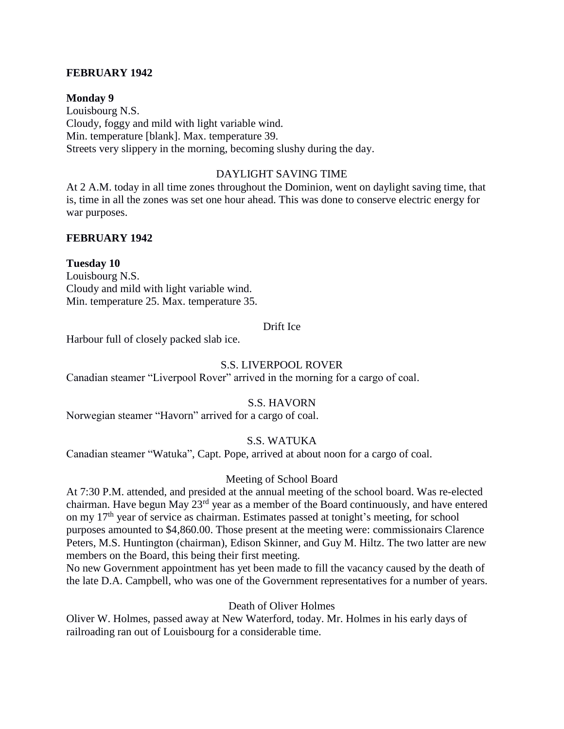## **FEBRUARY 1942**

**Monday 9** Louisbourg N.S. Cloudy, foggy and mild with light variable wind. Min. temperature [blank]. Max. temperature 39. Streets very slippery in the morning, becoming slushy during the day.

## DAYLIGHT SAVING TIME

At 2 A.M. today in all time zones throughout the Dominion, went on daylight saving time, that is, time in all the zones was set one hour ahead. This was done to conserve electric energy for war purposes.

## **FEBRUARY 1942**

## **Tuesday 10**

Louisbourg N.S. Cloudy and mild with light variable wind. Min. temperature 25. Max. temperature 35.

### Drift Ice

Harbour full of closely packed slab ice.

## S.S. LIVERPOOL ROVER

Canadian steamer "Liverpool Rover" arrived in the morning for a cargo of coal.

## S.S. HAVORN

Norwegian steamer "Havorn" arrived for a cargo of coal.

# S.S. WATUKA

Canadian steamer "Watuka", Capt. Pope, arrived at about noon for a cargo of coal.

## Meeting of School Board

At 7:30 P.M. attended, and presided at the annual meeting of the school board. Was re-elected chairman. Have begun May 23rd year as a member of the Board continuously, and have entered on my 17<sup>th</sup> year of service as chairman. Estimates passed at tonight's meeting, for school purposes amounted to \$4,860.00. Those present at the meeting were: commissionairs Clarence Peters, M.S. Huntington (chairman), Edison Skinner, and Guy M. Hiltz. The two latter are new members on the Board, this being their first meeting.

No new Government appointment has yet been made to fill the vacancy caused by the death of the late D.A. Campbell, who was one of the Government representatives for a number of years.

## Death of Oliver Holmes

Oliver W. Holmes, passed away at New Waterford, today. Mr. Holmes in his early days of railroading ran out of Louisbourg for a considerable time.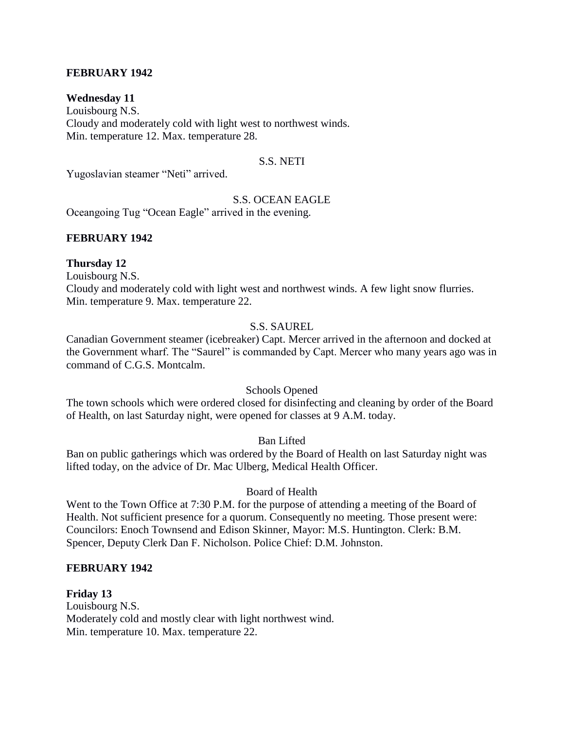## **FEBRUARY 1942**

### **Wednesday 11**

Louisbourg N.S. Cloudy and moderately cold with light west to northwest winds. Min. temperature 12. Max. temperature 28.

## S.S. NETI

Yugoslavian steamer "Neti" arrived.

### S.S. OCEAN EAGLE

Oceangoing Tug "Ocean Eagle" arrived in the evening.

### **FEBRUARY 1942**

### **Thursday 12**

Louisbourg N.S.

Cloudy and moderately cold with light west and northwest winds. A few light snow flurries. Min. temperature 9. Max. temperature 22.

# S.S. SAUREL

Canadian Government steamer (icebreaker) Capt. Mercer arrived in the afternoon and docked at the Government wharf. The "Saurel" is commanded by Capt. Mercer who many years ago was in command of C.G.S. Montcalm.

#### Schools Opened

The town schools which were ordered closed for disinfecting and cleaning by order of the Board of Health, on last Saturday night, were opened for classes at 9 A.M. today.

#### Ban Lifted

Ban on public gatherings which was ordered by the Board of Health on last Saturday night was lifted today, on the advice of Dr. Mac Ulberg, Medical Health Officer.

## Board of Health

Went to the Town Office at 7:30 P.M. for the purpose of attending a meeting of the Board of Health. Not sufficient presence for a quorum. Consequently no meeting. Those present were: Councilors: Enoch Townsend and Edison Skinner, Mayor: M.S. Huntington. Clerk: B.M. Spencer, Deputy Clerk Dan F. Nicholson. Police Chief: D.M. Johnston.

## **FEBRUARY 1942**

**Friday 13** Louisbourg N.S. Moderately cold and mostly clear with light northwest wind. Min. temperature 10. Max. temperature 22.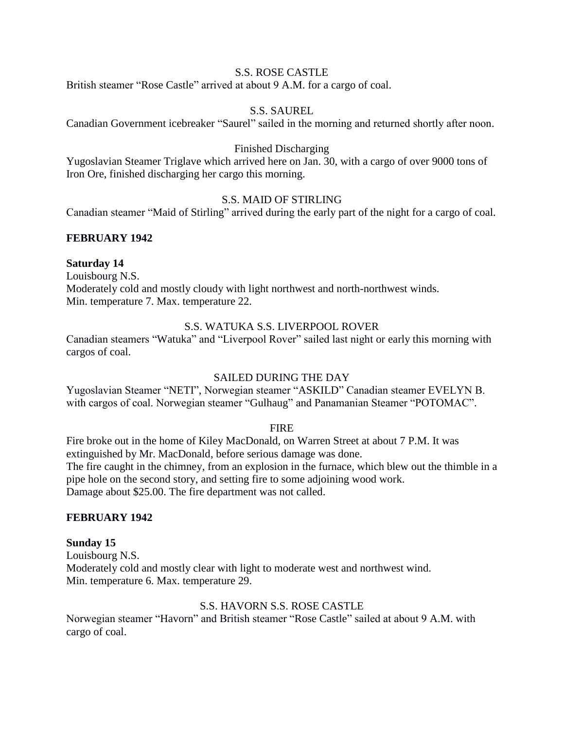### S.S. ROSE CASTLE

British steamer "Rose Castle" arrived at about 9 A.M. for a cargo of coal.

### S.S. SAUREL

Canadian Government icebreaker "Saurel" sailed in the morning and returned shortly after noon.

#### Finished Discharging

Yugoslavian Steamer Triglave which arrived here on Jan. 30, with a cargo of over 9000 tons of Iron Ore, finished discharging her cargo this morning.

## S.S. MAID OF STIRLING

Canadian steamer "Maid of Stirling" arrived during the early part of the night for a cargo of coal.

### **FEBRUARY 1942**

#### **Saturday 14**

Louisbourg N.S. Moderately cold and mostly cloudy with light northwest and north-northwest winds. Min. temperature 7. Max. temperature 22.

#### S.S. WATUKA S.S. LIVERPOOL ROVER

Canadian steamers "Watuka" and "Liverpool Rover" sailed last night or early this morning with cargos of coal.

#### SAILED DURING THE DAY

Yugoslavian Steamer "NETI", Norwegian steamer "ASKILD" Canadian steamer EVELYN B. with cargos of coal. Norwegian steamer "Gulhaug" and Panamanian Steamer "POTOMAC".

#### FIRE

Fire broke out in the home of Kiley MacDonald, on Warren Street at about 7 P.M. It was extinguished by Mr. MacDonald, before serious damage was done. The fire caught in the chimney, from an explosion in the furnace, which blew out the thimble in a pipe hole on the second story, and setting fire to some adjoining wood work. Damage about \$25.00. The fire department was not called.

#### **FEBRUARY 1942**

#### **Sunday 15**

Louisbourg N.S. Moderately cold and mostly clear with light to moderate west and northwest wind. Min. temperature 6. Max. temperature 29.

#### S.S. HAVORN S.S. ROSE CASTLE

Norwegian steamer "Havorn" and British steamer "Rose Castle" sailed at about 9 A.M. with cargo of coal.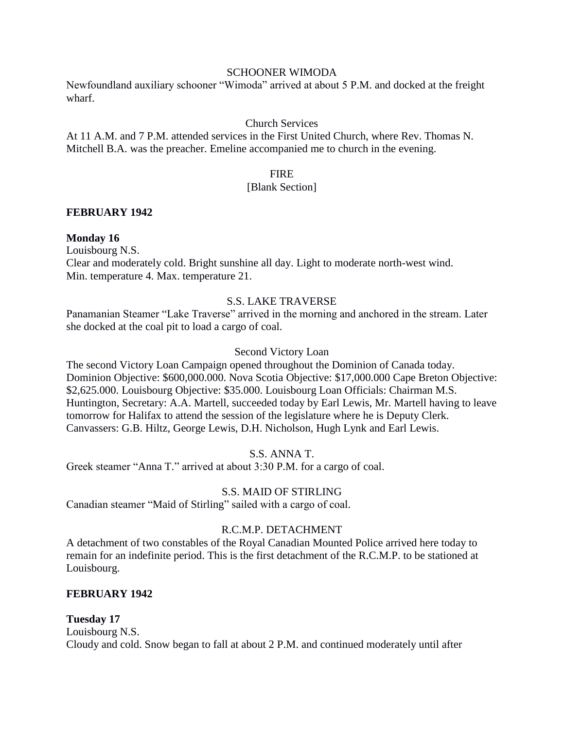### SCHOONER WIMODA

Newfoundland auxiliary schooner "Wimoda" arrived at about 5 P.M. and docked at the freight wharf.

## Church Services

At 11 A.M. and 7 P.M. attended services in the First United Church, where Rev. Thomas N. Mitchell B.A. was the preacher. Emeline accompanied me to church in the evening.

## FIRE

### [Blank Section]

## **FEBRUARY 1942**

## **Monday 16**

Louisbourg N.S. Clear and moderately cold. Bright sunshine all day. Light to moderate north-west wind. Min. temperature 4. Max. temperature 21.

## S.S. LAKE TRAVERSE

Panamanian Steamer "Lake Traverse" arrived in the morning and anchored in the stream. Later she docked at the coal pit to load a cargo of coal.

## Second Victory Loan

The second Victory Loan Campaign opened throughout the Dominion of Canada today. Dominion Objective: \$600,000.000. Nova Scotia Objective: \$17,000.000 Cape Breton Objective: \$2,625.000. Louisbourg Objective: \$35.000. Louisbourg Loan Officials: Chairman M.S. Huntington, Secretary: A.A. Martell, succeeded today by Earl Lewis, Mr. Martell having to leave tomorrow for Halifax to attend the session of the legislature where he is Deputy Clerk. Canvassers: G.B. Hiltz, George Lewis, D.H. Nicholson, Hugh Lynk and Earl Lewis.

# S.S. ANNA T.

Greek steamer "Anna T." arrived at about 3:30 P.M. for a cargo of coal.

## S.S. MAID OF STIRLING

Canadian steamer "Maid of Stirling" sailed with a cargo of coal.

## R.C.M.P. DETACHMENT

A detachment of two constables of the Royal Canadian Mounted Police arrived here today to remain for an indefinite period. This is the first detachment of the R.C.M.P. to be stationed at Louisbourg.

## **FEBRUARY 1942**

## **Tuesday 17**

Louisbourg N.S. Cloudy and cold. Snow began to fall at about 2 P.M. and continued moderately until after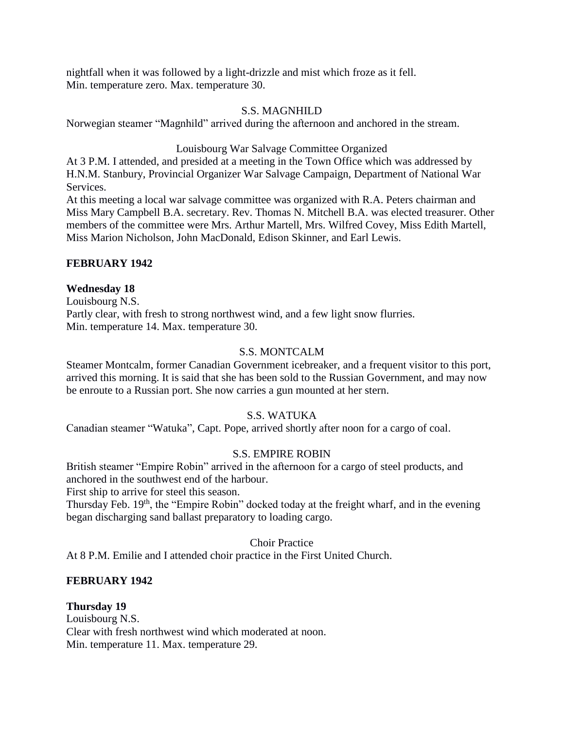nightfall when it was followed by a light-drizzle and mist which froze as it fell. Min. temperature zero. Max. temperature 30.

## S.S. MAGNHILD

Norwegian steamer "Magnhild" arrived during the afternoon and anchored in the stream.

Louisbourg War Salvage Committee Organized

At 3 P.M. I attended, and presided at a meeting in the Town Office which was addressed by H.N.M. Stanbury, Provincial Organizer War Salvage Campaign, Department of National War Services.

At this meeting a local war salvage committee was organized with R.A. Peters chairman and Miss Mary Campbell B.A. secretary. Rev. Thomas N. Mitchell B.A. was elected treasurer. Other members of the committee were Mrs. Arthur Martell, Mrs. Wilfred Covey, Miss Edith Martell, Miss Marion Nicholson, John MacDonald, Edison Skinner, and Earl Lewis.

# **FEBRUARY 1942**

# **Wednesday 18**

Louisbourg N.S. Partly clear, with fresh to strong northwest wind, and a few light snow flurries. Min. temperature 14. Max. temperature 30.

# S.S. MONTCALM

Steamer Montcalm, former Canadian Government icebreaker, and a frequent visitor to this port, arrived this morning. It is said that she has been sold to the Russian Government, and may now be enroute to a Russian port. She now carries a gun mounted at her stern.

# S.S. WATUKA

Canadian steamer "Watuka", Capt. Pope, arrived shortly after noon for a cargo of coal.

# S.S. EMPIRE ROBIN

British steamer "Empire Robin" arrived in the afternoon for a cargo of steel products, and anchored in the southwest end of the harbour.

First ship to arrive for steel this season.

Thursday Feb. 19<sup>th</sup>, the "Empire Robin" docked today at the freight wharf, and in the evening began discharging sand ballast preparatory to loading cargo.

## Choir Practice

At 8 P.M. Emilie and I attended choir practice in the First United Church.

# **FEBRUARY 1942**

## **Thursday 19**

Louisbourg N.S. Clear with fresh northwest wind which moderated at noon. Min. temperature 11. Max. temperature 29.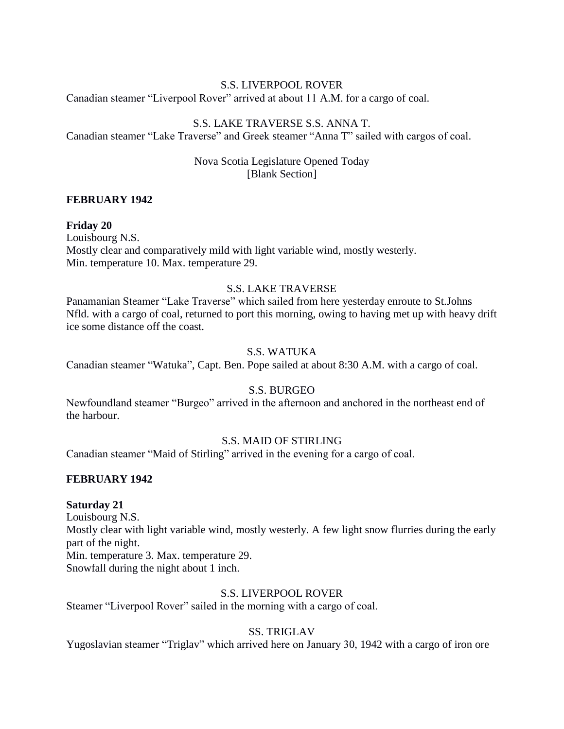## S.S. LIVERPOOL ROVER

Canadian steamer "Liverpool Rover" arrived at about 11 A.M. for a cargo of coal.

## S.S. LAKE TRAVERSE S.S. ANNA T.

Canadian steamer "Lake Traverse" and Greek steamer "Anna T" sailed with cargos of coal.

## Nova Scotia Legislature Opened Today [Blank Section]

## **FEBRUARY 1942**

### **Friday 20**

Louisbourg N.S. Mostly clear and comparatively mild with light variable wind, mostly westerly. Min. temperature 10. Max. temperature 29.

## S.S. LAKE TRAVERSE

Panamanian Steamer "Lake Traverse" which sailed from here yesterday enroute to St.Johns Nfld. with a cargo of coal, returned to port this morning, owing to having met up with heavy drift ice some distance off the coast.

## S.S. WATUKA

Canadian steamer "Watuka", Capt. Ben. Pope sailed at about 8:30 A.M. with a cargo of coal.

## S.S. BURGEO

Newfoundland steamer "Burgeo" arrived in the afternoon and anchored in the northeast end of the harbour.

## S.S. MAID OF STIRLING

Canadian steamer "Maid of Stirling" arrived in the evening for a cargo of coal.

#### **FEBRUARY 1942**

#### **Saturday 21**

Louisbourg N.S. Mostly clear with light variable wind, mostly westerly. A few light snow flurries during the early part of the night. Min. temperature 3. Max. temperature 29. Snowfall during the night about 1 inch.

### S.S. LIVERPOOL ROVER

Steamer "Liverpool Rover" sailed in the morning with a cargo of coal.

## SS. TRIGLAV

Yugoslavian steamer "Triglav" which arrived here on January 30, 1942 with a cargo of iron ore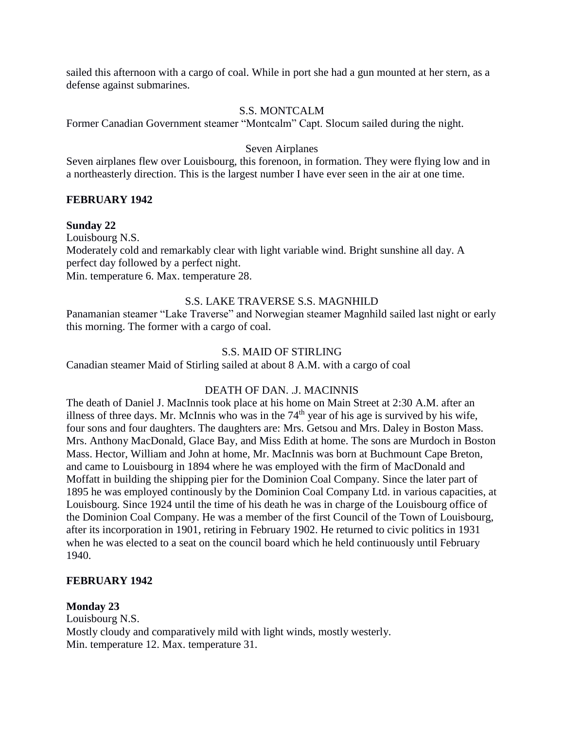sailed this afternoon with a cargo of coal. While in port she had a gun mounted at her stern, as a defense against submarines.

## S.S. MONTCALM

Former Canadian Government steamer "Montcalm" Capt. Slocum sailed during the night.

## Seven Airplanes

Seven airplanes flew over Louisbourg, this forenoon, in formation. They were flying low and in a northeasterly direction. This is the largest number I have ever seen in the air at one time.

## **FEBRUARY 1942**

## **Sunday 22**

Louisbourg N.S. Moderately cold and remarkably clear with light variable wind. Bright sunshine all day. A perfect day followed by a perfect night. Min. temperature 6. Max. temperature 28.

## S.S. LAKE TRAVERSE S.S. MAGNHILD

Panamanian steamer "Lake Traverse" and Norwegian steamer Magnhild sailed last night or early this morning. The former with a cargo of coal.

## S.S. MAID OF STIRLING

Canadian steamer Maid of Stirling sailed at about 8 A.M. with a cargo of coal

# DEATH OF DAN. .J. MACINNIS

The death of Daniel J. MacInnis took place at his home on Main Street at 2:30 A.M. after an illness of three days. Mr. McInnis who was in the  $74<sup>th</sup>$  year of his age is survived by his wife, four sons and four daughters. The daughters are: Mrs. Getsou and Mrs. Daley in Boston Mass. Mrs. Anthony MacDonald, Glace Bay, and Miss Edith at home. The sons are Murdoch in Boston Mass. Hector, William and John at home, Mr. MacInnis was born at Buchmount Cape Breton, and came to Louisbourg in 1894 where he was employed with the firm of MacDonald and Moffatt in building the shipping pier for the Dominion Coal Company. Since the later part of 1895 he was employed continously by the Dominion Coal Company Ltd. in various capacities, at Louisbourg. Since 1924 until the time of his death he was in charge of the Louisbourg office of the Dominion Coal Company. He was a member of the first Council of the Town of Louisbourg, after its incorporation in 1901, retiring in February 1902. He returned to civic politics in 1931 when he was elected to a seat on the council board which he held continuously until February 1940.

## **FEBRUARY 1942**

## **Monday 23**

Louisbourg N.S. Mostly cloudy and comparatively mild with light winds, mostly westerly. Min. temperature 12. Max. temperature 31.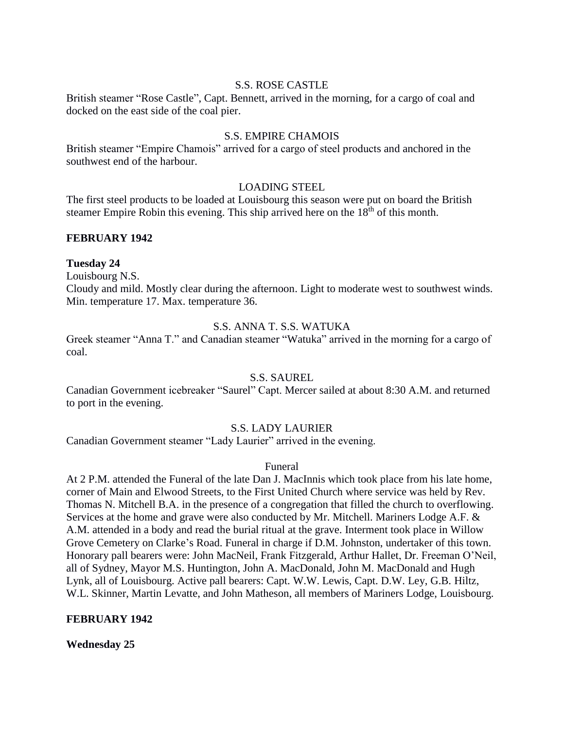#### S.S. ROSE CASTLE

British steamer "Rose Castle", Capt. Bennett, arrived in the morning, for a cargo of coal and docked on the east side of the coal pier.

#### S.S. EMPIRE CHAMOIS

British steamer "Empire Chamois" arrived for a cargo of steel products and anchored in the southwest end of the harbour.

### LOADING STEEL

The first steel products to be loaded at Louisbourg this season were put on board the British steamer Empire Robin this evening. This ship arrived here on the  $18<sup>th</sup>$  of this month.

### **FEBRUARY 1942**

#### **Tuesday 24**

Louisbourg N.S.

Cloudy and mild. Mostly clear during the afternoon. Light to moderate west to southwest winds. Min. temperature 17. Max. temperature 36.

### S.S. ANNA T. S.S. WATUKA

Greek steamer "Anna T." and Canadian steamer "Watuka" arrived in the morning for a cargo of coal.

## S.S. SAUREL

Canadian Government icebreaker "Saurel" Capt. Mercer sailed at about 8:30 A.M. and returned to port in the evening.

## S.S. LADY LAURIER

Canadian Government steamer "Lady Laurier" arrived in the evening.

#### Funeral

At 2 P.M. attended the Funeral of the late Dan J. MacInnis which took place from his late home, corner of Main and Elwood Streets, to the First United Church where service was held by Rev. Thomas N. Mitchell B.A. in the presence of a congregation that filled the church to overflowing. Services at the home and grave were also conducted by Mr. Mitchell. Mariners Lodge A.F. & A.M. attended in a body and read the burial ritual at the grave. Interment took place in Willow Grove Cemetery on Clarke's Road. Funeral in charge if D.M. Johnston, undertaker of this town. Honorary pall bearers were: John MacNeil, Frank Fitzgerald, Arthur Hallet, Dr. Freeman O'Neil, all of Sydney, Mayor M.S. Huntington, John A. MacDonald, John M. MacDonald and Hugh Lynk, all of Louisbourg. Active pall bearers: Capt. W.W. Lewis, Capt. D.W. Ley, G.B. Hiltz, W.L. Skinner, Martin Levatte, and John Matheson, all members of Mariners Lodge, Louisbourg.

#### **FEBRUARY 1942**

**Wednesday 25**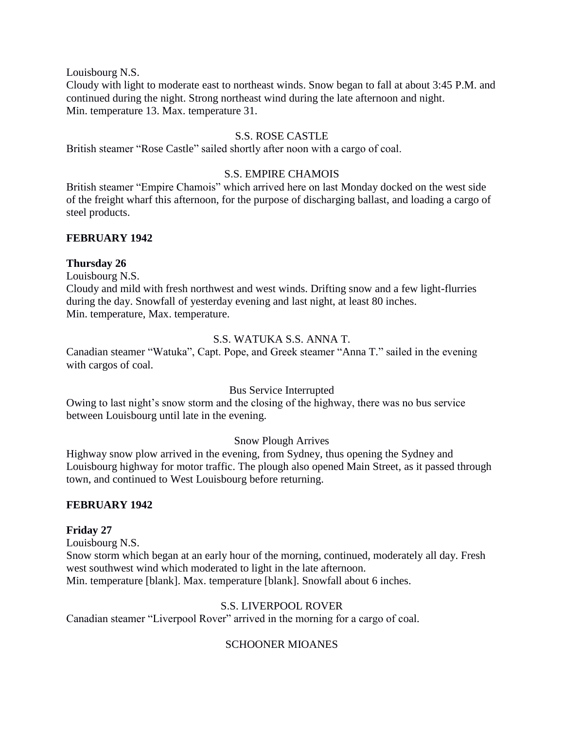Louisbourg N.S.

Cloudy with light to moderate east to northeast winds. Snow began to fall at about 3:45 P.M. and continued during the night. Strong northeast wind during the late afternoon and night. Min. temperature 13. Max. temperature 31.

## S.S. ROSE CASTLE

British steamer "Rose Castle" sailed shortly after noon with a cargo of coal.

## S.S. EMPIRE CHAMOIS

British steamer "Empire Chamois" which arrived here on last Monday docked on the west side of the freight wharf this afternoon, for the purpose of discharging ballast, and loading a cargo of steel products.

## **FEBRUARY 1942**

## **Thursday 26**

Louisbourg N.S.

Cloudy and mild with fresh northwest and west winds. Drifting snow and a few light-flurries during the day. Snowfall of yesterday evening and last night, at least 80 inches. Min. temperature, Max. temperature.

## S.S. WATUKA S.S. ANNA T.

Canadian steamer "Watuka", Capt. Pope, and Greek steamer "Anna T." sailed in the evening with cargos of coal.

## Bus Service Interrupted

Owing to last night's snow storm and the closing of the highway, there was no bus service between Louisbourg until late in the evening.

# Snow Plough Arrives

Highway snow plow arrived in the evening, from Sydney, thus opening the Sydney and Louisbourg highway for motor traffic. The plough also opened Main Street, as it passed through town, and continued to West Louisbourg before returning.

## **FEBRUARY 1942**

## **Friday 27**

Louisbourg N.S. Snow storm which began at an early hour of the morning, continued, moderately all day. Fresh west southwest wind which moderated to light in the late afternoon. Min. temperature [blank]. Max. temperature [blank]. Snowfall about 6 inches.

# S.S. LIVERPOOL ROVER

Canadian steamer "Liverpool Rover" arrived in the morning for a cargo of coal.

# SCHOONER MIOANES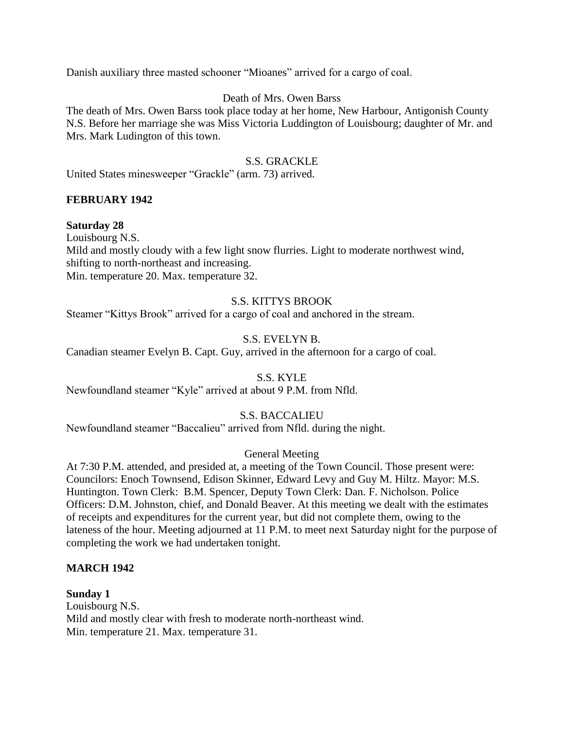Danish auxiliary three masted schooner "Mioanes" arrived for a cargo of coal.

## Death of Mrs. Owen Barss

The death of Mrs. Owen Barss took place today at her home, New Harbour, Antigonish County N.S. Before her marriage she was Miss Victoria Luddington of Louisbourg; daughter of Mr. and Mrs. Mark Ludington of this town.

### S.S. GRACKLE

United States minesweeper "Grackle" (arm. 73) arrived.

## **FEBRUARY 1942**

### **Saturday 28**

Louisbourg N.S. Mild and mostly cloudy with a few light snow flurries. Light to moderate northwest wind, shifting to north-northeast and increasing. Min. temperature 20. Max. temperature 32.

### S.S. KITTYS BROOK

Steamer "Kittys Brook" arrived for a cargo of coal and anchored in the stream.

## S.S. EVELYN B.

Canadian steamer Evelyn B. Capt. Guy, arrived in the afternoon for a cargo of coal.

#### S.S. KYLE

Newfoundland steamer "Kyle" arrived at about 9 P.M. from Nfld.

## S.S. BACCALIEU

Newfoundland steamer "Baccalieu" arrived from Nfld. during the night.

## General Meeting

At 7:30 P.M. attended, and presided at, a meeting of the Town Council. Those present were: Councilors: Enoch Townsend, Edison Skinner, Edward Levy and Guy M. Hiltz. Mayor: M.S. Huntington. Town Clerk: B.M. Spencer, Deputy Town Clerk: Dan. F. Nicholson. Police Officers: D.M. Johnston, chief, and Donald Beaver. At this meeting we dealt with the estimates of receipts and expenditures for the current year, but did not complete them, owing to the lateness of the hour. Meeting adjourned at 11 P.M. to meet next Saturday night for the purpose of completing the work we had undertaken tonight.

#### **MARCH 1942**

#### **Sunday 1**

Louisbourg N.S. Mild and mostly clear with fresh to moderate north-northeast wind. Min. temperature 21. Max. temperature 31.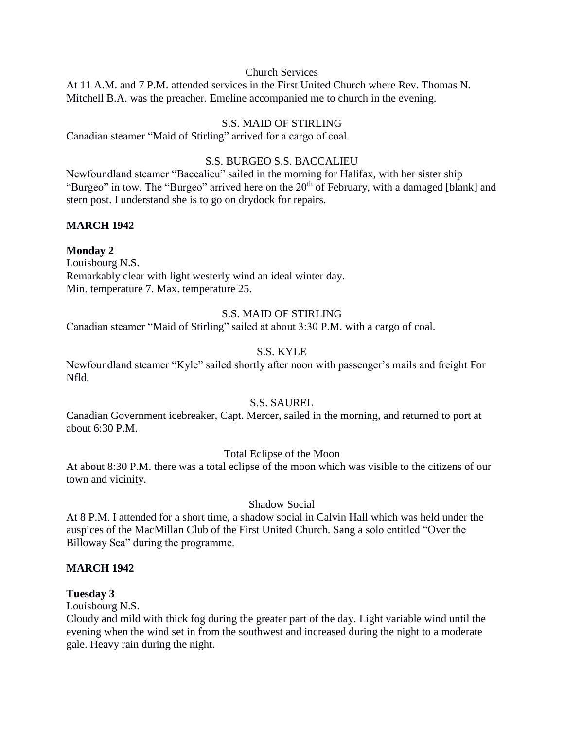## Church Services

At 11 A.M. and 7 P.M. attended services in the First United Church where Rev. Thomas N. Mitchell B.A. was the preacher. Emeline accompanied me to church in the evening.

## S.S. MAID OF STIRLING

Canadian steamer "Maid of Stirling" arrived for a cargo of coal.

## S.S. BURGEO S.S. BACCALIEU

Newfoundland steamer "Baccalieu" sailed in the morning for Halifax, with her sister ship "Burgeo" in tow. The "Burgeo" arrived here on the 20<sup>th</sup> of February, with a damaged [blank] and stern post. I understand she is to go on drydock for repairs.

## **MARCH 1942**

## **Monday 2**

Louisbourg N.S. Remarkably clear with light westerly wind an ideal winter day. Min. temperature 7. Max. temperature 25.

## S.S. MAID OF STIRLING

Canadian steamer "Maid of Stirling" sailed at about 3:30 P.M. with a cargo of coal.

## S.S. KYLE

Newfoundland steamer "Kyle" sailed shortly after noon with passenger's mails and freight For Nfld.

## S.S. SAUREL

Canadian Government icebreaker, Capt. Mercer, sailed in the morning, and returned to port at about 6:30 P.M.

## Total Eclipse of the Moon

At about 8:30 P.M. there was a total eclipse of the moon which was visible to the citizens of our town and vicinity.

## Shadow Social

At 8 P.M. I attended for a short time, a shadow social in Calvin Hall which was held under the auspices of the MacMillan Club of the First United Church. Sang a solo entitled "Over the Billoway Sea" during the programme.

## **MARCH 1942**

## **Tuesday 3**

Louisbourg N.S.

Cloudy and mild with thick fog during the greater part of the day. Light variable wind until the evening when the wind set in from the southwest and increased during the night to a moderate gale. Heavy rain during the night.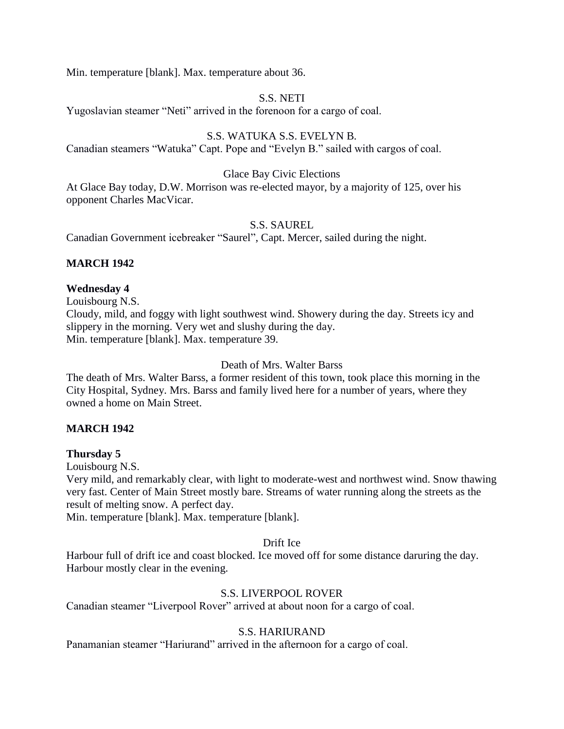Min. temperature [blank]. Max. temperature about 36.

## S.S. NETI

Yugoslavian steamer "Neti" arrived in the forenoon for a cargo of coal.

## S.S. WATUKA S.S. EVELYN B.

Canadian steamers "Watuka" Capt. Pope and "Evelyn B." sailed with cargos of coal.

### Glace Bay Civic Elections

At Glace Bay today, D.W. Morrison was re-elected mayor, by a majority of 125, over his opponent Charles MacVicar.

S.S. SAUREL

Canadian Government icebreaker "Saurel", Capt. Mercer, sailed during the night.

## **MARCH 1942**

## **Wednesday 4**

Louisbourg N.S.

Cloudy, mild, and foggy with light southwest wind. Showery during the day. Streets icy and slippery in the morning. Very wet and slushy during the day. Min. temperature [blank]. Max. temperature 39.

## Death of Mrs. Walter Barss

The death of Mrs. Walter Barss, a former resident of this town, took place this morning in the City Hospital, Sydney. Mrs. Barss and family lived here for a number of years, where they owned a home on Main Street.

## **MARCH 1942**

## **Thursday 5**

Louisbourg N.S.

Very mild, and remarkably clear, with light to moderate-west and northwest wind. Snow thawing very fast. Center of Main Street mostly bare. Streams of water running along the streets as the result of melting snow. A perfect day.

Min. temperature [blank]. Max. temperature [blank].

# Drift Ice

Harbour full of drift ice and coast blocked. Ice moved off for some distance daruring the day. Harbour mostly clear in the evening.

# S.S. LIVERPOOL ROVER

Canadian steamer "Liverpool Rover" arrived at about noon for a cargo of coal.

# S.S. HARIURAND

Panamanian steamer "Hariurand" arrived in the afternoon for a cargo of coal.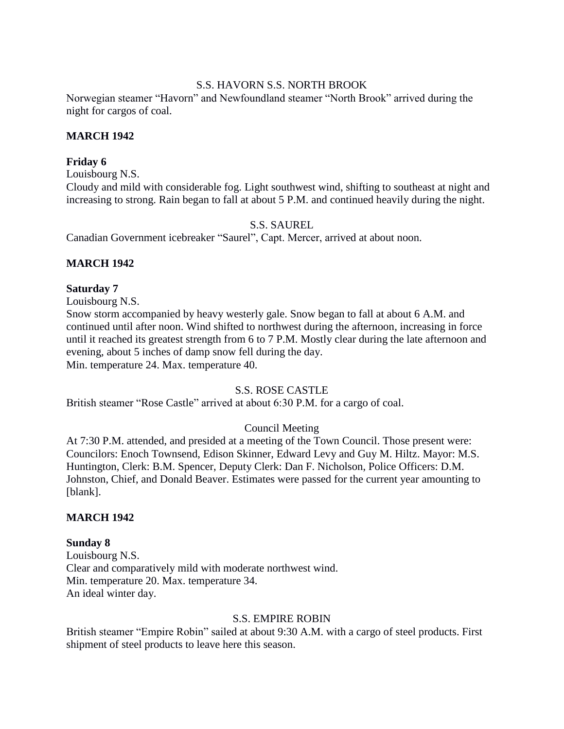## S.S. HAVORN S.S. NORTH BROOK

Norwegian steamer "Havorn" and Newfoundland steamer "North Brook" arrived during the night for cargos of coal.

## **MARCH 1942**

## **Friday 6**

Louisbourg N.S.

Cloudy and mild with considerable fog. Light southwest wind, shifting to southeast at night and increasing to strong. Rain began to fall at about 5 P.M. and continued heavily during the night.

## S.S. SAUREL

Canadian Government icebreaker "Saurel", Capt. Mercer, arrived at about noon.

## **MARCH 1942**

## **Saturday 7**

Louisbourg N.S.

Snow storm accompanied by heavy westerly gale. Snow began to fall at about 6 A.M. and continued until after noon. Wind shifted to northwest during the afternoon, increasing in force until it reached its greatest strength from 6 to 7 P.M. Mostly clear during the late afternoon and evening, about 5 inches of damp snow fell during the day. Min. temperature 24. Max. temperature 40.

## S.S. ROSE CASTLE

British steamer "Rose Castle" arrived at about 6:30 P.M. for a cargo of coal.

# Council Meeting

At 7:30 P.M. attended, and presided at a meeting of the Town Council. Those present were: Councilors: Enoch Townsend, Edison Skinner, Edward Levy and Guy M. Hiltz. Mayor: M.S. Huntington, Clerk: B.M. Spencer, Deputy Clerk: Dan F. Nicholson, Police Officers: D.M. Johnston, Chief, and Donald Beaver. Estimates were passed for the current year amounting to [blank].

## **MARCH 1942**

## **Sunday 8**

Louisbourg N.S. Clear and comparatively mild with moderate northwest wind. Min. temperature 20. Max. temperature 34. An ideal winter day.

# S.S. EMPIRE ROBIN

British steamer "Empire Robin" sailed at about 9:30 A.M. with a cargo of steel products. First shipment of steel products to leave here this season.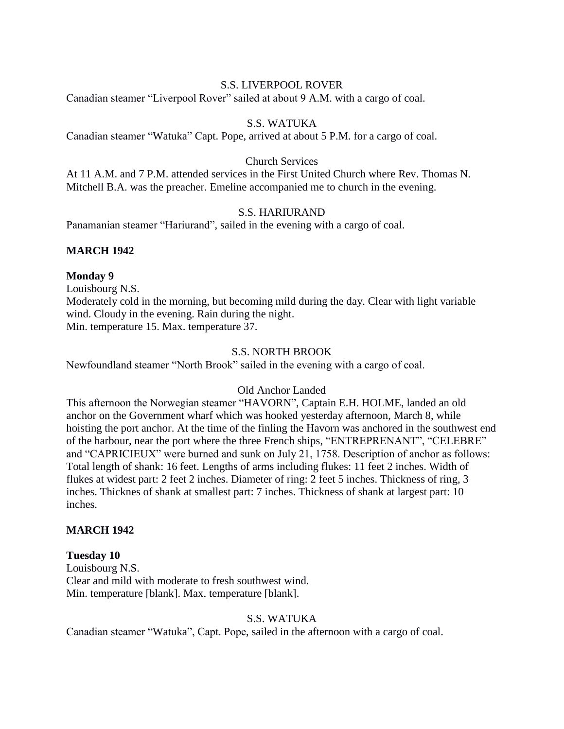### S.S. LIVERPOOL ROVER

Canadian steamer "Liverpool Rover" sailed at about 9 A.M. with a cargo of coal.

## S.S. WATUKA

Canadian steamer "Watuka" Capt. Pope, arrived at about 5 P.M. for a cargo of coal.

## Church Services

At 11 A.M. and 7 P.M. attended services in the First United Church where Rev. Thomas N. Mitchell B.A. was the preacher. Emeline accompanied me to church in the evening.

## S.S. HARIURAND

Panamanian steamer "Hariurand", sailed in the evening with a cargo of coal.

## **MARCH 1942**

### **Monday 9**

Louisbourg N.S.

Moderately cold in the morning, but becoming mild during the day. Clear with light variable wind. Cloudy in the evening. Rain during the night. Min. temperature 15. Max. temperature 37.

## S.S. NORTH BROOK

Newfoundland steamer "North Brook" sailed in the evening with a cargo of coal.

# Old Anchor Landed

This afternoon the Norwegian steamer "HAVORN", Captain E.H. HOLME, landed an old anchor on the Government wharf which was hooked yesterday afternoon, March 8, while hoisting the port anchor. At the time of the finling the Havorn was anchored in the southwest end of the harbour, near the port where the three French ships, "ENTREPRENANT", "CELEBRE" and "CAPRICIEUX" were burned and sunk on July 21, 1758. Description of anchor as follows: Total length of shank: 16 feet. Lengths of arms including flukes: 11 feet 2 inches. Width of flukes at widest part: 2 feet 2 inches. Diameter of ring: 2 feet 5 inches. Thickness of ring, 3 inches. Thicknes of shank at smallest part: 7 inches. Thickness of shank at largest part: 10 inches.

#### **MARCH 1942**

#### **Tuesday 10**

Louisbourg N.S. Clear and mild with moderate to fresh southwest wind. Min. temperature [blank]. Max. temperature [blank].

#### S.S. WATUKA

Canadian steamer "Watuka", Capt. Pope, sailed in the afternoon with a cargo of coal.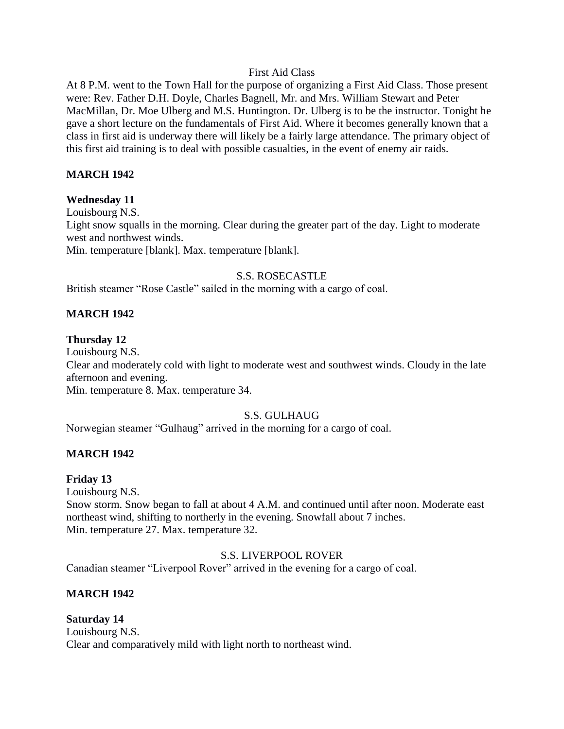## First Aid Class

At 8 P.M. went to the Town Hall for the purpose of organizing a First Aid Class. Those present were: Rev. Father D.H. Doyle, Charles Bagnell, Mr. and Mrs. William Stewart and Peter MacMillan, Dr. Moe Ulberg and M.S. Huntington. Dr. Ulberg is to be the instructor. Tonight he gave a short lecture on the fundamentals of First Aid. Where it becomes generally known that a class in first aid is underway there will likely be a fairly large attendance. The primary object of this first aid training is to deal with possible casualties, in the event of enemy air raids.

## **MARCH 1942**

## **Wednesday 11**

Louisbourg N.S. Light snow squalls in the morning. Clear during the greater part of the day. Light to moderate west and northwest winds. Min. temperature [blank]. Max. temperature [blank].

## S.S. ROSECASTLE

British steamer "Rose Castle" sailed in the morning with a cargo of coal.

## **MARCH 1942**

### **Thursday 12**

Louisbourg N.S. Clear and moderately cold with light to moderate west and southwest winds. Cloudy in the late afternoon and evening. Min. temperature 8. Max. temperature 34.

## S.S. GULHAUG

Norwegian steamer "Gulhaug" arrived in the morning for a cargo of coal.

## **MARCH 1942**

#### **Friday 13**

Louisbourg N.S.

Snow storm. Snow began to fall at about 4 A.M. and continued until after noon. Moderate east northeast wind, shifting to northerly in the evening. Snowfall about 7 inches. Min. temperature 27. Max. temperature 32.

#### S.S. LIVERPOOL ROVER

Canadian steamer "Liverpool Rover" arrived in the evening for a cargo of coal.

## **MARCH 1942**

#### **Saturday 14**

Louisbourg N.S. Clear and comparatively mild with light north to northeast wind.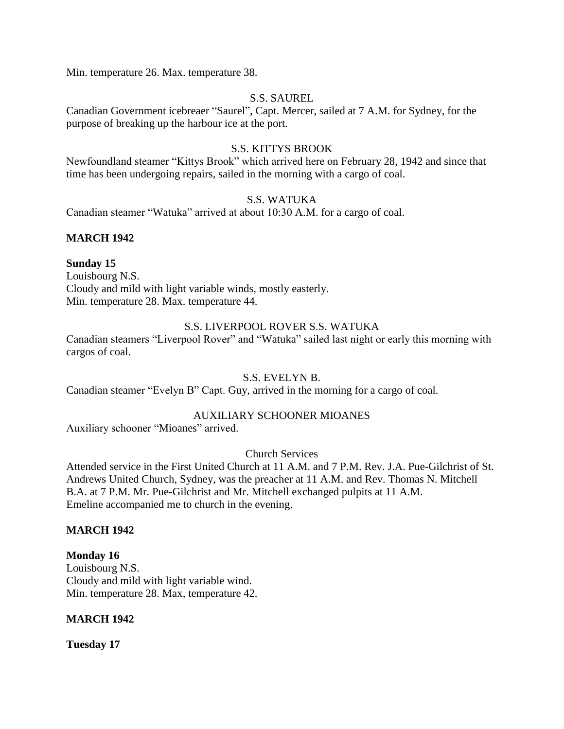Min. temperature 26. Max. temperature 38.

## S.S. SAUREL

Canadian Government icebreaer "Saurel", Capt. Mercer, sailed at 7 A.M. for Sydney, for the purpose of breaking up the harbour ice at the port.

## S.S. KITTYS BROOK

Newfoundland steamer "Kittys Brook" which arrived here on February 28, 1942 and since that time has been undergoing repairs, sailed in the morning with a cargo of coal.

## S.S. WATUKA

Canadian steamer "Watuka" arrived at about 10:30 A.M. for a cargo of coal.

## **MARCH 1942**

## **Sunday 15**

Louisbourg N.S. Cloudy and mild with light variable winds, mostly easterly. Min. temperature 28. Max. temperature 44.

### S.S. LIVERPOOL ROVER S.S. WATUKA

Canadian steamers "Liverpool Rover" and "Watuka" sailed last night or early this morning with cargos of coal.

## S.S. EVELYN B.

Canadian steamer "Evelyn B" Capt. Guy, arrived in the morning for a cargo of coal.

## AUXILIARY SCHOONER MIOANES

Auxiliary schooner "Mioanes" arrived.

## Church Services

Attended service in the First United Church at 11 A.M. and 7 P.M. Rev. J.A. Pue-Gilchrist of St. Andrews United Church, Sydney, was the preacher at 11 A.M. and Rev. Thomas N. Mitchell B.A. at 7 P.M. Mr. Pue-Gilchrist and Mr. Mitchell exchanged pulpits at 11 A.M. Emeline accompanied me to church in the evening.

#### **MARCH 1942**

#### **Monday 16**

Louisbourg N.S. Cloudy and mild with light variable wind. Min. temperature 28. Max, temperature 42.

## **MARCH 1942**

**Tuesday 17**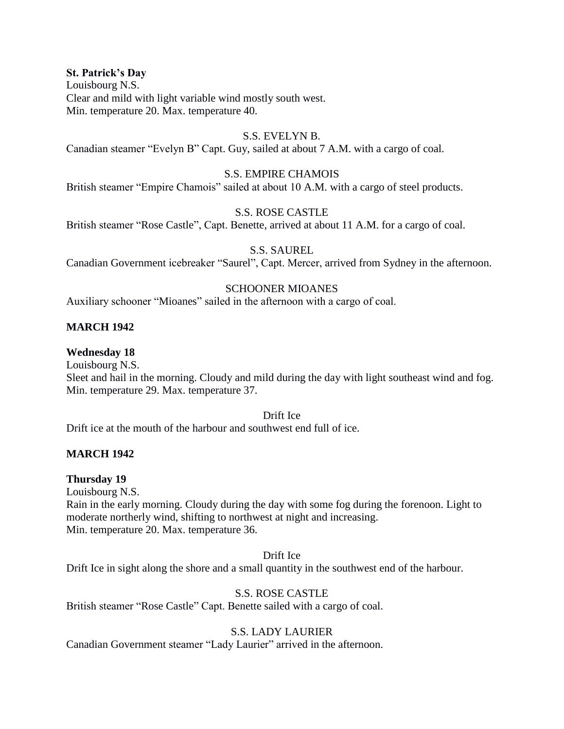#### **St. Patrick's Day**

Louisbourg N.S. Clear and mild with light variable wind mostly south west. Min. temperature 20. Max. temperature 40.

# S.S. EVELYN B.

Canadian steamer "Evelyn B" Capt. Guy, sailed at about 7 A.M. with a cargo of coal.

#### S.S. EMPIRE CHAMOIS

British steamer "Empire Chamois" sailed at about 10 A.M. with a cargo of steel products.

#### S.S. ROSE CASTLE

British steamer "Rose Castle", Capt. Benette, arrived at about 11 A.M. for a cargo of coal.

#### S.S. SAUREL

Canadian Government icebreaker "Saurel", Capt. Mercer, arrived from Sydney in the afternoon.

#### SCHOONER MIOANES

Auxiliary schooner "Mioanes" sailed in the afternoon with a cargo of coal.

#### **MARCH 1942**

#### **Wednesday 18**

Louisbourg N.S.

Sleet and hail in the morning. Cloudy and mild during the day with light southeast wind and fog. Min. temperature 29. Max. temperature 37.

## Drift Ice

Drift ice at the mouth of the harbour and southwest end full of ice.

#### **MARCH 1942**

#### **Thursday 19**

Louisbourg N.S. Rain in the early morning. Cloudy during the day with some fog during the forenoon. Light to moderate northerly wind, shifting to northwest at night and increasing. Min. temperature 20. Max. temperature 36.

#### Drift Ice

Drift Ice in sight along the shore and a small quantity in the southwest end of the harbour.

#### S.S. ROSE CASTLE

British steamer "Rose Castle" Capt. Benette sailed with a cargo of coal.

#### S.S. LADY LAURIER

Canadian Government steamer "Lady Laurier" arrived in the afternoon.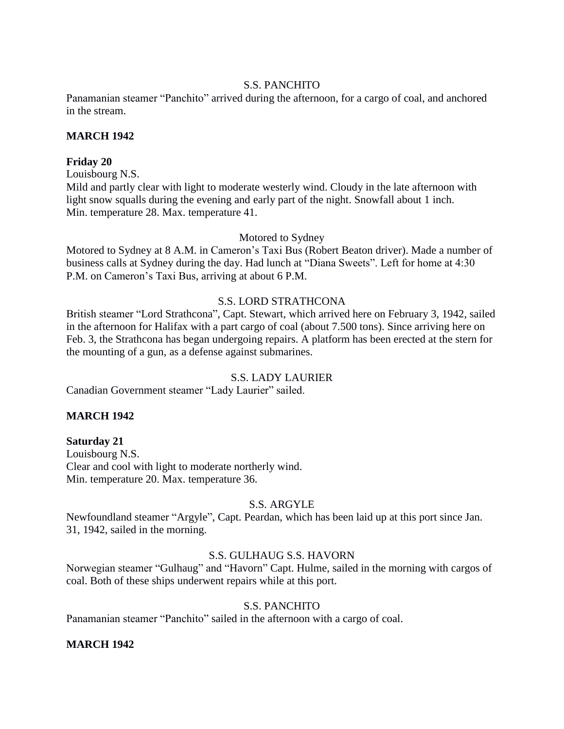#### S.S. PANCHITO

Panamanian steamer "Panchito" arrived during the afternoon, for a cargo of coal, and anchored in the stream.

#### **MARCH 1942**

#### **Friday 20**

Louisbourg N.S.

Mild and partly clear with light to moderate westerly wind. Cloudy in the late afternoon with light snow squalls during the evening and early part of the night. Snowfall about 1 inch. Min. temperature 28. Max. temperature 41.

Motored to Sydney

Motored to Sydney at 8 A.M. in Cameron's Taxi Bus (Robert Beaton driver). Made a number of business calls at Sydney during the day. Had lunch at "Diana Sweets". Left for home at 4:30 P.M. on Cameron's Taxi Bus, arriving at about 6 P.M.

# S.S. LORD STRATHCONA

British steamer "Lord Strathcona", Capt. Stewart, which arrived here on February 3, 1942, sailed in the afternoon for Halifax with a part cargo of coal (about 7.500 tons). Since arriving here on Feb. 3, the Strathcona has began undergoing repairs. A platform has been erected at the stern for the mounting of a gun, as a defense against submarines.

# S.S. LADY LAURIER

Canadian Government steamer "Lady Laurier" sailed.

# **MARCH 1942**

#### **Saturday 21**

Louisbourg N.S. Clear and cool with light to moderate northerly wind. Min. temperature 20. Max. temperature 36.

#### S.S. ARGYLE

Newfoundland steamer "Argyle", Capt. Peardan, which has been laid up at this port since Jan. 31, 1942, sailed in the morning.

#### S.S. GULHAUG S.S. HAVORN

Norwegian steamer "Gulhaug" and "Havorn" Capt. Hulme, sailed in the morning with cargos of coal. Both of these ships underwent repairs while at this port.

# S.S. PANCHITO

Panamanian steamer "Panchito" sailed in the afternoon with a cargo of coal.

#### **MARCH 1942**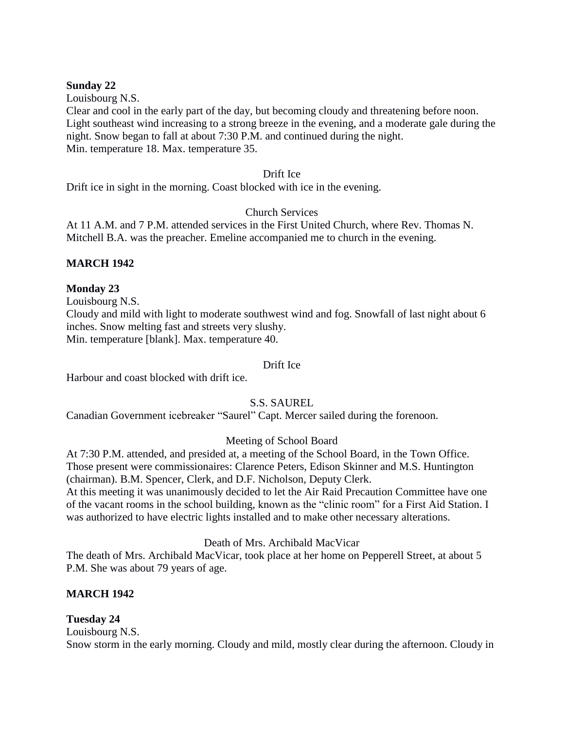#### **Sunday 22**

Louisbourg N.S.

Clear and cool in the early part of the day, but becoming cloudy and threatening before noon. Light southeast wind increasing to a strong breeze in the evening, and a moderate gale during the night. Snow began to fall at about 7:30 P.M. and continued during the night. Min. temperature 18. Max. temperature 35.

#### Drift Ice

Drift ice in sight in the morning. Coast blocked with ice in the evening.

# Church Services

At 11 A.M. and 7 P.M. attended services in the First United Church, where Rev. Thomas N. Mitchell B.A. was the preacher. Emeline accompanied me to church in the evening.

# **MARCH 1942**

# **Monday 23**

Louisbourg N.S.

Cloudy and mild with light to moderate southwest wind and fog. Snowfall of last night about 6 inches. Snow melting fast and streets very slushy. Min. temperature [blank]. Max. temperature 40.

# Drift Ice

Harbour and coast blocked with drift ice.

S.S. SAUREL

Canadian Government icebreaker "Saurel" Capt. Mercer sailed during the forenoon.

# Meeting of School Board

At 7:30 P.M. attended, and presided at, a meeting of the School Board, in the Town Office. Those present were commissionaires: Clarence Peters, Edison Skinner and M.S. Huntington (chairman). B.M. Spencer, Clerk, and D.F. Nicholson, Deputy Clerk.

At this meeting it was unanimously decided to let the Air Raid Precaution Committee have one of the vacant rooms in the school building, known as the "clinic room" for a First Aid Station. I was authorized to have electric lights installed and to make other necessary alterations.

Death of Mrs. Archibald MacVicar

The death of Mrs. Archibald MacVicar, took place at her home on Pepperell Street, at about 5 P.M. She was about 79 years of age.

# **MARCH 1942**

# **Tuesday 24**

Louisbourg N.S. Snow storm in the early morning. Cloudy and mild, mostly clear during the afternoon. Cloudy in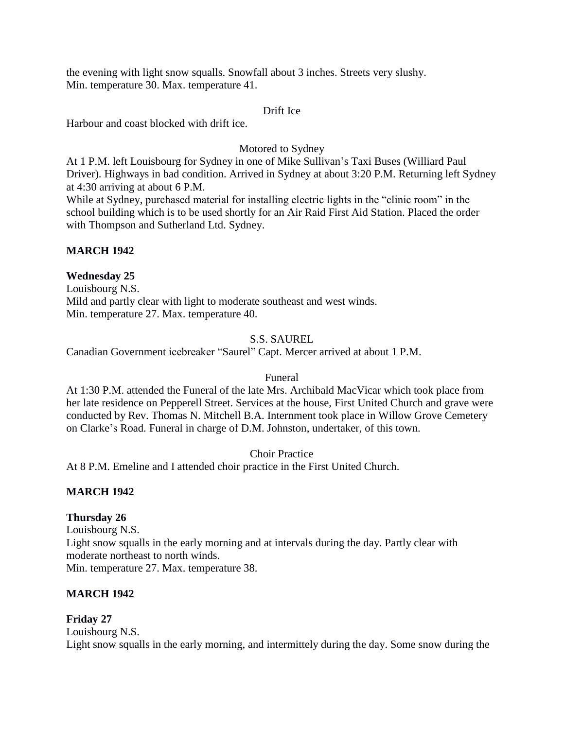the evening with light snow squalls. Snowfall about 3 inches. Streets very slushy. Min. temperature 30. Max. temperature 41.

#### Drift Ice

Harbour and coast blocked with drift ice.

# Motored to Sydney

At 1 P.M. left Louisbourg for Sydney in one of Mike Sullivan's Taxi Buses (Williard Paul Driver). Highways in bad condition. Arrived in Sydney at about 3:20 P.M. Returning left Sydney at 4:30 arriving at about 6 P.M.

While at Sydney, purchased material for installing electric lights in the "clinic room" in the school building which is to be used shortly for an Air Raid First Aid Station. Placed the order with Thompson and Sutherland Ltd. Sydney.

## **MARCH 1942**

# **Wednesday 25**

Louisbourg N.S. Mild and partly clear with light to moderate southeast and west winds. Min. temperature 27. Max. temperature 40.

## S.S. SAUREL

Canadian Government icebreaker "Saurel" Capt. Mercer arrived at about 1 P.M.

#### Funeral

At 1:30 P.M. attended the Funeral of the late Mrs. Archibald MacVicar which took place from her late residence on Pepperell Street. Services at the house, First United Church and grave were conducted by Rev. Thomas N. Mitchell B.A. Internment took place in Willow Grove Cemetery on Clarke's Road. Funeral in charge of D.M. Johnston, undertaker, of this town.

Choir Practice

At 8 P.M. Emeline and I attended choir practice in the First United Church.

# **MARCH 1942**

#### **Thursday 26**

Louisbourg N.S. Light snow squalls in the early morning and at intervals during the day. Partly clear with moderate northeast to north winds. Min. temperature 27. Max. temperature 38.

#### **MARCH 1942**

#### **Friday 27**

Louisbourg N.S. Light snow squalls in the early morning, and intermittely during the day. Some snow during the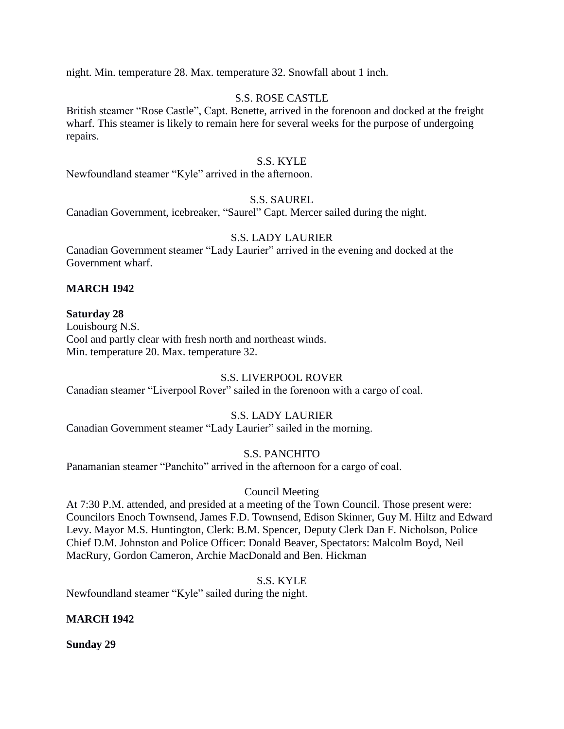night. Min. temperature 28. Max. temperature 32. Snowfall about 1 inch.

#### S.S. ROSE CASTLE

British steamer "Rose Castle", Capt. Benette, arrived in the forenoon and docked at the freight wharf. This steamer is likely to remain here for several weeks for the purpose of undergoing repairs.

#### S.S. KYLE

Newfoundland steamer "Kyle" arrived in the afternoon.

#### S.S. SAUREL

Canadian Government, icebreaker, "Saurel" Capt. Mercer sailed during the night.

## S.S. LADY LAURIER

Canadian Government steamer "Lady Laurier" arrived in the evening and docked at the Government wharf.

#### **MARCH 1942**

#### **Saturday 28**

Louisbourg N.S. Cool and partly clear with fresh north and northeast winds. Min. temperature 20. Max. temperature 32.

#### S.S. LIVERPOOL ROVER

Canadian steamer "Liverpool Rover" sailed in the forenoon with a cargo of coal.

#### S.S. LADY LAURIER

Canadian Government steamer "Lady Laurier" sailed in the morning.

#### S.S. PANCHITO

Panamanian steamer "Panchito" arrived in the afternoon for a cargo of coal.

#### Council Meeting

At 7:30 P.M. attended, and presided at a meeting of the Town Council. Those present were: Councilors Enoch Townsend, James F.D. Townsend, Edison Skinner, Guy M. Hiltz and Edward Levy. Mayor M.S. Huntington, Clerk: B.M. Spencer, Deputy Clerk Dan F. Nicholson, Police Chief D.M. Johnston and Police Officer: Donald Beaver, Spectators: Malcolm Boyd, Neil MacRury, Gordon Cameron, Archie MacDonald and Ben. Hickman

S.S. KYLE

Newfoundland steamer "Kyle" sailed during the night.

#### **MARCH 1942**

**Sunday 29**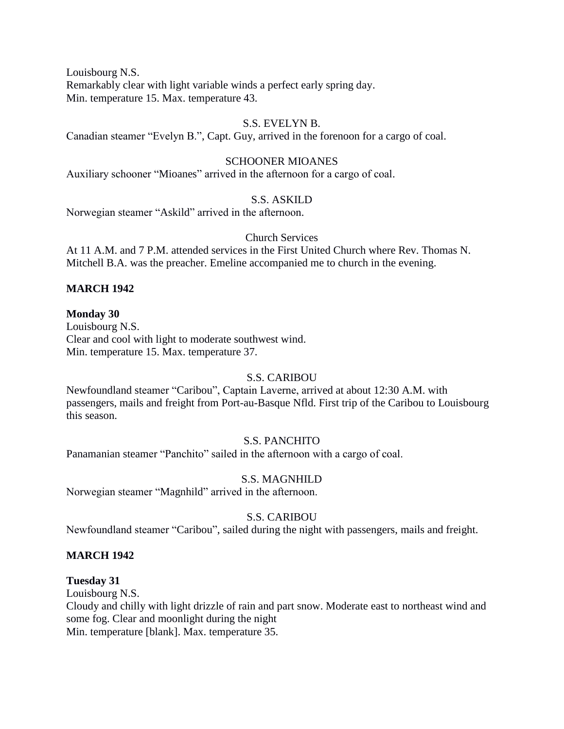Louisbourg N.S. Remarkably clear with light variable winds a perfect early spring day. Min. temperature 15. Max. temperature 43.

# S.S. EVELYN B.

Canadian steamer "Evelyn B.", Capt. Guy, arrived in the forenoon for a cargo of coal.

## SCHOONER MIOANES

Auxiliary schooner "Mioanes" arrived in the afternoon for a cargo of coal.

#### S.S. ASKILD

Norwegian steamer "Askild" arrived in the afternoon.

# Church Services

At 11 A.M. and 7 P.M. attended services in the First United Church where Rev. Thomas N. Mitchell B.A. was the preacher. Emeline accompanied me to church in the evening.

#### **MARCH 1942**

#### **Monday 30**

Louisbourg N.S. Clear and cool with light to moderate southwest wind. Min. temperature 15. Max. temperature 37.

#### S.S. CARIBOU

Newfoundland steamer "Caribou", Captain Laverne, arrived at about 12:30 A.M. with passengers, mails and freight from Port-au-Basque Nfld. First trip of the Caribou to Louisbourg this season.

#### S.S. PANCHITO

Panamanian steamer "Panchito" sailed in the afternoon with a cargo of coal.

#### S.S. MAGNHILD

Norwegian steamer "Magnhild" arrived in the afternoon.

#### S.S. CARIBOU

Newfoundland steamer "Caribou", sailed during the night with passengers, mails and freight.

#### **MARCH 1942**

#### **Tuesday 31**

Louisbourg N.S.

Cloudy and chilly with light drizzle of rain and part snow. Moderate east to northeast wind and some fog. Clear and moonlight during the night

Min. temperature [blank]. Max. temperature 35.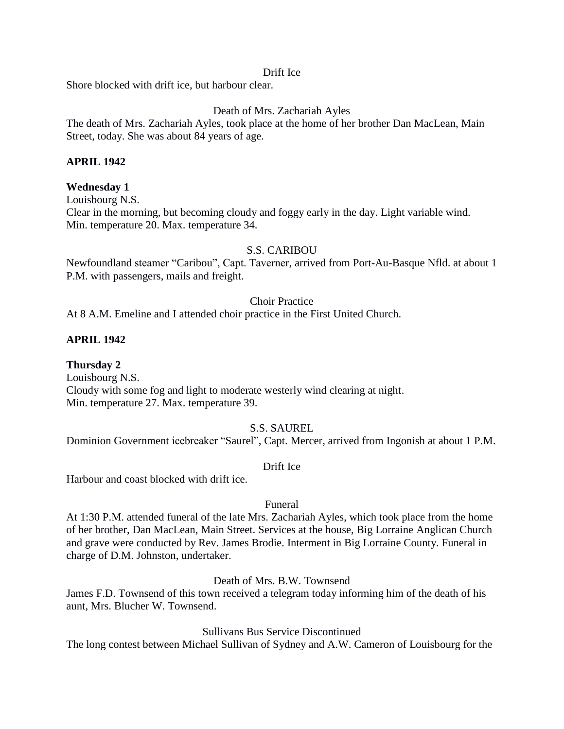#### Drift Ice

Shore blocked with drift ice, but harbour clear.

## Death of Mrs. Zachariah Ayles

The death of Mrs. Zachariah Ayles, took place at the home of her brother Dan MacLean, Main Street, today. She was about 84 years of age.

#### **APRIL 1942**

#### **Wednesday 1**

Louisbourg N.S.

Clear in the morning, but becoming cloudy and foggy early in the day. Light variable wind. Min. temperature 20. Max. temperature 34.

#### S.S. CARIBOU

Newfoundland steamer "Caribou", Capt. Taverner, arrived from Port-Au-Basque Nfld. at about 1 P.M. with passengers, mails and freight.

# Choir Practice

At 8 A.M. Emeline and I attended choir practice in the First United Church.

#### **APRIL 1942**

**Thursday 2** Louisbourg N.S. Cloudy with some fog and light to moderate westerly wind clearing at night. Min. temperature 27. Max. temperature 39.

#### S.S. SAUREL

Dominion Government icebreaker "Saurel", Capt. Mercer, arrived from Ingonish at about 1 P.M.

#### Drift Ice

Harbour and coast blocked with drift ice.

#### Funeral

At 1:30 P.M. attended funeral of the late Mrs. Zachariah Ayles, which took place from the home of her brother, Dan MacLean, Main Street. Services at the house, Big Lorraine Anglican Church and grave were conducted by Rev. James Brodie. Interment in Big Lorraine County. Funeral in charge of D.M. Johnston, undertaker.

Death of Mrs. B.W. Townsend

James F.D. Townsend of this town received a telegram today informing him of the death of his aunt, Mrs. Blucher W. Townsend.

Sullivans Bus Service Discontinued

The long contest between Michael Sullivan of Sydney and A.W. Cameron of Louisbourg for the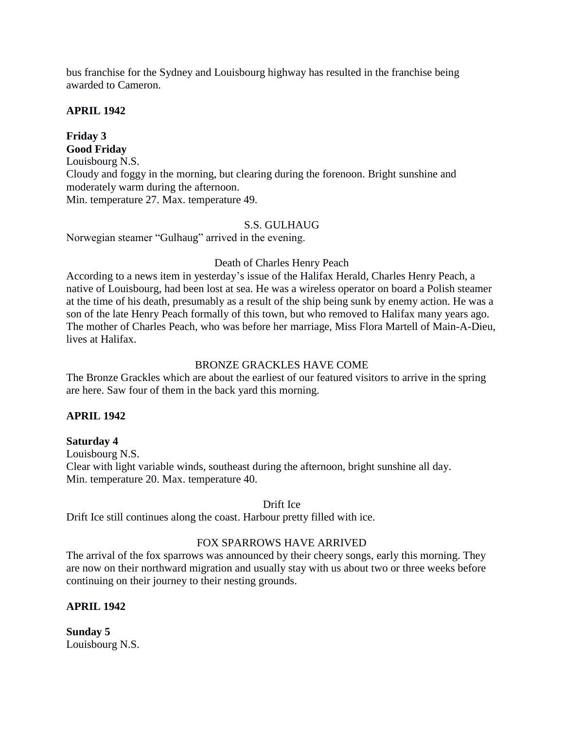bus franchise for the Sydney and Louisbourg highway has resulted in the franchise being awarded to Cameron.

## **APRIL 1942**

**Friday 3 Good Friday** Louisbourg N.S. Cloudy and foggy in the morning, but clearing during the forenoon. Bright sunshine and moderately warm during the afternoon. Min. temperature 27. Max. temperature 49.

## S.S. GULHAUG

Norwegian steamer "Gulhaug" arrived in the evening.

## Death of Charles Henry Peach

According to a news item in yesterday's issue of the Halifax Herald, Charles Henry Peach, a native of Louisbourg, had been lost at sea. He was a wireless operator on board a Polish steamer at the time of his death, presumably as a result of the ship being sunk by enemy action. He was a son of the late Henry Peach formally of this town, but who removed to Halifax many years ago. The mother of Charles Peach, who was before her marriage, Miss Flora Martell of Main-A-Dieu, lives at Halifax.

# BRONZE GRACKLES HAVE COME

The Bronze Grackles which are about the earliest of our featured visitors to arrive in the spring are here. Saw four of them in the back yard this morning.

# **APRIL 1942**

#### **Saturday 4**

Louisbourg N.S. Clear with light variable winds, southeast during the afternoon, bright sunshine all day. Min. temperature 20. Max. temperature 40.

#### Drift Ice

Drift Ice still continues along the coast. Harbour pretty filled with ice.

# FOX SPARROWS HAVE ARRIVED

The arrival of the fox sparrows was announced by their cheery songs, early this morning. They are now on their northward migration and usually stay with us about two or three weeks before continuing on their journey to their nesting grounds.

#### **APRIL 1942**

**Sunday 5** Louisbourg N.S.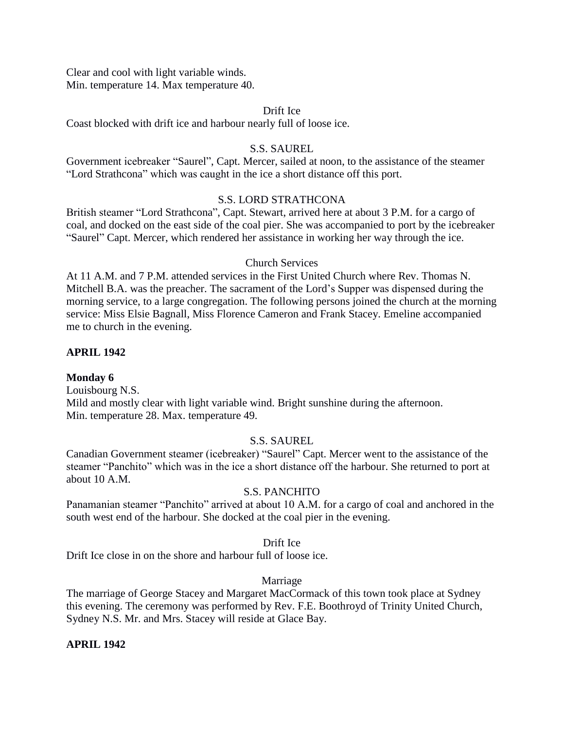Clear and cool with light variable winds. Min. temperature 14. Max temperature 40.

#### Drift Ice

Coast blocked with drift ice and harbour nearly full of loose ice.

#### S.S. SAUREL

Government icebreaker "Saurel", Capt. Mercer, sailed at noon, to the assistance of the steamer "Lord Strathcona" which was caught in the ice a short distance off this port.

#### S.S. LORD STRATHCONA

British steamer "Lord Strathcona", Capt. Stewart, arrived here at about 3 P.M. for a cargo of coal, and docked on the east side of the coal pier. She was accompanied to port by the icebreaker "Saurel" Capt. Mercer, which rendered her assistance in working her way through the ice.

#### Church Services

At 11 A.M. and 7 P.M. attended services in the First United Church where Rev. Thomas N. Mitchell B.A. was the preacher. The sacrament of the Lord's Supper was dispensed during the morning service, to a large congregation. The following persons joined the church at the morning service: Miss Elsie Bagnall, Miss Florence Cameron and Frank Stacey. Emeline accompanied me to church in the evening.

#### **APRIL 1942**

#### **Monday 6**

Louisbourg N.S. Mild and mostly clear with light variable wind. Bright sunshine during the afternoon. Min. temperature 28. Max. temperature 49.

#### S.S. SAUREL

Canadian Government steamer (icebreaker) "Saurel" Capt. Mercer went to the assistance of the steamer "Panchito" which was in the ice a short distance off the harbour. She returned to port at about 10 A.M.

#### S.S. PANCHITO

Panamanian steamer "Panchito" arrived at about 10 A.M. for a cargo of coal and anchored in the south west end of the harbour. She docked at the coal pier in the evening.

#### Drift Ice

Drift Ice close in on the shore and harbour full of loose ice.

#### Marriage

The marriage of George Stacey and Margaret MacCormack of this town took place at Sydney this evening. The ceremony was performed by Rev. F.E. Boothroyd of Trinity United Church, Sydney N.S. Mr. and Mrs. Stacey will reside at Glace Bay.

#### **APRIL 1942**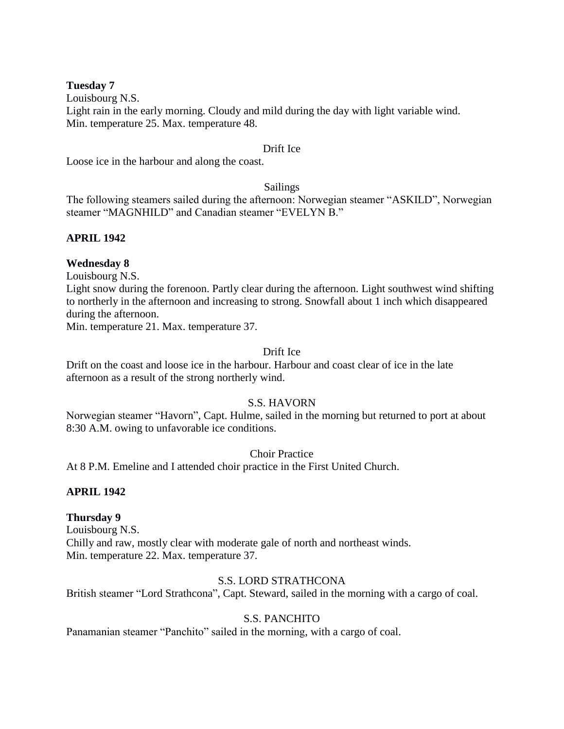#### **Tuesday 7**

Louisbourg N.S.

Light rain in the early morning. Cloudy and mild during the day with light variable wind. Min. temperature 25. Max. temperature 48.

## Drift Ice

Loose ice in the harbour and along the coast.

### Sailings

The following steamers sailed during the afternoon: Norwegian steamer "ASKILD", Norwegian steamer "MAGNHILD" and Canadian steamer "EVELYN B."

# **APRIL 1942**

# **Wednesday 8**

Louisbourg N.S.

Light snow during the forenoon. Partly clear during the afternoon. Light southwest wind shifting to northerly in the afternoon and increasing to strong. Snowfall about 1 inch which disappeared during the afternoon.

Min. temperature 21. Max. temperature 37.

# Drift Ice

Drift on the coast and loose ice in the harbour. Harbour and coast clear of ice in the late afternoon as a result of the strong northerly wind.

# S.S. HAVORN

Norwegian steamer "Havorn", Capt. Hulme, sailed in the morning but returned to port at about 8:30 A.M. owing to unfavorable ice conditions.

Choir Practice

At 8 P.M. Emeline and I attended choir practice in the First United Church.

# **APRIL 1942**

# **Thursday 9**

Louisbourg N.S. Chilly and raw, mostly clear with moderate gale of north and northeast winds. Min. temperature 22. Max. temperature 37.

#### S.S. LORD STRATHCONA

British steamer "Lord Strathcona", Capt. Steward, sailed in the morning with a cargo of coal.

# S.S. PANCHITO

Panamanian steamer "Panchito" sailed in the morning, with a cargo of coal.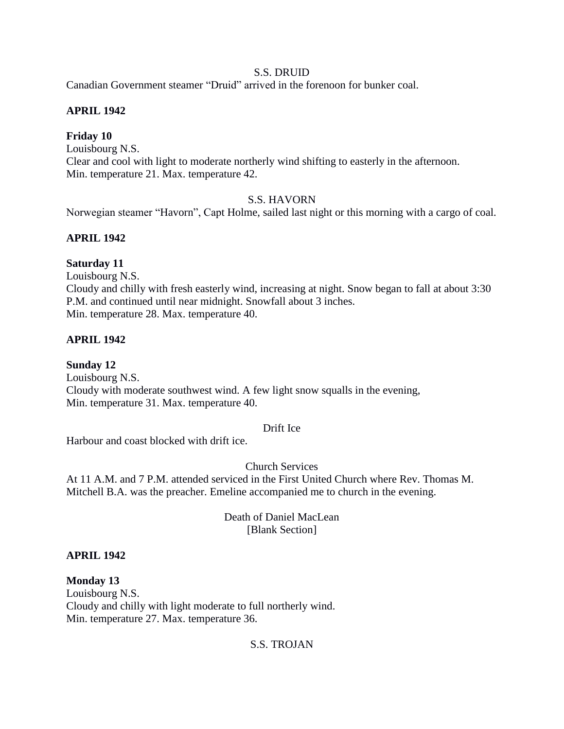## S.S. DRUID

Canadian Government steamer "Druid" arrived in the forenoon for bunker coal.

# **APRIL 1942**

# **Friday 10**

Louisbourg N.S. Clear and cool with light to moderate northerly wind shifting to easterly in the afternoon. Min. temperature 21. Max. temperature 42.

# S.S. HAVORN

Norwegian steamer "Havorn", Capt Holme, sailed last night or this morning with a cargo of coal.

# **APRIL 1942**

# **Saturday 11**

Louisbourg N.S.

Cloudy and chilly with fresh easterly wind, increasing at night. Snow began to fall at about 3:30 P.M. and continued until near midnight. Snowfall about 3 inches. Min. temperature 28. Max. temperature 40.

# **APRIL 1942**

**Sunday 12**

Louisbourg N.S. Cloudy with moderate southwest wind. A few light snow squalls in the evening, Min. temperature 31. Max. temperature 40.

#### Drift Ice

Harbour and coast blocked with drift ice.

Church Services

At 11 A.M. and 7 P.M. attended serviced in the First United Church where Rev. Thomas M. Mitchell B.A. was the preacher. Emeline accompanied me to church in the evening.

> Death of Daniel MacLean [Blank Section]

#### **APRIL 1942**

**Monday 13** Louisbourg N.S. Cloudy and chilly with light moderate to full northerly wind. Min. temperature 27. Max. temperature 36.

#### S.S. TROJAN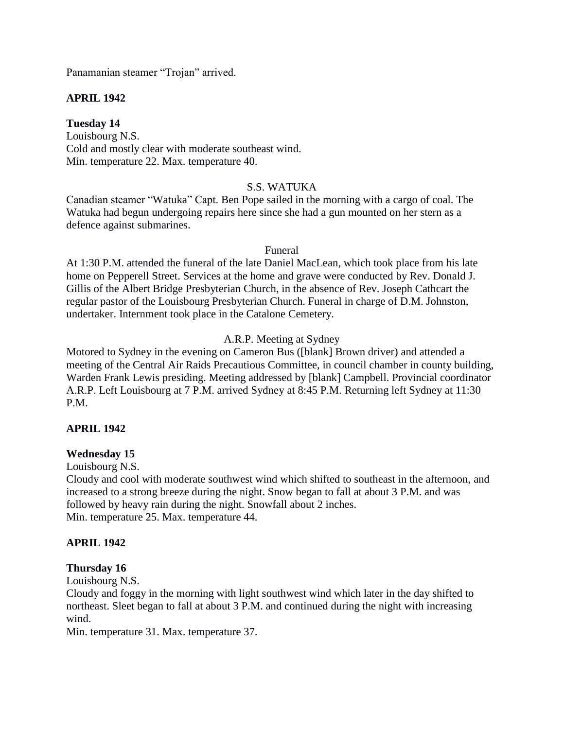Panamanian steamer "Trojan" arrived.

# **APRIL 1942**

**Tuesday 14** Louisbourg N.S. Cold and mostly clear with moderate southeast wind. Min. temperature 22. Max. temperature 40.

S.S. WATUKA

Canadian steamer "Watuka" Capt. Ben Pope sailed in the morning with a cargo of coal. The Watuka had begun undergoing repairs here since she had a gun mounted on her stern as a defence against submarines.

#### Funeral

At 1:30 P.M. attended the funeral of the late Daniel MacLean, which took place from his late home on Pepperell Street. Services at the home and grave were conducted by Rev. Donald J. Gillis of the Albert Bridge Presbyterian Church, in the absence of Rev. Joseph Cathcart the regular pastor of the Louisbourg Presbyterian Church. Funeral in charge of D.M. Johnston, undertaker. Internment took place in the Catalone Cemetery.

# A.R.P. Meeting at Sydney

Motored to Sydney in the evening on Cameron Bus ([blank] Brown driver) and attended a meeting of the Central Air Raids Precautious Committee, in council chamber in county building, Warden Frank Lewis presiding. Meeting addressed by [blank] Campbell. Provincial coordinator A.R.P. Left Louisbourg at 7 P.M. arrived Sydney at 8:45 P.M. Returning left Sydney at 11:30 P.M.

# **APRIL 1942**

#### **Wednesday 15**

Louisbourg N.S.

Cloudy and cool with moderate southwest wind which shifted to southeast in the afternoon, and increased to a strong breeze during the night. Snow began to fall at about 3 P.M. and was followed by heavy rain during the night. Snowfall about 2 inches. Min. temperature 25. Max. temperature 44.

#### **APRIL 1942**

#### **Thursday 16**

Louisbourg N.S.

Cloudy and foggy in the morning with light southwest wind which later in the day shifted to northeast. Sleet began to fall at about 3 P.M. and continued during the night with increasing wind.

Min. temperature 31. Max. temperature 37.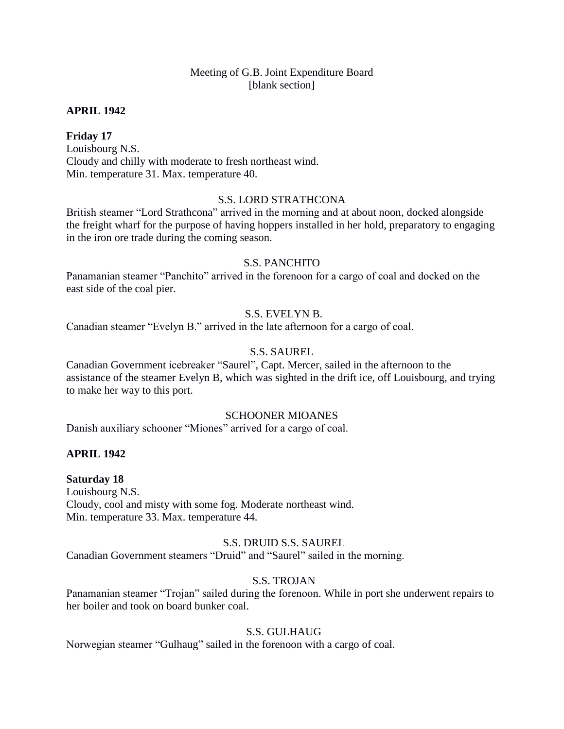# Meeting of G.B. Joint Expenditure Board [blank section]

#### **APRIL 1942**

## **Friday 17**

Louisbourg N.S. Cloudy and chilly with moderate to fresh northeast wind. Min. temperature 31. Max. temperature 40.

## S.S. LORD STRATHCONA

British steamer "Lord Strathcona" arrived in the morning and at about noon, docked alongside the freight wharf for the purpose of having hoppers installed in her hold, preparatory to engaging in the iron ore trade during the coming season.

## S.S. PANCHITO

Panamanian steamer "Panchito" arrived in the forenoon for a cargo of coal and docked on the east side of the coal pier.

# S.S. EVELYN B.

Canadian steamer "Evelyn B." arrived in the late afternoon for a cargo of coal.

# S.S. SAUREL

Canadian Government icebreaker "Saurel", Capt. Mercer, sailed in the afternoon to the assistance of the steamer Evelyn B, which was sighted in the drift ice, off Louisbourg, and trying to make her way to this port.

#### SCHOONER MIOANES

Danish auxiliary schooner "Miones" arrived for a cargo of coal.

# **APRIL 1942**

#### **Saturday 18**

Louisbourg N.S. Cloudy, cool and misty with some fog. Moderate northeast wind. Min. temperature 33. Max. temperature 44.

# S.S. DRUID S.S. SAUREL

Canadian Government steamers "Druid" and "Saurel" sailed in the morning.

# S.S. TROJAN

Panamanian steamer "Trojan" sailed during the forenoon. While in port she underwent repairs to her boiler and took on board bunker coal.

# S.S. GULHAUG

Norwegian steamer "Gulhaug" sailed in the forenoon with a cargo of coal.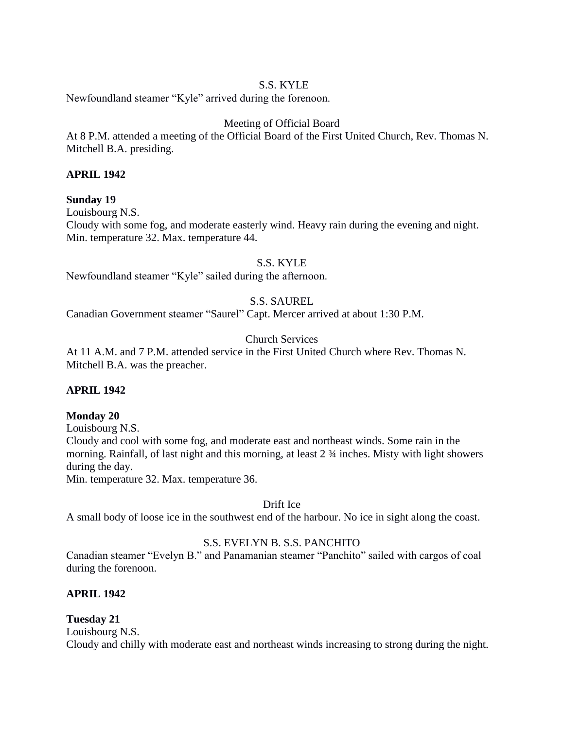# S.S. KYLE

Newfoundland steamer "Kyle" arrived during the forenoon.

# Meeting of Official Board

At 8 P.M. attended a meeting of the Official Board of the First United Church, Rev. Thomas N. Mitchell B.A. presiding.

# **APRIL 1942**

# **Sunday 19**

Louisbourg N.S. Cloudy with some fog, and moderate easterly wind. Heavy rain during the evening and night. Min. temperature 32. Max. temperature 44.

S.S. KYLE

Newfoundland steamer "Kyle" sailed during the afternoon.

# S.S. SAUREL

Canadian Government steamer "Saurel" Capt. Mercer arrived at about 1:30 P.M.

# Church Services

At 11 A.M. and 7 P.M. attended service in the First United Church where Rev. Thomas N. Mitchell B.A. was the preacher.

# **APRIL 1942**

# **Monday 20**

Louisbourg N.S. Cloudy and cool with some fog, and moderate east and northeast winds. Some rain in the morning. Rainfall, of last night and this morning, at least 2 ¾ inches. Misty with light showers during the day.

Min. temperature 32. Max. temperature 36.

Drift Ice

A small body of loose ice in the southwest end of the harbour. No ice in sight along the coast.

# S.S. EVELYN B. S.S. PANCHITO

Canadian steamer "Evelyn B." and Panamanian steamer "Panchito" sailed with cargos of coal during the forenoon.

# **APRIL 1942**

# **Tuesday 21**

Louisbourg N.S.

Cloudy and chilly with moderate east and northeast winds increasing to strong during the night.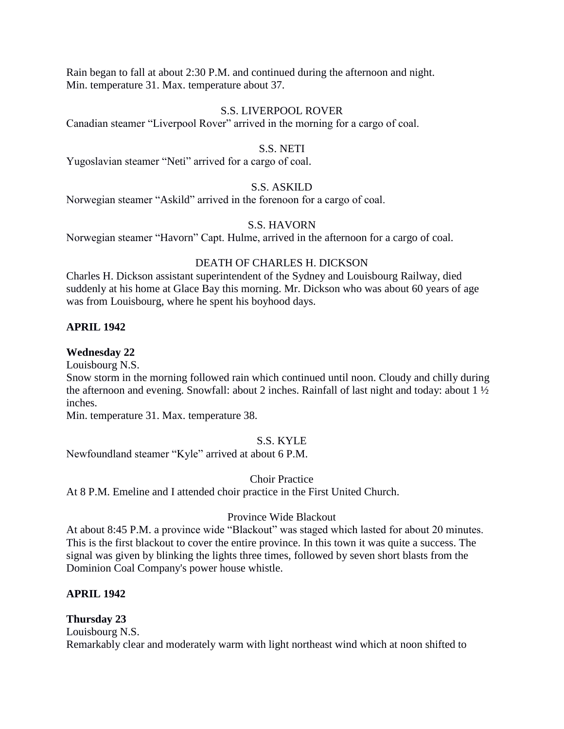Rain began to fall at about 2:30 P.M. and continued during the afternoon and night. Min. temperature 31. Max. temperature about 37.

## S.S. LIVERPOOL ROVER

Canadian steamer "Liverpool Rover" arrived in the morning for a cargo of coal.

#### S.S. NETI

Yugoslavian steamer "Neti" arrived for a cargo of coal.

# S.S. ASKILD

Norwegian steamer "Askild" arrived in the forenoon for a cargo of coal.

# S.S. HAVORN

Norwegian steamer "Havorn" Capt. Hulme, arrived in the afternoon for a cargo of coal.

# DEATH OF CHARLES H. DICKSON

Charles H. Dickson assistant superintendent of the Sydney and Louisbourg Railway, died suddenly at his home at Glace Bay this morning. Mr. Dickson who was about 60 years of age was from Louisbourg, where he spent his boyhood days.

# **APRIL 1942**

## **Wednesday 22**

Louisbourg N.S.

Snow storm in the morning followed rain which continued until noon. Cloudy and chilly during the afternoon and evening. Snowfall: about 2 inches. Rainfall of last night and today: about 1 ½ inches.

Min. temperature 31. Max. temperature 38.

# S.S. KYLE

Newfoundland steamer "Kyle" arrived at about 6 P.M.

Choir Practice

At 8 P.M. Emeline and I attended choir practice in the First United Church.

# Province Wide Blackout

At about 8:45 P.M. a province wide "Blackout" was staged which lasted for about 20 minutes. This is the first blackout to cover the entire province. In this town it was quite a success. The signal was given by blinking the lights three times, followed by seven short blasts from the Dominion Coal Company's power house whistle.

# **APRIL 1942**

# **Thursday 23**

Louisbourg N.S.

Remarkably clear and moderately warm with light northeast wind which at noon shifted to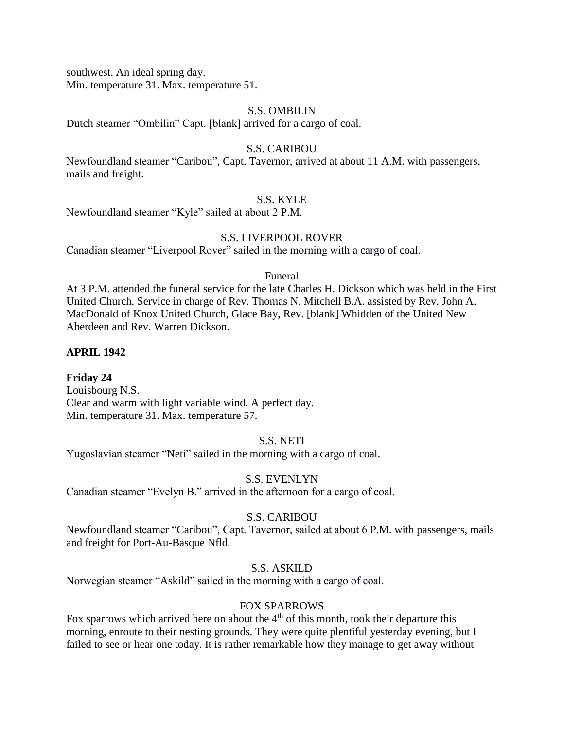southwest. An ideal spring day.

Min. temperature 31. Max. temperature 51.

#### S.S. OMBILIN

Dutch steamer "Ombilin" Capt. [blank] arrived for a cargo of coal.

# S.S. CARIBOU

Newfoundland steamer "Caribou", Capt. Tavernor, arrived at about 11 A.M. with passengers, mails and freight.

## S.S. KYLE

Newfoundland steamer "Kyle" sailed at about 2 P.M.

# S.S. LIVERPOOL ROVER

Canadian steamer "Liverpool Rover" sailed in the morning with a cargo of coal.

#### Funeral

At 3 P.M. attended the funeral service for the late Charles H. Dickson which was held in the First United Church. Service in charge of Rev. Thomas N. Mitchell B.A. assisted by Rev. John A. MacDonald of Knox United Church, Glace Bay, Rev. [blank] Whidden of the United New Aberdeen and Rev. Warren Dickson.

# **APRIL 1942**

# **Friday 24**

Louisbourg N.S. Clear and warm with light variable wind. A perfect day. Min. temperature 31. Max. temperature 57.

# S.S. NETI

Yugoslavian steamer "Neti" sailed in the morning with a cargo of coal.

# S.S. EVENLYN

Canadian steamer "Evelyn B." arrived in the afternoon for a cargo of coal.

# S.S. CARIBOU

Newfoundland steamer "Caribou", Capt. Tavernor, sailed at about 6 P.M. with passengers, mails and freight for Port-Au-Basque Nfld.

# S.S. ASKILD

Norwegian steamer "Askild" sailed in the morning with a cargo of coal.

#### FOX SPARROWS

Fox sparrows which arrived here on about the  $4<sup>th</sup>$  of this month, took their departure this morning, enroute to their nesting grounds. They were quite plentiful yesterday evening, but I failed to see or hear one today. It is rather remarkable how they manage to get away without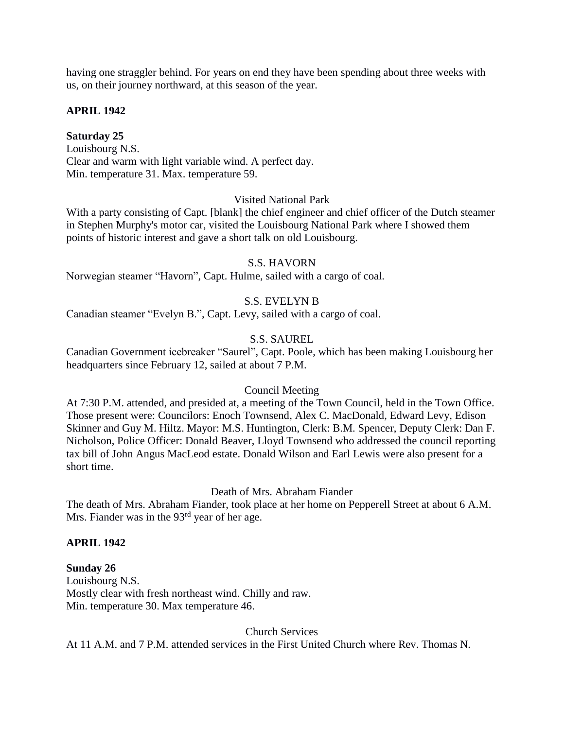having one straggler behind. For years on end they have been spending about three weeks with us, on their journey northward, at this season of the year.

# **APRIL 1942**

#### **Saturday 25**

Louisbourg N.S. Clear and warm with light variable wind. A perfect day. Min. temperature 31. Max. temperature 59.

## Visited National Park

With a party consisting of Capt. [blank] the chief engineer and chief officer of the Dutch steamer in Stephen Murphy's motor car, visited the Louisbourg National Park where I showed them points of historic interest and gave a short talk on old Louisbourg.

#### S.S. HAVORN

Norwegian steamer "Havorn", Capt. Hulme, sailed with a cargo of coal.

## S.S. EVELYN B

Canadian steamer "Evelyn B.", Capt. Levy, sailed with a cargo of coal.

# S.S. SAUREL

Canadian Government icebreaker "Saurel", Capt. Poole, which has been making Louisbourg her headquarters since February 12, sailed at about 7 P.M.

#### Council Meeting

At 7:30 P.M. attended, and presided at, a meeting of the Town Council, held in the Town Office. Those present were: Councilors: Enoch Townsend, Alex C. MacDonald, Edward Levy, Edison Skinner and Guy M. Hiltz. Mayor: M.S. Huntington, Clerk: B.M. Spencer, Deputy Clerk: Dan F. Nicholson, Police Officer: Donald Beaver, Lloyd Townsend who addressed the council reporting tax bill of John Angus MacLeod estate. Donald Wilson and Earl Lewis were also present for a short time.

#### Death of Mrs. Abraham Fiander

The death of Mrs. Abraham Fiander, took place at her home on Pepperell Street at about 6 A.M. Mrs. Fiander was in the 93<sup>rd</sup> year of her age.

# **APRIL 1942**

#### **Sunday 26**

Louisbourg N.S. Mostly clear with fresh northeast wind. Chilly and raw. Min. temperature 30. Max temperature 46.

Church Services

At 11 A.M. and 7 P.M. attended services in the First United Church where Rev. Thomas N.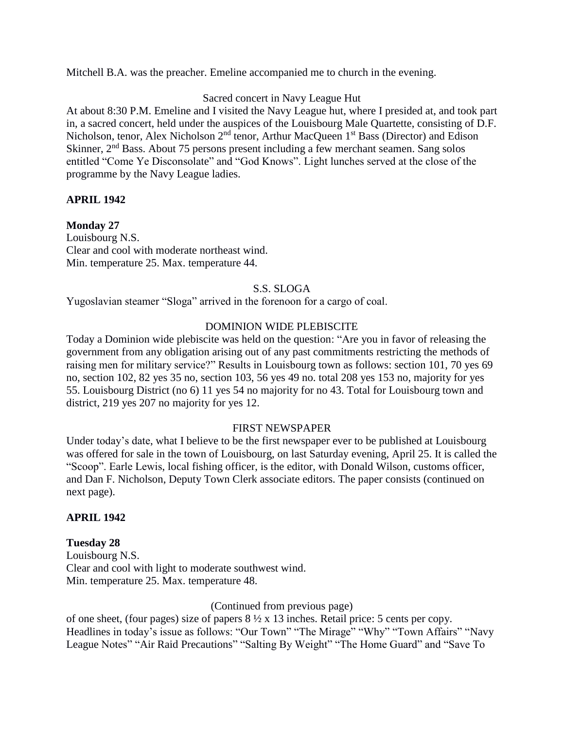Mitchell B.A. was the preacher. Emeline accompanied me to church in the evening.

# Sacred concert in Navy League Hut

At about 8:30 P.M. Emeline and I visited the Navy League hut, where I presided at, and took part in, a sacred concert, held under the auspices of the Louisbourg Male Quartette, consisting of D.F. Nicholson, tenor, Alex Nicholson 2<sup>nd</sup> tenor, Arthur MacQueen 1<sup>st</sup> Bass (Director) and Edison Skinner,  $2<sup>nd</sup>$  Bass. About 75 persons present including a few merchant seamen. Sang solos entitled "Come Ye Disconsolate" and "God Knows". Light lunches served at the close of the programme by the Navy League ladies.

# **APRIL 1942**

## **Monday 27**

Louisbourg N.S. Clear and cool with moderate northeast wind. Min. temperature 25. Max. temperature 44.

## S.S. SLOGA

Yugoslavian steamer "Sloga" arrived in the forenoon for a cargo of coal.

## DOMINION WIDE PLEBISCITE

Today a Dominion wide plebiscite was held on the question: "Are you in favor of releasing the government from any obligation arising out of any past commitments restricting the methods of raising men for military service?" Results in Louisbourg town as follows: section 101, 70 yes 69 no, section 102, 82 yes 35 no, section 103, 56 yes 49 no. total 208 yes 153 no, majority for yes 55. Louisbourg District (no 6) 11 yes 54 no majority for no 43. Total for Louisbourg town and district, 219 yes 207 no majority for yes 12.

#### FIRST NEWSPAPER

Under today's date, what I believe to be the first newspaper ever to be published at Louisbourg was offered for sale in the town of Louisbourg, on last Saturday evening, April 25. It is called the "Scoop". Earle Lewis, local fishing officer, is the editor, with Donald Wilson, customs officer, and Dan F. Nicholson, Deputy Town Clerk associate editors. The paper consists (continued on next page).

#### **APRIL 1942**

**Tuesday 28**  Louisbourg N.S. Clear and cool with light to moderate southwest wind. Min. temperature 25. Max. temperature 48.

(Continued from previous page)

of one sheet, (four pages) size of papers  $8\frac{1}{2} \times 13$  inches. Retail price: 5 cents per copy. Headlines in today's issue as follows: "Our Town" "The Mirage" "Why" "Town Affairs" "Navy League Notes" "Air Raid Precautions" "Salting By Weight" "The Home Guard" and "Save To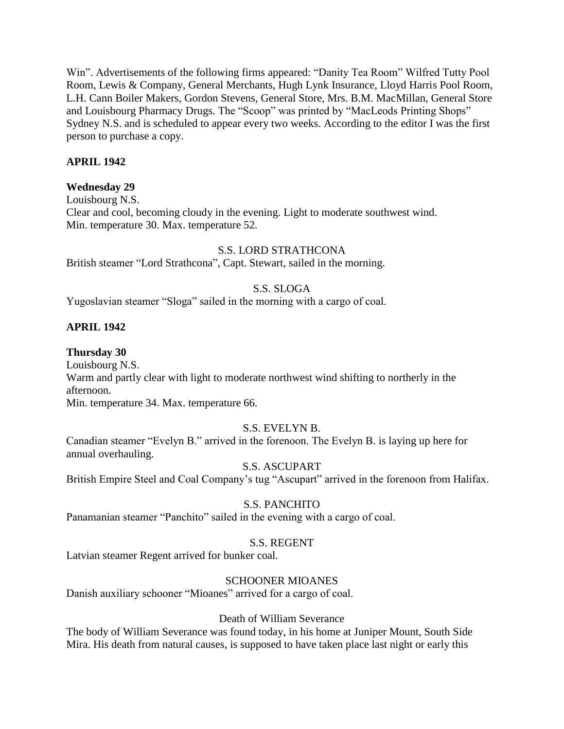Win". Advertisements of the following firms appeared: "Danity Tea Room" Wilfred Tutty Pool Room, Lewis & Company, General Merchants, Hugh Lynk Insurance, Lloyd Harris Pool Room, L.H. Cann Boiler Makers, Gordon Stevens, General Store, Mrs. B.M. MacMillan, General Store and Louisbourg Pharmacy Drugs. The "Scoop" was printed by "MacLeods Printing Shops" Sydney N.S. and is scheduled to appear every two weeks. According to the editor I was the first person to purchase a copy.

# **APRIL 1942**

# **Wednesday 29**

Louisbourg N.S. Clear and cool, becoming cloudy in the evening. Light to moderate southwest wind. Min. temperature 30. Max. temperature 52.

#### S.S. LORD STRATHCONA

British steamer "Lord Strathcona", Capt. Stewart, sailed in the morning.

# S.S. SLOGA

Yugoslavian steamer "Sloga" sailed in the morning with a cargo of coal.

# **APRIL 1942**

## **Thursday 30**

Louisbourg N.S.

Warm and partly clear with light to moderate northwest wind shifting to northerly in the afternoon.

Min. temperature 34. Max. temperature 66.

# S.S. EVELYN B.

Canadian steamer "Evelyn B." arrived in the forenoon. The Evelyn B. is laying up here for annual overhauling.

# S.S. ASCUPART

British Empire Steel and Coal Company's tug "Ascupart" arrived in the forenoon from Halifax.

# S.S. PANCHITO

Panamanian steamer "Panchito" sailed in the evening with a cargo of coal.

# S.S. REGENT

Latvian steamer Regent arrived for bunker coal.

# SCHOONER MIOANES

Danish auxiliary schooner "Mioanes" arrived for a cargo of coal.

### Death of William Severance

The body of William Severance was found today, in his home at Juniper Mount, South Side Mira. His death from natural causes, is supposed to have taken place last night or early this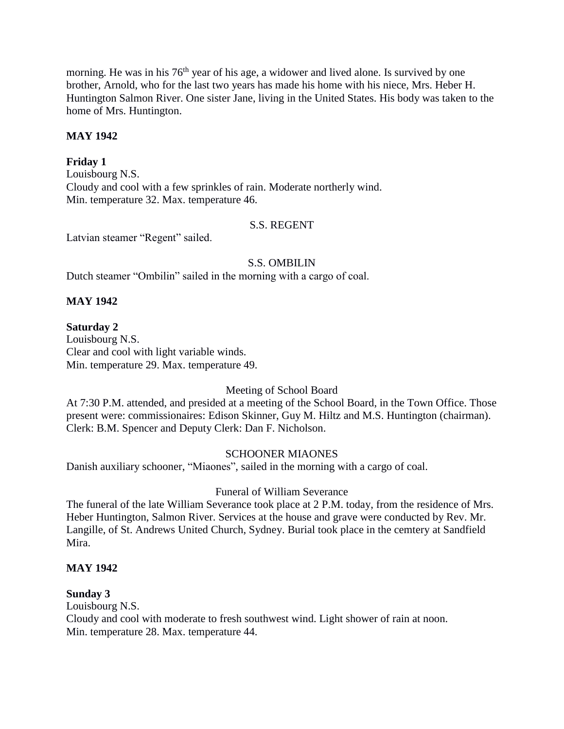morning. He was in his 76<sup>th</sup> year of his age, a widower and lived alone. Is survived by one brother, Arnold, who for the last two years has made his home with his niece, Mrs. Heber H. Huntington Salmon River. One sister Jane, living in the United States. His body was taken to the home of Mrs. Huntington.

# **MAY 1942**

# **Friday 1**

Louisbourg N.S. Cloudy and cool with a few sprinkles of rain. Moderate northerly wind. Min. temperature 32. Max. temperature 46.

#### S.S. REGENT

Latvian steamer "Regent" sailed.

#### S.S. OMBILIN

Dutch steamer "Ombilin" sailed in the morning with a cargo of coal.

## **MAY 1942**

## **Saturday 2**

Louisbourg N.S. Clear and cool with light variable winds. Min. temperature 29. Max. temperature 49.

# Meeting of School Board

At 7:30 P.M. attended, and presided at a meeting of the School Board, in the Town Office. Those present were: commissionaires: Edison Skinner, Guy M. Hiltz and M.S. Huntington (chairman). Clerk: B.M. Spencer and Deputy Clerk: Dan F. Nicholson.

#### SCHOONER MIAONES

Danish auxiliary schooner, "Miaones", sailed in the morning with a cargo of coal.

#### Funeral of William Severance

The funeral of the late William Severance took place at 2 P.M. today, from the residence of Mrs. Heber Huntington, Salmon River. Services at the house and grave were conducted by Rev. Mr. Langille, of St. Andrews United Church, Sydney. Burial took place in the cemtery at Sandfield Mira.

#### **MAY 1942**

#### **Sunday 3**

Louisbourg N.S.

Cloudy and cool with moderate to fresh southwest wind. Light shower of rain at noon. Min. temperature 28. Max. temperature 44.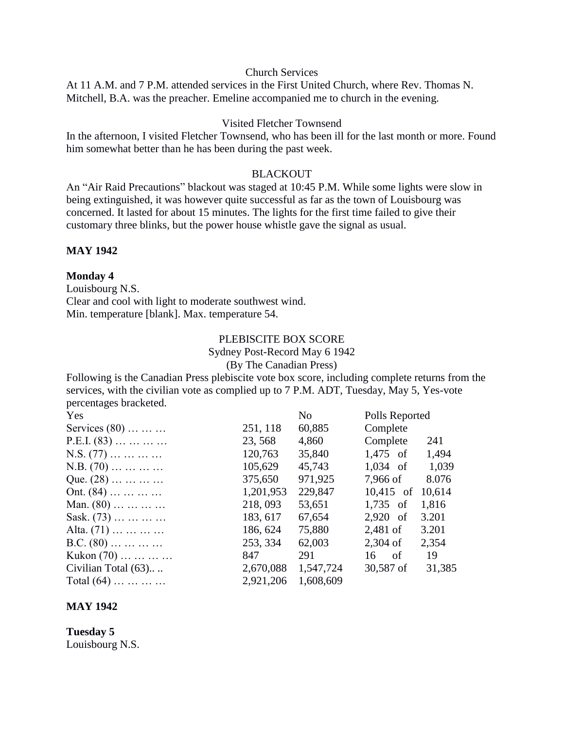#### Church Services

At 11 A.M. and 7 P.M. attended services in the First United Church, where Rev. Thomas N. Mitchell, B.A. was the preacher. Emeline accompanied me to church in the evening.

#### Visited Fletcher Townsend

In the afternoon, I visited Fletcher Townsend, who has been ill for the last month or more. Found him somewhat better than he has been during the past week.

#### **BLACKOUT**

An "Air Raid Precautions" blackout was staged at 10:45 P.M. While some lights were slow in being extinguished, it was however quite successful as far as the town of Louisbourg was concerned. It lasted for about 15 minutes. The lights for the first time failed to give their customary three blinks, but the power house whistle gave the signal as usual.

#### **MAY 1942**

#### **Monday 4**

Louisbourg N.S. Clear and cool with light to moderate southwest wind. Min. temperature [blank]. Max. temperature 54.

#### PLEBISCITE BOX SCORE Sydney Post-Record May 6 1942 (By The Canadian Press)

Following is the Canadian Press plebiscite vote box score, including complete returns from the services, with the civilian vote as complied up to 7 P.M. ADT, Tuesday, May 5, Yes-vote percentages bracketed.

| Yes                                       |           | N <sub>o</sub> | Polls Reported |        |
|-------------------------------------------|-----------|----------------|----------------|--------|
| Services $(80)$                           | 251, 118  | 60,885         | Complete       |        |
| $P.E.I. (83) \ldots \ldots \ldots \ldots$ | 23, 568   | 4,860          | Complete       | 241    |
| $N.S. (77) \ldots \ldots \ldots$          | 120,763   | 35,840         | $1,475$ of     | 1,494  |
| $N.B. (70) \ldots \ldots \ldots$          | 105,629   | 45,743         | $1,034$ of     | 1,039  |
| Que. $(28)$                               | 375,650   | 971,925        | 7,966 of       | 8.076  |
| Ont. $(84)$                               | 1,201,953 | 229,847        | $10,415$ of    | 10,614 |
| Man. $(80)$                               | 218, 093  | 53,651         | 1,735 of       | 1,816  |
| Sask. $(73)$                              | 183, 617  | 67,654         | $2,920$ of     | 3.201  |
| Alta. $(71)$                              | 186, 624  | 75,880         | 2,481 of       | 3.201  |
| $B.C. (80) \ldots \ldots \ldots \ldots$   | 253, 334  | 62,003         | $2,304$ of     | 2,354  |
| Kukon $(70)$                              | 847       | 291            | $16$ of        | 19     |
| Civilian Total (63)                       | 2,670,088 | 1,547,724      | 30,587 of      | 31,385 |
| Total $(64)$                              | 2,921,206 | 1,608,609      |                |        |

#### **MAY 1942**

**Tuesday 5** Louisbourg N.S.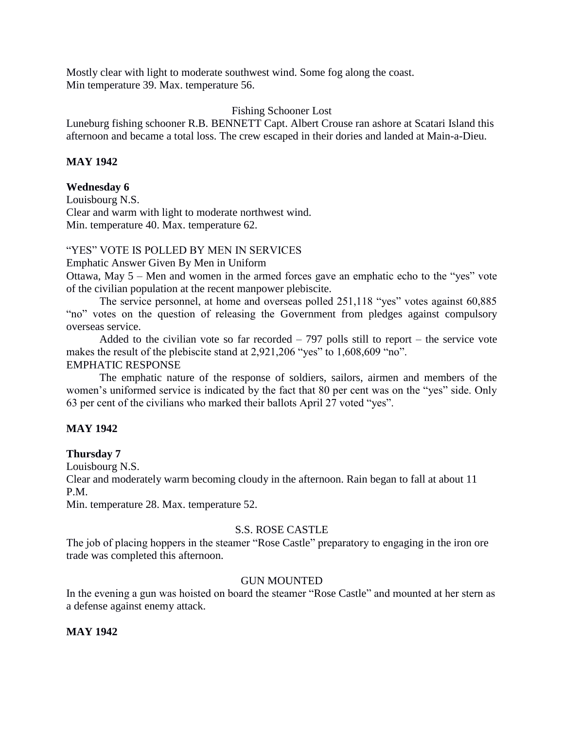Mostly clear with light to moderate southwest wind. Some fog along the coast. Min temperature 39. Max. temperature 56.

#### Fishing Schooner Lost

Luneburg fishing schooner R.B. BENNETT Capt. Albert Crouse ran ashore at Scatari Island this afternoon and became a total loss. The crew escaped in their dories and landed at Main-a-Dieu.

## **MAY 1942**

#### **Wednesday 6**

Louisbourg N.S. Clear and warm with light to moderate northwest wind. Min. temperature 40. Max. temperature 62.

#### "YES" VOTE IS POLLED BY MEN IN SERVICES

Emphatic Answer Given By Men in Uniform

Ottawa, May 5 – Men and women in the armed forces gave an emphatic echo to the "yes" vote of the civilian population at the recent manpower plebiscite.

The service personnel, at home and overseas polled 251,118 "yes" votes against 60,885 "no" votes on the question of releasing the Government from pledges against compulsory overseas service.

Added to the civilian vote so far recorded  $-797$  polls still to report  $-$  the service vote makes the result of the plebiscite stand at 2,921,206 "yes" to 1,608,609 "no". EMPHATIC RESPONSE

The emphatic nature of the response of soldiers, sailors, airmen and members of the women's uniformed service is indicated by the fact that 80 per cent was on the "yes" side. Only 63 per cent of the civilians who marked their ballots April 27 voted "yes".

#### **MAY 1942**

#### **Thursday 7**

Louisbourg N.S.

Clear and moderately warm becoming cloudy in the afternoon. Rain began to fall at about 11 P.M.

Min. temperature 28. Max. temperature 52.

#### S.S. ROSE CASTLE

The job of placing hoppers in the steamer "Rose Castle" preparatory to engaging in the iron ore trade was completed this afternoon.

#### GUN MOUNTED

In the evening a gun was hoisted on board the steamer "Rose Castle" and mounted at her stern as a defense against enemy attack.

#### **MAY 1942**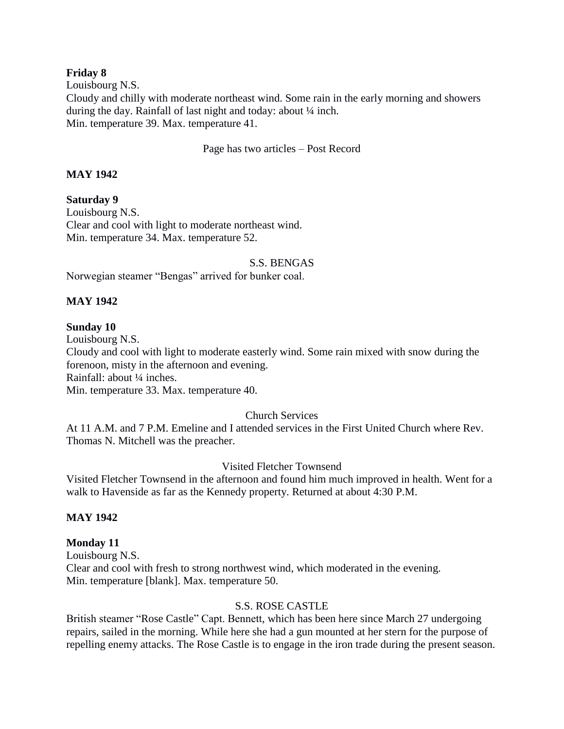#### **Friday 8**

Louisbourg N.S. Cloudy and chilly with moderate northeast wind. Some rain in the early morning and showers during the day. Rainfall of last night and today: about ¼ inch. Min. temperature 39. Max. temperature 41.

#### Page has two articles – Post Record

# **MAY 1942**

**Saturday 9** Louisbourg N.S. Clear and cool with light to moderate northeast wind. Min. temperature 34. Max. temperature 52.

#### S.S. BENGAS

Norwegian steamer "Bengas" arrived for bunker coal.

## **MAY 1942**

## **Sunday 10**

Louisbourg N.S. Cloudy and cool with light to moderate easterly wind. Some rain mixed with snow during the forenoon, misty in the afternoon and evening. Rainfall: about ¼ inches. Min. temperature 33. Max. temperature 40.

#### Church Services

At 11 A.M. and 7 P.M. Emeline and I attended services in the First United Church where Rev. Thomas N. Mitchell was the preacher.

#### Visited Fletcher Townsend

Visited Fletcher Townsend in the afternoon and found him much improved in health. Went for a walk to Havenside as far as the Kennedy property. Returned at about 4:30 P.M.

# **MAY 1942**

#### **Monday 11**

Louisbourg N.S. Clear and cool with fresh to strong northwest wind, which moderated in the evening. Min. temperature [blank]. Max. temperature 50.

#### S.S. ROSE CASTLE

British steamer "Rose Castle" Capt. Bennett, which has been here since March 27 undergoing repairs, sailed in the morning. While here she had a gun mounted at her stern for the purpose of repelling enemy attacks. The Rose Castle is to engage in the iron trade during the present season.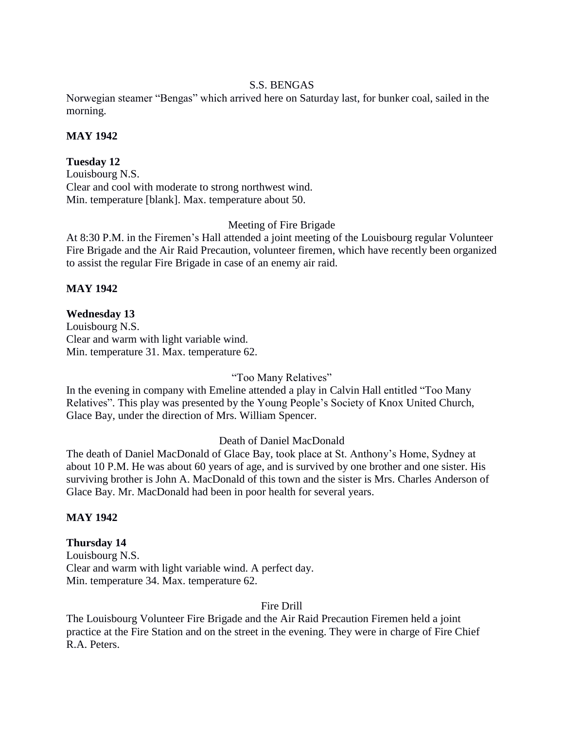### S.S. BENGAS

Norwegian steamer "Bengas" which arrived here on Saturday last, for bunker coal, sailed in the morning.

# **MAY 1942**

# **Tuesday 12**

Louisbourg N.S. Clear and cool with moderate to strong northwest wind. Min. temperature [blank]. Max. temperature about 50.

## Meeting of Fire Brigade

At 8:30 P.M. in the Firemen's Hall attended a joint meeting of the Louisbourg regular Volunteer Fire Brigade and the Air Raid Precaution, volunteer firemen, which have recently been organized to assist the regular Fire Brigade in case of an enemy air raid.

# **MAY 1942**

# **Wednesday 13**

Louisbourg N.S. Clear and warm with light variable wind. Min. temperature 31. Max. temperature 62.

#### "Too Many Relatives"

In the evening in company with Emeline attended a play in Calvin Hall entitled "Too Many Relatives". This play was presented by the Young People's Society of Knox United Church, Glace Bay, under the direction of Mrs. William Spencer.

# Death of Daniel MacDonald

The death of Daniel MacDonald of Glace Bay, took place at St. Anthony's Home, Sydney at about 10 P.M. He was about 60 years of age, and is survived by one brother and one sister. His surviving brother is John A. MacDonald of this town and the sister is Mrs. Charles Anderson of Glace Bay. Mr. MacDonald had been in poor health for several years.

#### **MAY 1942**

# **Thursday 14**

Louisbourg N.S. Clear and warm with light variable wind. A perfect day. Min. temperature 34. Max. temperature 62.

#### Fire Drill

The Louisbourg Volunteer Fire Brigade and the Air Raid Precaution Firemen held a joint practice at the Fire Station and on the street in the evening. They were in charge of Fire Chief R.A. Peters.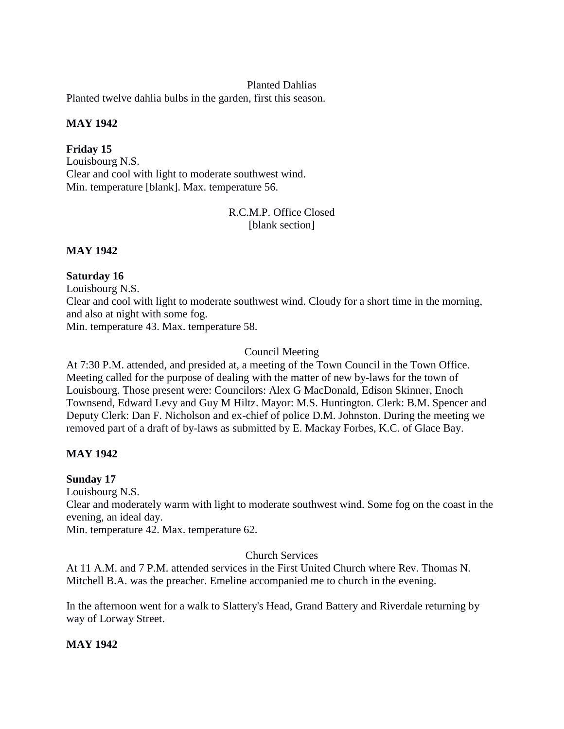#### Planted Dahlias

Planted twelve dahlia bulbs in the garden, first this season.

#### **MAY 1942**

**Friday 15** Louisbourg N.S. Clear and cool with light to moderate southwest wind. Min. temperature [blank]. Max. temperature 56.

# R.C.M.P. Office Closed [blank section]

## **MAY 1942**

## **Saturday 16**

Louisbourg N.S.

Clear and cool with light to moderate southwest wind. Cloudy for a short time in the morning, and also at night with some fog.

Min. temperature 43. Max. temperature 58.

# Council Meeting

At 7:30 P.M. attended, and presided at, a meeting of the Town Council in the Town Office. Meeting called for the purpose of dealing with the matter of new by-laws for the town of Louisbourg. Those present were: Councilors: Alex G MacDonald, Edison Skinner, Enoch Townsend, Edward Levy and Guy M Hiltz. Mayor: M.S. Huntington. Clerk: B.M. Spencer and Deputy Clerk: Dan F. Nicholson and ex-chief of police D.M. Johnston. During the meeting we removed part of a draft of by-laws as submitted by E. Mackay Forbes, K.C. of Glace Bay.

#### **MAY 1942**

# **Sunday 17**

Louisbourg N.S.

Clear and moderately warm with light to moderate southwest wind. Some fog on the coast in the evening, an ideal day.

Min. temperature 42. Max. temperature 62.

#### Church Services

At 11 A.M. and 7 P.M. attended services in the First United Church where Rev. Thomas N. Mitchell B.A. was the preacher. Emeline accompanied me to church in the evening.

In the afternoon went for a walk to Slattery's Head, Grand Battery and Riverdale returning by way of Lorway Street.

#### **MAY 1942**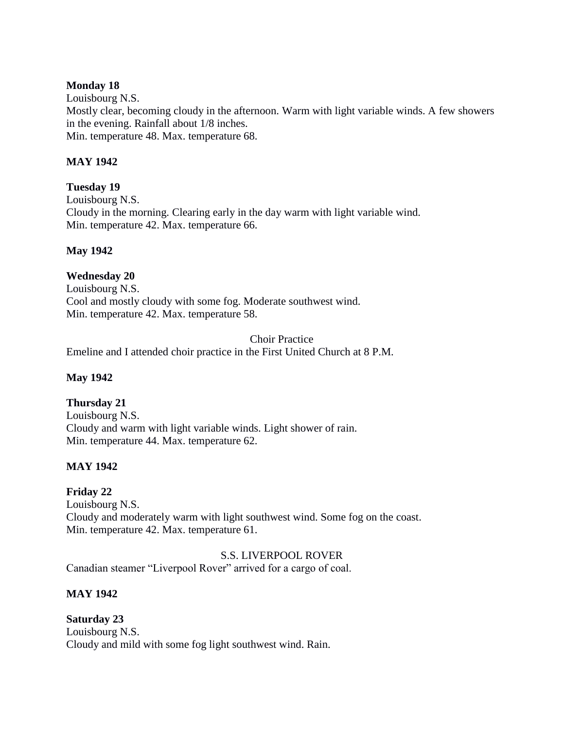### **Monday 18**

Louisbourg N.S. Mostly clear, becoming cloudy in the afternoon. Warm with light variable winds. A few showers in the evening. Rainfall about 1/8 inches. Min. temperature 48. Max. temperature 68.

# **MAY 1942**

# **Tuesday 19**

Louisbourg N.S. Cloudy in the morning. Clearing early in the day warm with light variable wind. Min. temperature 42. Max. temperature 66.

# **May 1942**

# **Wednesday 20**

Louisbourg N.S. Cool and mostly cloudy with some fog. Moderate southwest wind. Min. temperature 42. Max. temperature 58.

Choir Practice Emeline and I attended choir practice in the First United Church at 8 P.M.

# **May 1942**

# **Thursday 21**

Louisbourg N.S. Cloudy and warm with light variable winds. Light shower of rain. Min. temperature 44. Max. temperature 62.

# **MAY 1942**

# **Friday 22**

Louisbourg N.S. Cloudy and moderately warm with light southwest wind. Some fog on the coast. Min. temperature 42. Max. temperature 61.

#### S.S. LIVERPOOL ROVER

Canadian steamer "Liverpool Rover" arrived for a cargo of coal.

# **MAY 1942**

# **Saturday 23** Louisbourg N.S. Cloudy and mild with some fog light southwest wind. Rain.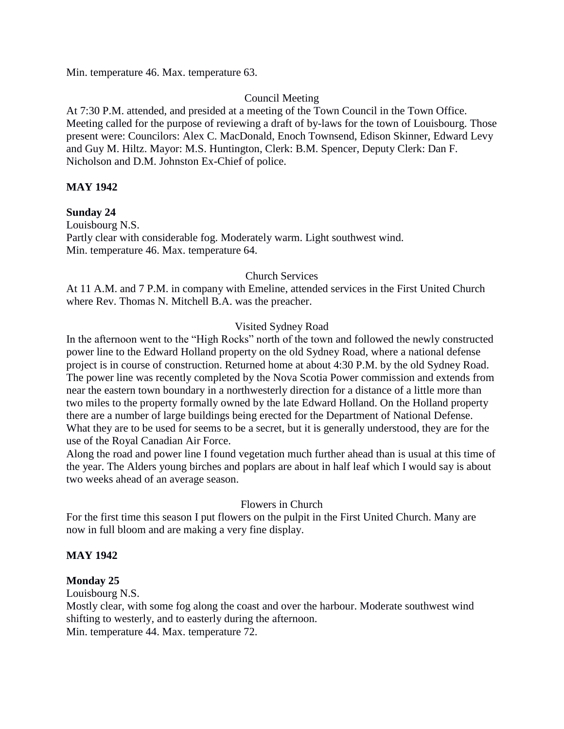Min. temperature 46. Max. temperature 63.

# Council Meeting

At 7:30 P.M. attended, and presided at a meeting of the Town Council in the Town Office. Meeting called for the purpose of reviewing a draft of by-laws for the town of Louisbourg. Those present were: Councilors: Alex C. MacDonald, Enoch Townsend, Edison Skinner, Edward Levy and Guy M. Hiltz. Mayor: M.S. Huntington, Clerk: B.M. Spencer, Deputy Clerk: Dan F. Nicholson and D.M. Johnston Ex-Chief of police.

## **MAY 1942**

**Sunday 24** Louisbourg N.S. Partly clear with considerable fog. Moderately warm. Light southwest wind. Min. temperature 46. Max. temperature 64.

## Church Services

At 11 A.M. and 7 P.M. in company with Emeline, attended services in the First United Church where Rev. Thomas N. Mitchell B.A. was the preacher.

## Visited Sydney Road

In the afternoon went to the "High Rocks" north of the town and followed the newly constructed power line to the Edward Holland property on the old Sydney Road, where a national defense project is in course of construction. Returned home at about 4:30 P.M. by the old Sydney Road. The power line was recently completed by the Nova Scotia Power commission and extends from near the eastern town boundary in a northwesterly direction for a distance of a little more than two miles to the property formally owned by the late Edward Holland. On the Holland property there are a number of large buildings being erected for the Department of National Defense. What they are to be used for seems to be a secret, but it is generally understood, they are for the use of the Royal Canadian Air Force.

Along the road and power line I found vegetation much further ahead than is usual at this time of the year. The Alders young birches and poplars are about in half leaf which I would say is about two weeks ahead of an average season.

#### Flowers in Church

For the first time this season I put flowers on the pulpit in the First United Church. Many are now in full bloom and are making a very fine display.

#### **MAY 1942**

#### **Monday 25**

Louisbourg N.S.

Mostly clear, with some fog along the coast and over the harbour. Moderate southwest wind shifting to westerly, and to easterly during the afternoon. Min. temperature 44. Max. temperature 72.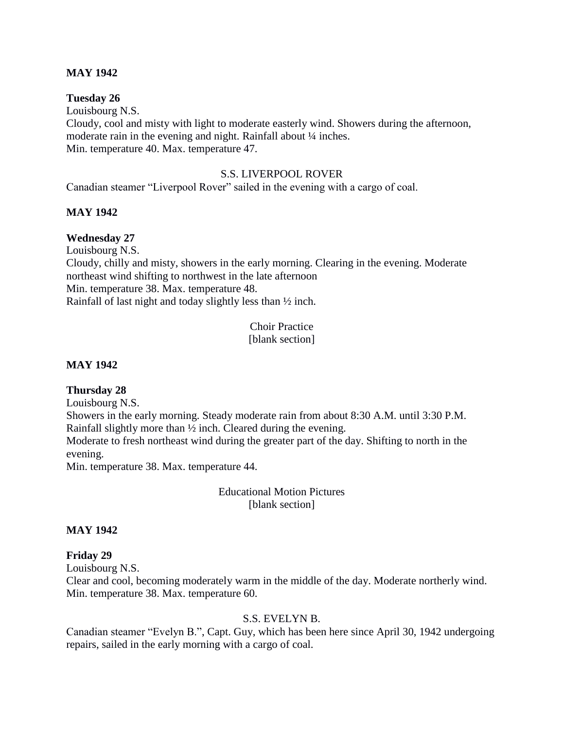#### **MAY 1942**

#### **Tuesday 26**

Louisbourg N.S. Cloudy, cool and misty with light to moderate easterly wind. Showers during the afternoon, moderate rain in the evening and night. Rainfall about  $\frac{1}{4}$  inches. Min. temperature 40. Max. temperature 47.

#### S.S. LIVERPOOL ROVER

Canadian steamer "Liverpool Rover" sailed in the evening with a cargo of coal.

#### **MAY 1942**

#### **Wednesday 27**

Louisbourg N.S.

Cloudy, chilly and misty, showers in the early morning. Clearing in the evening. Moderate northeast wind shifting to northwest in the late afternoon Min. temperature 38. Max. temperature 48. Rainfall of last night and today slightly less than ½ inch.

> Choir Practice [blank section]

#### **MAY 1942**

#### **Thursday 28**

Louisbourg N.S.

Showers in the early morning. Steady moderate rain from about 8:30 A.M. until 3:30 P.M. Rainfall slightly more than ½ inch. Cleared during the evening.

Moderate to fresh northeast wind during the greater part of the day. Shifting to north in the evening.

Min. temperature 38. Max. temperature 44.

Educational Motion Pictures [blank section]

#### **MAY 1942**

#### **Friday 29**

Louisbourg N.S.

Clear and cool, becoming moderately warm in the middle of the day. Moderate northerly wind. Min. temperature 38. Max. temperature 60.

#### S.S. EVELYN B.

Canadian steamer "Evelyn B.", Capt. Guy, which has been here since April 30, 1942 undergoing repairs, sailed in the early morning with a cargo of coal.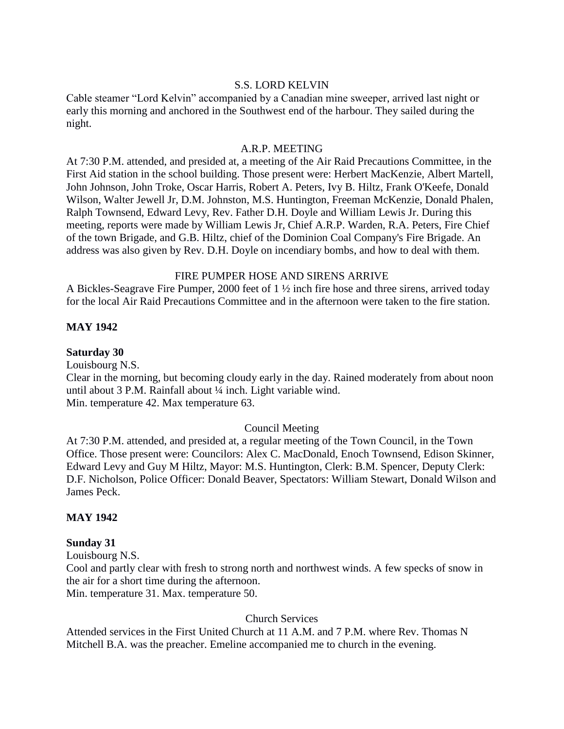#### S.S. LORD KELVIN

Cable steamer "Lord Kelvin" accompanied by a Canadian mine sweeper, arrived last night or early this morning and anchored in the Southwest end of the harbour. They sailed during the night.

#### A.R.P. MEETING

At 7:30 P.M. attended, and presided at, a meeting of the Air Raid Precautions Committee, in the First Aid station in the school building. Those present were: Herbert MacKenzie, Albert Martell, John Johnson, John Troke, Oscar Harris, Robert A. Peters, Ivy B. Hiltz, Frank O'Keefe, Donald Wilson, Walter Jewell Jr, D.M. Johnston, M.S. Huntington, Freeman McKenzie, Donald Phalen, Ralph Townsend, Edward Levy, Rev. Father D.H. Doyle and William Lewis Jr. During this meeting, reports were made by William Lewis Jr, Chief A.R.P. Warden, R.A. Peters, Fire Chief of the town Brigade, and G.B. Hiltz, chief of the Dominion Coal Company's Fire Brigade. An address was also given by Rev. D.H. Doyle on incendiary bombs, and how to deal with them.

#### FIRE PUMPER HOSE AND SIRENS ARRIVE

A Bickles-Seagrave Fire Pumper, 2000 feet of 1 ½ inch fire hose and three sirens, arrived today for the local Air Raid Precautions Committee and in the afternoon were taken to the fire station.

#### **MAY 1942**

#### **Saturday 30**

Louisbourg N.S.

Clear in the morning, but becoming cloudy early in the day. Rained moderately from about noon until about 3 P.M. Rainfall about ¼ inch. Light variable wind. Min. temperature 42. Max temperature 63.

#### Council Meeting

At 7:30 P.M. attended, and presided at, a regular meeting of the Town Council, in the Town Office. Those present were: Councilors: Alex C. MacDonald, Enoch Townsend, Edison Skinner, Edward Levy and Guy M Hiltz, Mayor: M.S. Huntington, Clerk: B.M. Spencer, Deputy Clerk: D.F. Nicholson, Police Officer: Donald Beaver, Spectators: William Stewart, Donald Wilson and James Peck.

#### **MAY 1942**

#### **Sunday 31**

Louisbourg N.S. Cool and partly clear with fresh to strong north and northwest winds. A few specks of snow in the air for a short time during the afternoon. Min. temperature 31. Max. temperature 50.

# Church Services

Attended services in the First United Church at 11 A.M. and 7 P.M. where Rev. Thomas N Mitchell B.A. was the preacher. Emeline accompanied me to church in the evening.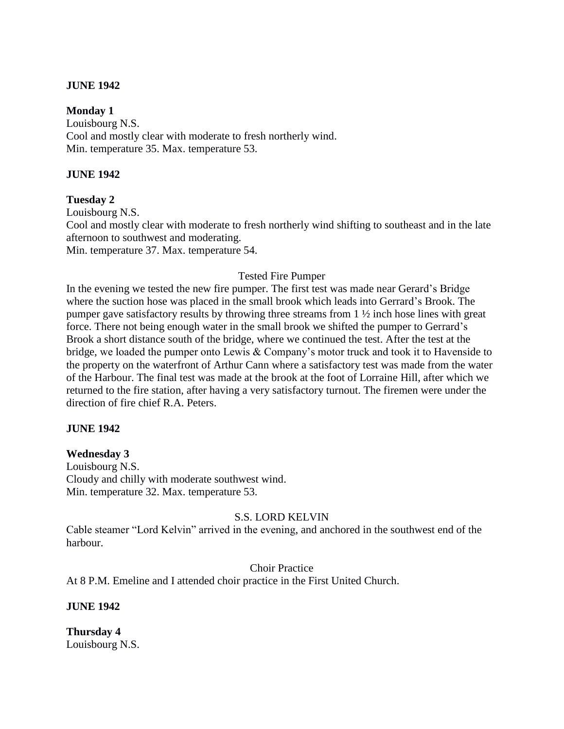#### **JUNE 1942**

#### **Monday 1**

Louisbourg N.S. Cool and mostly clear with moderate to fresh northerly wind. Min. temperature 35. Max. temperature 53.

#### **JUNE 1942**

**Tuesday 2** Louisbourg N.S. Cool and mostly clear with moderate to fresh northerly wind shifting to southeast and in the late afternoon to southwest and moderating. Min. temperature 37. Max. temperature 54.

## Tested Fire Pumper

In the evening we tested the new fire pumper. The first test was made near Gerard's Bridge where the suction hose was placed in the small brook which leads into Gerrard's Brook. The pumper gave satisfactory results by throwing three streams from 1 ½ inch hose lines with great force. There not being enough water in the small brook we shifted the pumper to Gerrard's Brook a short distance south of the bridge, where we continued the test. After the test at the bridge, we loaded the pumper onto Lewis & Company's motor truck and took it to Havenside to the property on the waterfront of Arthur Cann where a satisfactory test was made from the water of the Harbour. The final test was made at the brook at the foot of Lorraine Hill, after which we returned to the fire station, after having a very satisfactory turnout. The firemen were under the direction of fire chief R.A. Peters.

#### **JUNE 1942**

#### **Wednesday 3**

Louisbourg N.S. Cloudy and chilly with moderate southwest wind. Min. temperature 32. Max. temperature 53.

#### S.S. LORD KELVIN

Cable steamer "Lord Kelvin" arrived in the evening, and anchored in the southwest end of the harbour.

#### Choir Practice

At 8 P.M. Emeline and I attended choir practice in the First United Church.

**JUNE 1942**

**Thursday 4** Louisbourg N.S.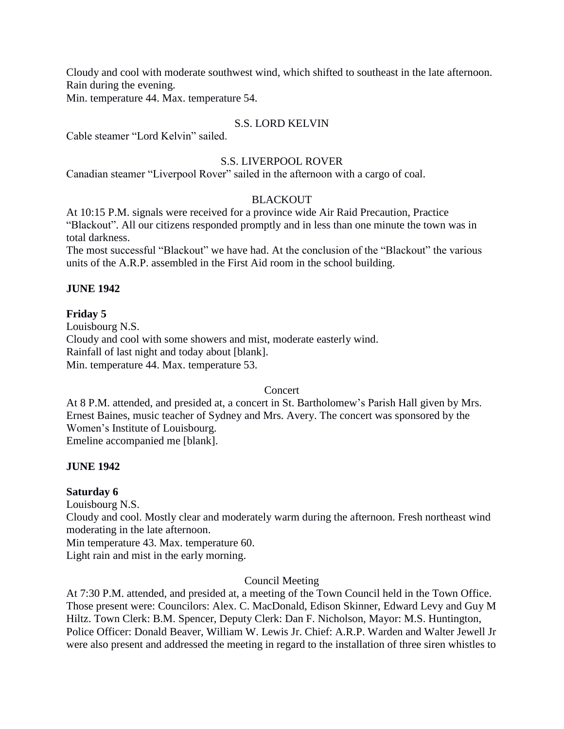Cloudy and cool with moderate southwest wind, which shifted to southeast in the late afternoon. Rain during the evening.

Min. temperature 44. Max. temperature 54.

# S.S. LORD KELVIN

Cable steamer "Lord Kelvin" sailed.

## S.S. LIVERPOOL ROVER

Canadian steamer "Liverpool Rover" sailed in the afternoon with a cargo of coal.

## **BLACKOUT**

At 10:15 P.M. signals were received for a province wide Air Raid Precaution, Practice "Blackout". All our citizens responded promptly and in less than one minute the town was in total darkness.

The most successful "Blackout" we have had. At the conclusion of the "Blackout" the various units of the A.R.P. assembled in the First Aid room in the school building.

## **JUNE 1942**

## **Friday 5**

Louisbourg N.S. Cloudy and cool with some showers and mist, moderate easterly wind. Rainfall of last night and today about [blank]. Min. temperature 44. Max. temperature 53.

#### Concert

At 8 P.M. attended, and presided at, a concert in St. Bartholomew's Parish Hall given by Mrs. Ernest Baines, music teacher of Sydney and Mrs. Avery. The concert was sponsored by the Women's Institute of Louisbourg. Emeline accompanied me [blank].

# **JUNE 1942**

#### **Saturday 6**

Louisbourg N.S.

Cloudy and cool. Mostly clear and moderately warm during the afternoon. Fresh northeast wind moderating in the late afternoon.

Min temperature 43. Max. temperature 60.

Light rain and mist in the early morning.

# Council Meeting

At 7:30 P.M. attended, and presided at, a meeting of the Town Council held in the Town Office. Those present were: Councilors: Alex. C. MacDonald, Edison Skinner, Edward Levy and Guy M Hiltz. Town Clerk: B.M. Spencer, Deputy Clerk: Dan F. Nicholson, Mayor: M.S. Huntington, Police Officer: Donald Beaver, William W. Lewis Jr. Chief: A.R.P. Warden and Walter Jewell Jr were also present and addressed the meeting in regard to the installation of three siren whistles to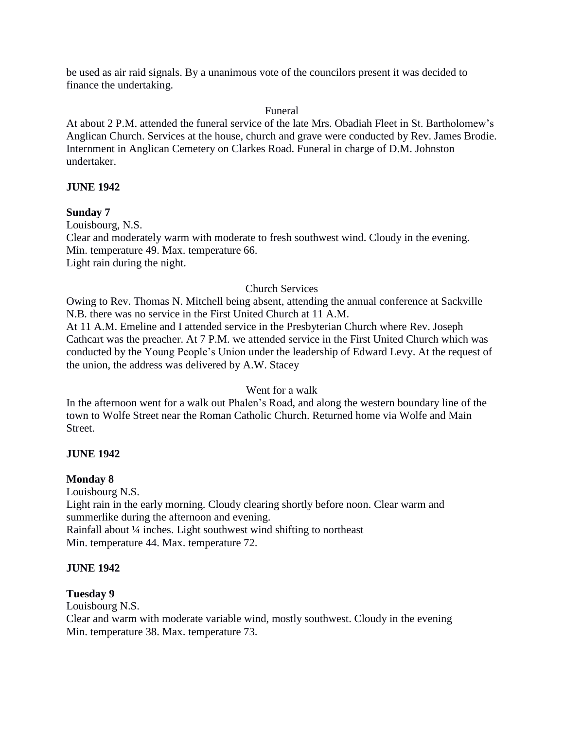be used as air raid signals. By a unanimous vote of the councilors present it was decided to finance the undertaking.

#### Funeral

At about 2 P.M. attended the funeral service of the late Mrs. Obadiah Fleet in St. Bartholomew's Anglican Church. Services at the house, church and grave were conducted by Rev. James Brodie. Internment in Anglican Cemetery on Clarkes Road. Funeral in charge of D.M. Johnston undertaker.

## **JUNE 1942**

**Sunday 7** Louisbourg, N.S. Clear and moderately warm with moderate to fresh southwest wind. Cloudy in the evening. Min. temperature 49. Max. temperature 66. Light rain during the night.

## Church Services

Owing to Rev. Thomas N. Mitchell being absent, attending the annual conference at Sackville N.B. there was no service in the First United Church at 11 A.M.

At 11 A.M. Emeline and I attended service in the Presbyterian Church where Rev. Joseph Cathcart was the preacher. At 7 P.M. we attended service in the First United Church which was conducted by the Young People's Union under the leadership of Edward Levy. At the request of the union, the address was delivered by A.W. Stacey

# Went for a walk

In the afternoon went for a walk out Phalen's Road, and along the western boundary line of the town to Wolfe Street near the Roman Catholic Church. Returned home via Wolfe and Main Street.

# **JUNE 1942**

#### **Monday 8**

Louisbourg N.S. Light rain in the early morning. Cloudy clearing shortly before noon. Clear warm and summerlike during the afternoon and evening. Rainfall about ¼ inches. Light southwest wind shifting to northeast Min. temperature 44. Max. temperature 72.

#### **JUNE 1942**

#### **Tuesday 9**

Louisbourg N.S.

Clear and warm with moderate variable wind, mostly southwest. Cloudy in the evening Min. temperature 38. Max. temperature 73.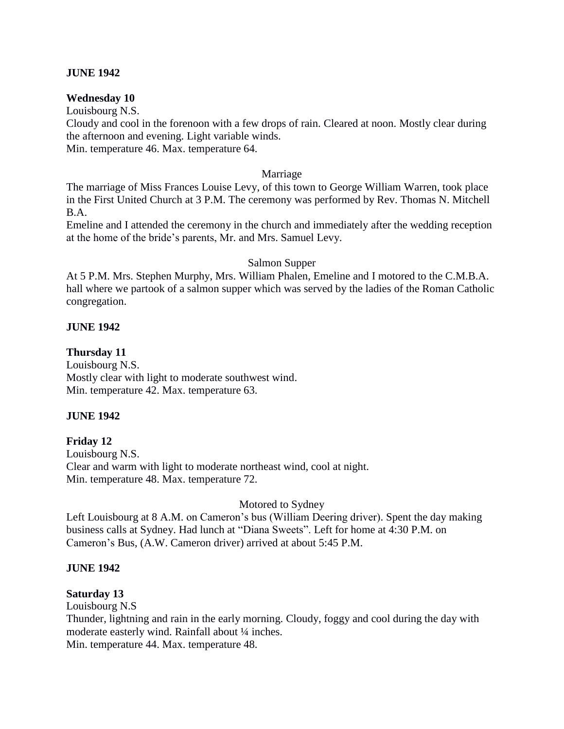#### **JUNE 1942**

#### **Wednesday 10**

Louisbourg N.S.

Cloudy and cool in the forenoon with a few drops of rain. Cleared at noon. Mostly clear during the afternoon and evening. Light variable winds.

Min. temperature 46. Max. temperature 64.

#### Marriage

The marriage of Miss Frances Louise Levy, of this town to George William Warren, took place in the First United Church at 3 P.M. The ceremony was performed by Rev. Thomas N. Mitchell B.A.

Emeline and I attended the ceremony in the church and immediately after the wedding reception at the home of the bride's parents, Mr. and Mrs. Samuel Levy.

#### Salmon Supper

At 5 P.M. Mrs. Stephen Murphy, Mrs. William Phalen, Emeline and I motored to the C.M.B.A. hall where we partook of a salmon supper which was served by the ladies of the Roman Catholic congregation.

#### **JUNE 1942**

#### **Thursday 11**

Louisbourg N.S. Mostly clear with light to moderate southwest wind. Min. temperature 42. Max. temperature 63.

#### **JUNE 1942**

#### **Friday 12**

Louisbourg N.S. Clear and warm with light to moderate northeast wind, cool at night. Min. temperature 48. Max. temperature 72.

#### Motored to Sydney

Left Louisbourg at 8 A.M. on Cameron's bus (William Deering driver). Spent the day making business calls at Sydney. Had lunch at "Diana Sweets". Left for home at 4:30 P.M. on Cameron's Bus, (A.W. Cameron driver) arrived at about 5:45 P.M.

#### **JUNE 1942**

#### **Saturday 13**

Louisbourg N.S

Thunder, lightning and rain in the early morning. Cloudy, foggy and cool during the day with moderate easterly wind. Rainfall about ¼ inches.

Min. temperature 44. Max. temperature 48.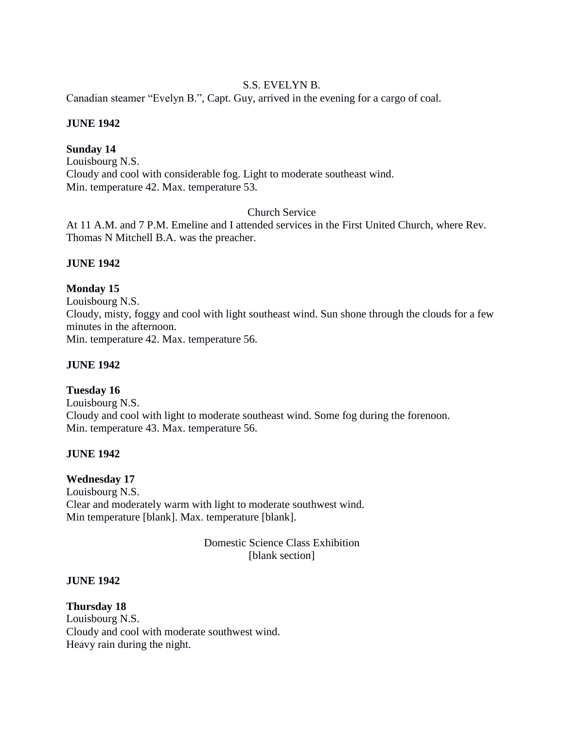# S.S. EVELYN B.

Canadian steamer "Evelyn B.", Capt. Guy, arrived in the evening for a cargo of coal.

#### **JUNE 1942**

# **Sunday 14**

Louisbourg N.S. Cloudy and cool with considerable fog. Light to moderate southeast wind. Min. temperature 42. Max. temperature 53.

## Church Service

At 11 A.M. and 7 P.M. Emeline and I attended services in the First United Church, where Rev. Thomas N Mitchell B.A. was the preacher.

## **JUNE 1942**

## **Monday 15**

Louisbourg N.S. Cloudy, misty, foggy and cool with light southeast wind. Sun shone through the clouds for a few minutes in the afternoon. Min. temperature 42. Max. temperature 56.

#### **JUNE 1942**

# **Tuesday 16** Louisbourg N.S. Cloudy and cool with light to moderate southeast wind. Some fog during the forenoon. Min. temperature 43. Max. temperature 56.

#### **JUNE 1942**

# **Wednesday 17**

Louisbourg N.S. Clear and moderately warm with light to moderate southwest wind. Min temperature [blank]. Max. temperature [blank].

> Domestic Science Class Exhibition [blank section]

#### **JUNE 1942**

**Thursday 18** Louisbourg N.S. Cloudy and cool with moderate southwest wind. Heavy rain during the night.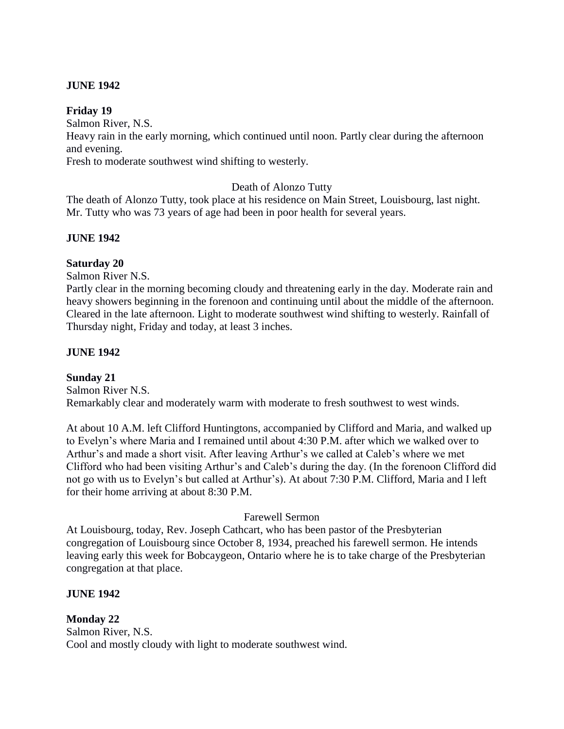# **JUNE 1942**

#### **Friday 19**

Salmon River, N.S.

Heavy rain in the early morning, which continued until noon. Partly clear during the afternoon and evening.

Fresh to moderate southwest wind shifting to westerly.

# Death of Alonzo Tutty

The death of Alonzo Tutty, took place at his residence on Main Street, Louisbourg, last night. Mr. Tutty who was 73 years of age had been in poor health for several years.

## **JUNE 1942**

## **Saturday 20**

Salmon River N.S.

Partly clear in the morning becoming cloudy and threatening early in the day. Moderate rain and heavy showers beginning in the forenoon and continuing until about the middle of the afternoon. Cleared in the late afternoon. Light to moderate southwest wind shifting to westerly. Rainfall of Thursday night, Friday and today, at least 3 inches.

## **JUNE 1942**

# **Sunday 21**

Salmon River N.S. Remarkably clear and moderately warm with moderate to fresh southwest to west winds.

At about 10 A.M. left Clifford Huntingtons, accompanied by Clifford and Maria, and walked up to Evelyn's where Maria and I remained until about 4:30 P.M. after which we walked over to Arthur's and made a short visit. After leaving Arthur's we called at Caleb's where we met Clifford who had been visiting Arthur's and Caleb's during the day. (In the forenoon Clifford did not go with us to Evelyn's but called at Arthur's). At about 7:30 P.M. Clifford, Maria and I left for their home arriving at about 8:30 P.M.

#### Farewell Sermon

At Louisbourg, today, Rev. Joseph Cathcart, who has been pastor of the Presbyterian congregation of Louisbourg since October 8, 1934, preached his farewell sermon. He intends leaving early this week for Bobcaygeon, Ontario where he is to take charge of the Presbyterian congregation at that place.

#### **JUNE 1942**

**Monday 22** Salmon River, N.S. Cool and mostly cloudy with light to moderate southwest wind.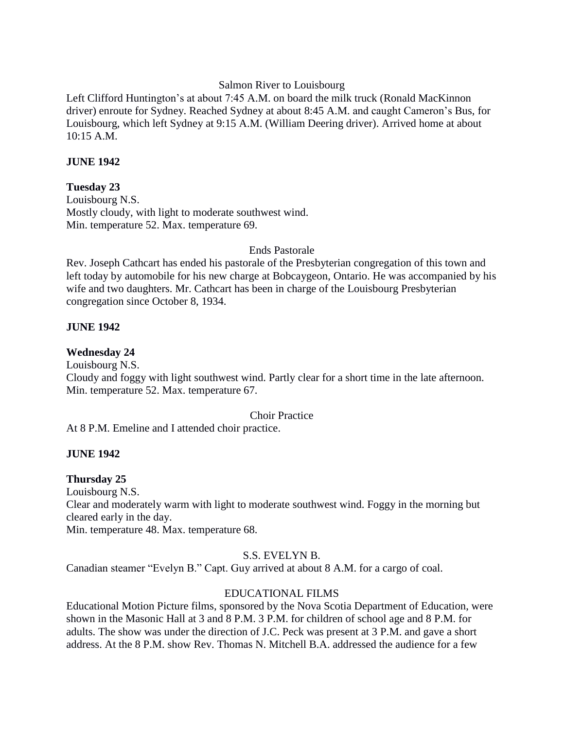#### Salmon River to Louisbourg

Left Clifford Huntington's at about 7:45 A.M. on board the milk truck (Ronald MacKinnon driver) enroute for Sydney. Reached Sydney at about 8:45 A.M. and caught Cameron's Bus, for Louisbourg, which left Sydney at 9:15 A.M. (William Deering driver). Arrived home at about 10:15 A.M.

#### **JUNE 1942**

#### **Tuesday 23**

Louisbourg N.S. Mostly cloudy, with light to moderate southwest wind. Min. temperature 52. Max. temperature 69.

#### Ends Pastorale

Rev. Joseph Cathcart has ended his pastorale of the Presbyterian congregation of this town and left today by automobile for his new charge at Bobcaygeon, Ontario. He was accompanied by his wife and two daughters. Mr. Cathcart has been in charge of the Louisbourg Presbyterian congregation since October 8, 1934.

#### **JUNE 1942**

#### **Wednesday 24**

Louisbourg N.S.

Cloudy and foggy with light southwest wind. Partly clear for a short time in the late afternoon. Min. temperature 52. Max. temperature 67.

#### Choir Practice

At 8 P.M. Emeline and I attended choir practice.

#### **JUNE 1942**

#### **Thursday 25**

Louisbourg N.S.

Clear and moderately warm with light to moderate southwest wind. Foggy in the morning but cleared early in the day.

Min. temperature 48. Max. temperature 68.

#### S.S. EVELYN B.

Canadian steamer "Evelyn B." Capt. Guy arrived at about 8 A.M. for a cargo of coal.

#### EDUCATIONAL FILMS

Educational Motion Picture films, sponsored by the Nova Scotia Department of Education, were shown in the Masonic Hall at 3 and 8 P.M. 3 P.M. for children of school age and 8 P.M. for adults. The show was under the direction of J.C. Peck was present at 3 P.M. and gave a short address. At the 8 P.M. show Rev. Thomas N. Mitchell B.A. addressed the audience for a few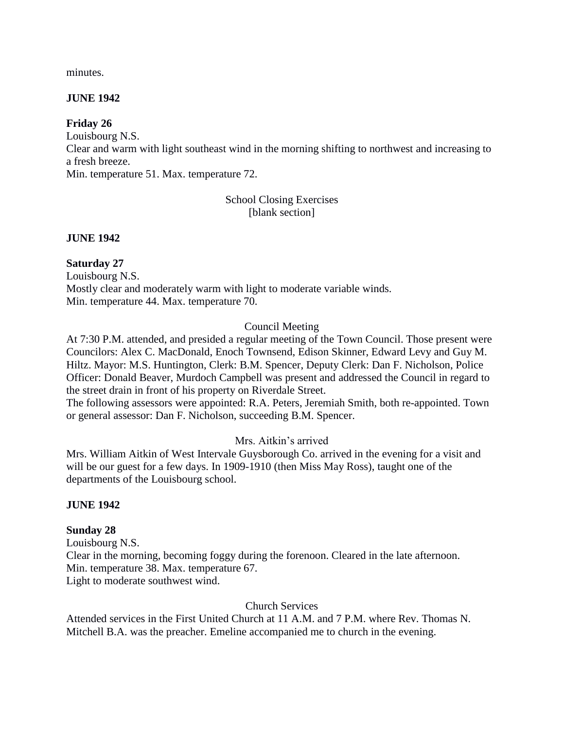minutes.

## **JUNE 1942**

### **Friday 26**

Louisbourg N.S.

Clear and warm with light southeast wind in the morning shifting to northwest and increasing to a fresh breeze.

Min. temperature 51. Max. temperature 72.

School Closing Exercises [blank section]

**JUNE 1942** 

# **Saturday 27**

Louisbourg N.S. Mostly clear and moderately warm with light to moderate variable winds. Min. temperature 44. Max. temperature 70.

# Council Meeting

At 7:30 P.M. attended, and presided a regular meeting of the Town Council. Those present were Councilors: Alex C. MacDonald, Enoch Townsend, Edison Skinner, Edward Levy and Guy M. Hiltz. Mayor: M.S. Huntington, Clerk: B.M. Spencer, Deputy Clerk: Dan F. Nicholson, Police Officer: Donald Beaver, Murdoch Campbell was present and addressed the Council in regard to the street drain in front of his property on Riverdale Street.

The following assessors were appointed: R.A. Peters, Jeremiah Smith, both re-appointed. Town or general assessor: Dan F. Nicholson, succeeding B.M. Spencer.

# Mrs. Aitkin's arrived

Mrs. William Aitkin of West Intervale Guysborough Co. arrived in the evening for a visit and will be our guest for a few days. In 1909-1910 (then Miss May Ross), taught one of the departments of the Louisbourg school.

### **JUNE 1942**

### **Sunday 28**

Louisbourg N.S. Clear in the morning, becoming foggy during the forenoon. Cleared in the late afternoon. Min. temperature 38. Max. temperature 67. Light to moderate southwest wind.

Church Services

Attended services in the First United Church at 11 A.M. and 7 P.M. where Rev. Thomas N. Mitchell B.A. was the preacher. Emeline accompanied me to church in the evening.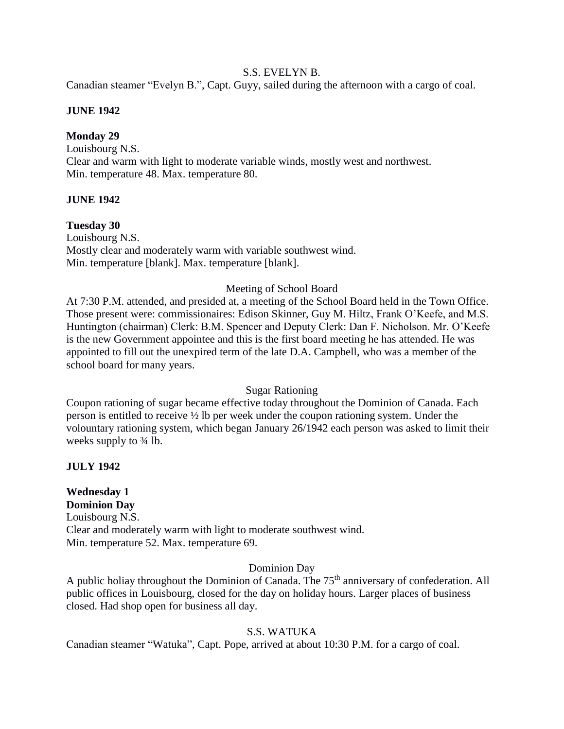#### S.S. EVELYN B.

Canadian steamer "Evelyn B.", Capt. Guyy, sailed during the afternoon with a cargo of coal.

### **JUNE 1942**

## **Monday 29**

Louisbourg N.S. Clear and warm with light to moderate variable winds, mostly west and northwest. Min. temperature 48. Max. temperature 80.

## **JUNE 1942**

## **Tuesday 30**

Louisbourg N.S. Mostly clear and moderately warm with variable southwest wind. Min. temperature [blank]. Max. temperature [blank].

## Meeting of School Board

At 7:30 P.M. attended, and presided at, a meeting of the School Board held in the Town Office. Those present were: commissionaires: Edison Skinner, Guy M. Hiltz, Frank O'Keefe, and M.S. Huntington (chairman) Clerk: B.M. Spencer and Deputy Clerk: Dan F. Nicholson. Mr. O'Keefe is the new Government appointee and this is the first board meeting he has attended. He was appointed to fill out the unexpired term of the late D.A. Campbell, who was a member of the school board for many years.

### Sugar Rationing

Coupon rationing of sugar became effective today throughout the Dominion of Canada. Each person is entitled to receive ½ lb per week under the coupon rationing system. Under the volountary rationing system, which began January 26/1942 each person was asked to limit their weeks supply to  $\frac{3}{4}$  lb.

### **JULY 1942**

### **Wednesday 1 Dominion Day**

Louisbourg N.S. Clear and moderately warm with light to moderate southwest wind. Min. temperature 52. Max. temperature 69.

### Dominion Day

A public holiay throughout the Dominion of Canada. The 75<sup>th</sup> anniversary of confederation. All public offices in Louisbourg, closed for the day on holiday hours. Larger places of business closed. Had shop open for business all day.

# S.S. WATUKA

Canadian steamer "Watuka", Capt. Pope, arrived at about 10:30 P.M. for a cargo of coal.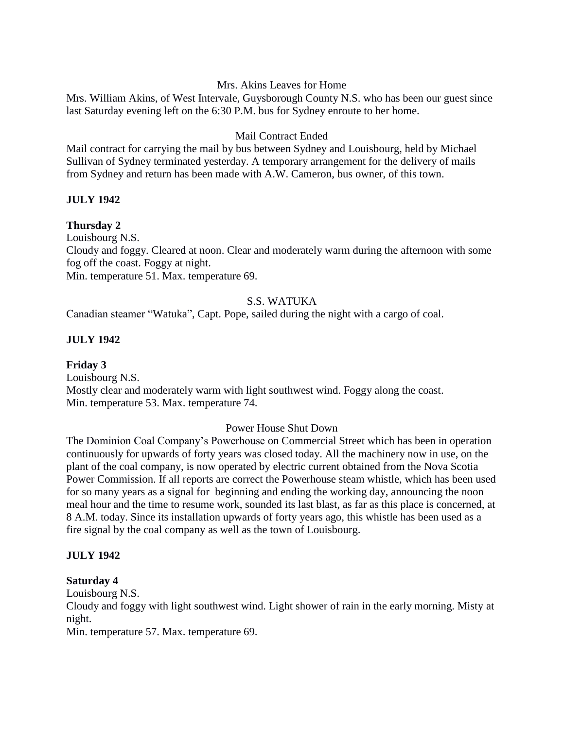### Mrs. Akins Leaves for Home

Mrs. William Akins, of West Intervale, Guysborough County N.S. who has been our guest since last Saturday evening left on the 6:30 P.M. bus for Sydney enroute to her home.

## Mail Contract Ended

Mail contract for carrying the mail by bus between Sydney and Louisbourg, held by Michael Sullivan of Sydney terminated yesterday. A temporary arrangement for the delivery of mails from Sydney and return has been made with A.W. Cameron, bus owner, of this town.

## **JULY 1942**

## **Thursday 2**

Louisbourg N.S.

Cloudy and foggy. Cleared at noon. Clear and moderately warm during the afternoon with some fog off the coast. Foggy at night.

Min. temperature 51. Max. temperature 69.

## S.S. WATUKA

Canadian steamer "Watuka", Capt. Pope, sailed during the night with a cargo of coal.

## **JULY 1942**

**Friday 3** Louisbourg N.S. Mostly clear and moderately warm with light southwest wind. Foggy along the coast. Min. temperature 53. Max. temperature 74.

### Power House Shut Down

The Dominion Coal Company's Powerhouse on Commercial Street which has been in operation continuously for upwards of forty years was closed today. All the machinery now in use, on the plant of the coal company, is now operated by electric current obtained from the Nova Scotia Power Commission. If all reports are correct the Powerhouse steam whistle, which has been used for so many years as a signal for beginning and ending the working day, announcing the noon meal hour and the time to resume work, sounded its last blast, as far as this place is concerned, at 8 A.M. today. Since its installation upwards of forty years ago, this whistle has been used as a fire signal by the coal company as well as the town of Louisbourg.

### **JULY 1942**

### **Saturday 4**

Louisbourg N.S.

Cloudy and foggy with light southwest wind. Light shower of rain in the early morning. Misty at night.

Min. temperature 57. Max. temperature 69.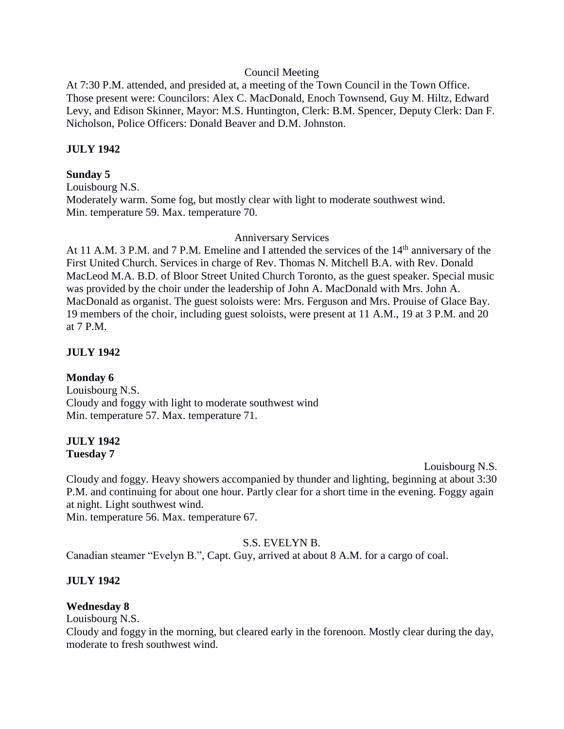#### Council Meeting

At 7:30 P.M. attended, and presided at, a meeting of the Town Council in the Town Office. Those present were: Councilors: Alex C. MacDonald, Enoch Townsend, Guy M. Hiltz, Edward Levy, and Edison Skinner, Mayor: M.S. Huntington, Clerk: B.M. Spencer, Deputy Clerk: Dan F. Nicholson, Police Officers: Donald Beaver and D.M. Johnston.

### **JULY 1942**

#### **Sunday 5**

Louisbourg N.S. Moderately warm. Some fog, but mostly clear with light to moderate southwest wind. Min. temperature 59. Max. temperature 70.

#### Anniversary Services

At 11 A.M. 3 P.M. and 7 P.M. Emeline and I attended the services of the 14<sup>th</sup> anniversary of the First United Church. Services in charge of Rev. Thomas N. Mitchell B.A. with Rev. Donald MacLeod M.A. B.D. of Bloor Street United Church Toronto, as the guest speaker. Special music was provided by the choir under the leadership of John A. MacDonald with Mrs. John A. MacDonald as organist. The guest soloists were: Mrs. Ferguson and Mrs. Prouise of Glace Bay. 19 members of the choir, including guest soloists, were present at 11 A.M., 19 at 3 P.M. and 20 at 7 P.M.

#### **JULY 1942**

#### **Monday 6**

Louisbourg N.S. Cloudy and foggy with light to moderate southwest wind Min. temperature 57. Max. temperature 71.

#### **JULY 1942 Tuesday 7**

Louisbourg N.S.

Cloudy and foggy. Heavy showers accompanied by thunder and lighting, beginning at about 3:30 P.M. and continuing for about one hour. Partly clear for a short time in the evening. Foggy again at night. Light southwest wind.

Min. temperature 56. Max. temperature 67.

### S.S. EVELYN B.

Canadian steamer "Evelyn B.", Capt. Guy, arrived at about 8 A.M. for a cargo of coal.

### **JULY 1942**

### **Wednesday 8**

Louisbourg N.S.

Cloudy and foggy in the morning, but cleared early in the forenoon. Mostly clear during the day, moderate to fresh southwest wind.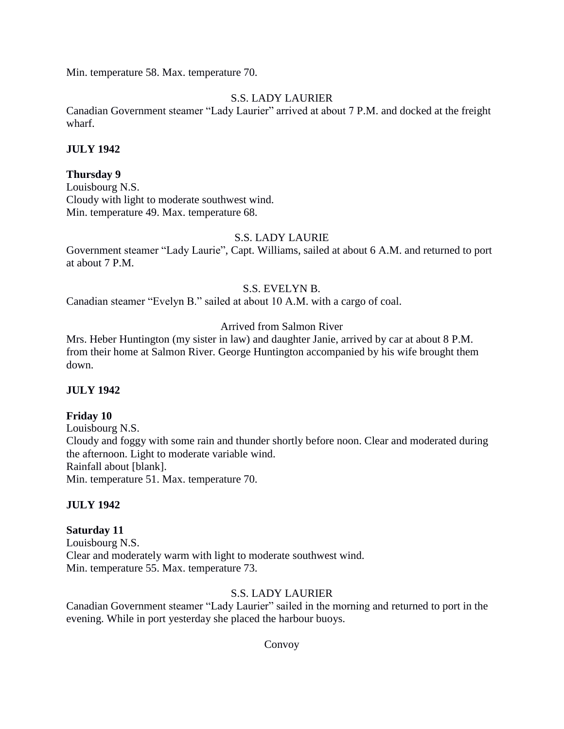Min. temperature 58. Max. temperature 70.

# S.S. LADY LAURIER

Canadian Government steamer "Lady Laurier" arrived at about 7 P.M. and docked at the freight wharf.

## **JULY 1942**

# **Thursday 9**

Louisbourg N.S. Cloudy with light to moderate southwest wind. Min. temperature 49. Max. temperature 68.

## S.S. LADY LAURIE

Government steamer "Lady Laurie", Capt. Williams, sailed at about 6 A.M. and returned to port at about 7 P.M.

# S.S. EVELYN B.

Canadian steamer "Evelyn B." sailed at about 10 A.M. with a cargo of coal.

# Arrived from Salmon River

Mrs. Heber Huntington (my sister in law) and daughter Janie, arrived by car at about 8 P.M. from their home at Salmon River. George Huntington accompanied by his wife brought them down.

# **JULY 1942**

### **Friday 10**

Louisbourg N.S. Cloudy and foggy with some rain and thunder shortly before noon. Clear and moderated during the afternoon. Light to moderate variable wind. Rainfall about [blank]. Min. temperature 51. Max. temperature 70.

### **JULY 1942**

### **Saturday 11**

Louisbourg N.S. Clear and moderately warm with light to moderate southwest wind. Min. temperature 55. Max. temperature 73.

# S.S. LADY LAURIER

Canadian Government steamer "Lady Laurier" sailed in the morning and returned to port in the evening. While in port yesterday she placed the harbour buoys.

# Convoy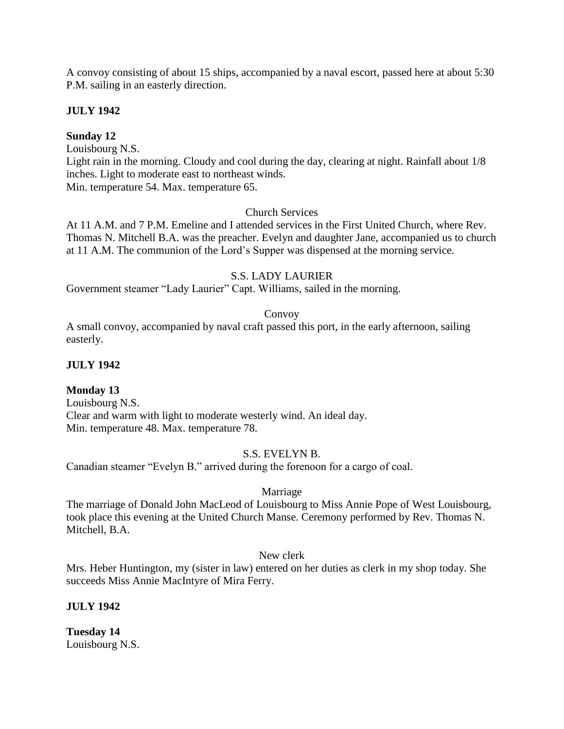A convoy consisting of about 15 ships, accompanied by a naval escort, passed here at about 5:30 P.M. sailing in an easterly direction.

# **JULY 1942**

## **Sunday 12**

Louisbourg N.S.

Light rain in the morning. Cloudy and cool during the day, clearing at night. Rainfall about 1/8 inches. Light to moderate east to northeast winds.

Min. temperature 54. Max. temperature 65.

## Church Services

At 11 A.M. and 7 P.M. Emeline and I attended services in the First United Church, where Rev. Thomas N. Mitchell B.A. was the preacher. Evelyn and daughter Jane, accompanied us to church at 11 A.M. The communion of the Lord's Supper was dispensed at the morning service.

# S.S. LADY LAURIER

Government steamer "Lady Laurier" Capt. Williams, sailed in the morning.

## Convoy

A small convoy, accompanied by naval craft passed this port, in the early afternoon, sailing easterly.

# **JULY 1942**

# **Monday 13**

Louisbourg N.S. Clear and warm with light to moderate westerly wind. An ideal day. Min. temperature 48. Max. temperature 78.

# S.S. EVELYN B.

Canadian steamer "Evelyn B." arrived during the forenoon for a cargo of coal.

# Marriage

The marriage of Donald John MacLeod of Louisbourg to Miss Annie Pope of West Louisbourg, took place this evening at the United Church Manse. Ceremony performed by Rev. Thomas N. Mitchell, B.A.

New clerk

Mrs. Heber Huntington, my (sister in law) entered on her duties as clerk in my shop today. She succeeds Miss Annie MacIntyre of Mira Ferry.

# **JULY 1942**

**Tuesday 14** Louisbourg N.S.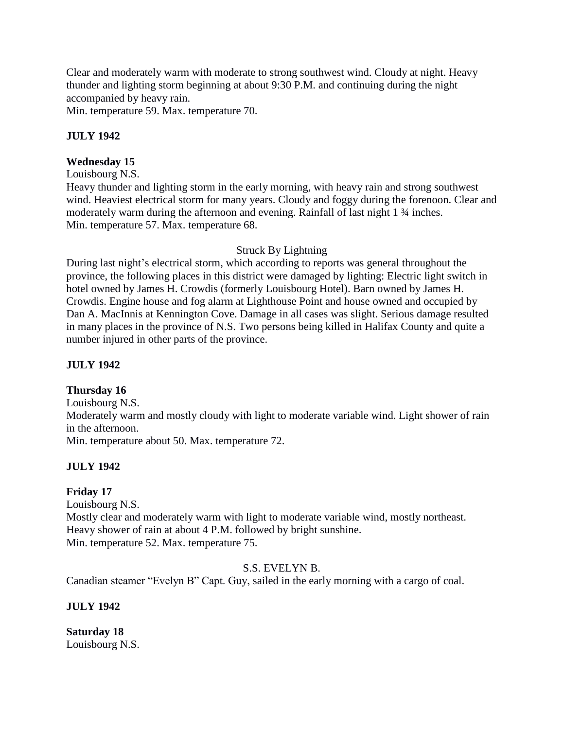Clear and moderately warm with moderate to strong southwest wind. Cloudy at night. Heavy thunder and lighting storm beginning at about 9:30 P.M. and continuing during the night accompanied by heavy rain.

Min. temperature 59. Max. temperature 70.

# **JULY 1942**

# **Wednesday 15**

Louisbourg N.S.

Heavy thunder and lighting storm in the early morning, with heavy rain and strong southwest wind. Heaviest electrical storm for many years. Cloudy and foggy during the forenoon. Clear and moderately warm during the afternoon and evening. Rainfall of last night 1 ¾ inches. Min. temperature 57. Max. temperature 68.

## Struck By Lightning

During last night's electrical storm, which according to reports was general throughout the province, the following places in this district were damaged by lighting: Electric light switch in hotel owned by James H. Crowdis (formerly Louisbourg Hotel). Barn owned by James H. Crowdis. Engine house and fog alarm at Lighthouse Point and house owned and occupied by Dan A. MacInnis at Kennington Cove. Damage in all cases was slight. Serious damage resulted in many places in the province of N.S. Two persons being killed in Halifax County and quite a number injured in other parts of the province.

# **JULY 1942**

# **Thursday 16**

Louisbourg N.S. Moderately warm and mostly cloudy with light to moderate variable wind. Light shower of rain in the afternoon. Min. temperature about 50. Max. temperature 72.

# **JULY 1942**

# **Friday 17**

Louisbourg N.S. Mostly clear and moderately warm with light to moderate variable wind, mostly northeast. Heavy shower of rain at about 4 P.M. followed by bright sunshine. Min. temperature 52. Max. temperature 75.

### S.S. EVELYN B.

Canadian steamer "Evelyn B" Capt. Guy, sailed in the early morning with a cargo of coal.

# **JULY 1942**

**Saturday 18** Louisbourg N.S.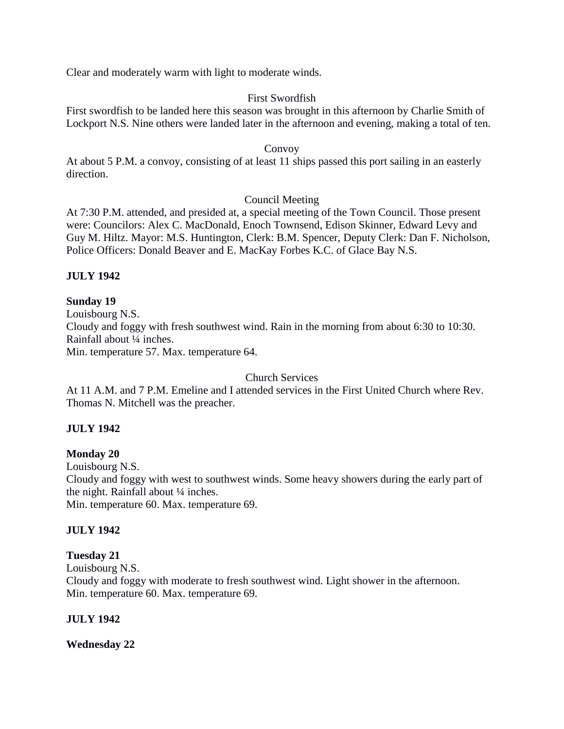Clear and moderately warm with light to moderate winds.

# First Swordfish

First swordfish to be landed here this season was brought in this afternoon by Charlie Smith of Lockport N.S. Nine others were landed later in the afternoon and evening, making a total of ten.

### Convoy

At about 5 P.M. a convoy, consisting of at least 11 ships passed this port sailing in an easterly direction.

## Council Meeting

At 7:30 P.M. attended, and presided at, a special meeting of the Town Council. Those present were: Councilors: Alex C. MacDonald, Enoch Townsend, Edison Skinner, Edward Levy and Guy M. Hiltz. Mayor: M.S. Huntington, Clerk: B.M. Spencer, Deputy Clerk: Dan F. Nicholson, Police Officers: Donald Beaver and E. MacKay Forbes K.C. of Glace Bay N.S.

# **JULY 1942**

# **Sunday 19**

Louisbourg N.S. Cloudy and foggy with fresh southwest wind. Rain in the morning from about 6:30 to 10:30. Rainfall about ¼ inches. Min. temperature 57. Max. temperature 64.

### Church Services

At 11 A.M. and 7 P.M. Emeline and I attended services in the First United Church where Rev. Thomas N. Mitchell was the preacher.

# **JULY 1942**

# **Monday 20**

Louisbourg N.S. Cloudy and foggy with west to southwest winds. Some heavy showers during the early part of

the night. Rainfall about 1/4 inches.

Min. temperature 60. Max. temperature 69.

# **JULY 1942**

# **Tuesday 21**

Louisbourg N.S.

Cloudy and foggy with moderate to fresh southwest wind. Light shower in the afternoon. Min. temperature 60. Max. temperature 69.

# **JULY 1942**

**Wednesday 22**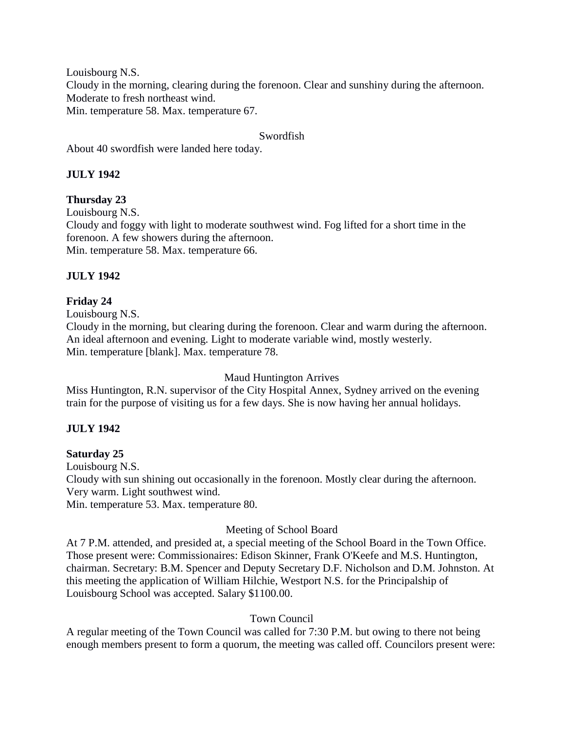Louisbourg N.S.

Cloudy in the morning, clearing during the forenoon. Clear and sunshiny during the afternoon. Moderate to fresh northeast wind.

Min. temperature 58. Max. temperature 67.

## Swordfish

About 40 swordfish were landed here today.

# **JULY 1942**

# **Thursday 23**

Louisbourg N.S.

Cloudy and foggy with light to moderate southwest wind. Fog lifted for a short time in the forenoon. A few showers during the afternoon. Min. temperature 58. Max. temperature 66.

# **JULY 1942**

# **Friday 24**

Louisbourg N.S.

Cloudy in the morning, but clearing during the forenoon. Clear and warm during the afternoon. An ideal afternoon and evening. Light to moderate variable wind, mostly westerly. Min. temperature [blank]. Max. temperature 78.

# Maud Huntington Arrives

Miss Huntington, R.N. supervisor of the City Hospital Annex, Sydney arrived on the evening train for the purpose of visiting us for a few days. She is now having her annual holidays.

# **JULY 1942**

# **Saturday 25**

Louisbourg N.S.

Cloudy with sun shining out occasionally in the forenoon. Mostly clear during the afternoon. Very warm. Light southwest wind.

Min. temperature 53. Max. temperature 80.

# Meeting of School Board

At 7 P.M. attended, and presided at, a special meeting of the School Board in the Town Office. Those present were: Commissionaires: Edison Skinner, Frank O'Keefe and M.S. Huntington, chairman. Secretary: B.M. Spencer and Deputy Secretary D.F. Nicholson and D.M. Johnston. At this meeting the application of William Hilchie, Westport N.S. for the Principalship of Louisbourg School was accepted. Salary \$1100.00.

# Town Council

A regular meeting of the Town Council was called for 7:30 P.M. but owing to there not being enough members present to form a quorum, the meeting was called off. Councilors present were: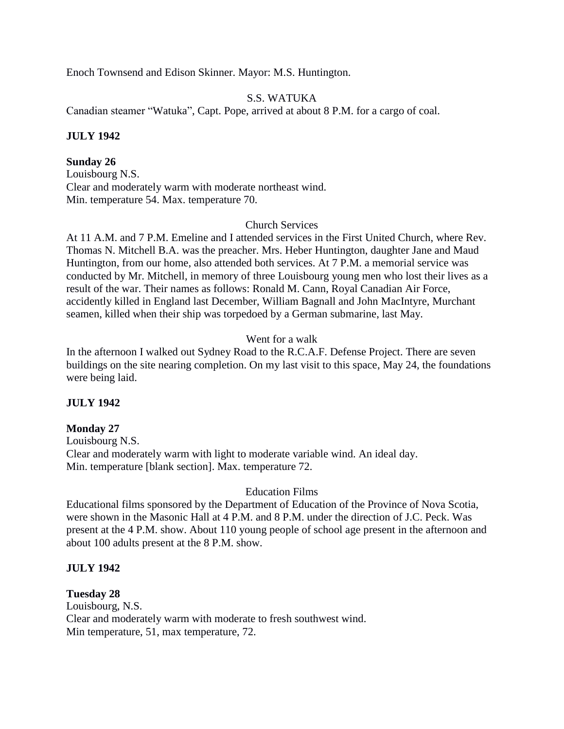Enoch Townsend and Edison Skinner. Mayor: M.S. Huntington.

### S.S. WATUKA

Canadian steamer "Watuka", Capt. Pope, arrived at about 8 P.M. for a cargo of coal.

### **JULY 1942**

## **Sunday 26**

Louisbourg N.S. Clear and moderately warm with moderate northeast wind. Min. temperature 54. Max. temperature 70.

### Church Services

At 11 A.M. and 7 P.M. Emeline and I attended services in the First United Church, where Rev. Thomas N. Mitchell B.A. was the preacher. Mrs. Heber Huntington, daughter Jane and Maud Huntington, from our home, also attended both services. At 7 P.M. a memorial service was conducted by Mr. Mitchell, in memory of three Louisbourg young men who lost their lives as a result of the war. Their names as follows: Ronald M. Cann, Royal Canadian Air Force, accidently killed in England last December, William Bagnall and John MacIntyre, Murchant seamen, killed when their ship was torpedoed by a German submarine, last May.

## Went for a walk

In the afternoon I walked out Sydney Road to the R.C.A.F. Defense Project. There are seven buildings on the site nearing completion. On my last visit to this space, May 24, the foundations were being laid.

### **JULY 1942**

### **Monday 27**

Louisbourg N.S. Clear and moderately warm with light to moderate variable wind. An ideal day. Min. temperature [blank section]. Max. temperature 72.

### Education Films

Educational films sponsored by the Department of Education of the Province of Nova Scotia, were shown in the Masonic Hall at 4 P.M. and 8 P.M. under the direction of J.C. Peck. Was present at the 4 P.M. show. About 110 young people of school age present in the afternoon and about 100 adults present at the 8 P.M. show.

# **JULY 1942**

**Tuesday 28** Louisbourg, N.S. Clear and moderately warm with moderate to fresh southwest wind. Min temperature, 51, max temperature, 72.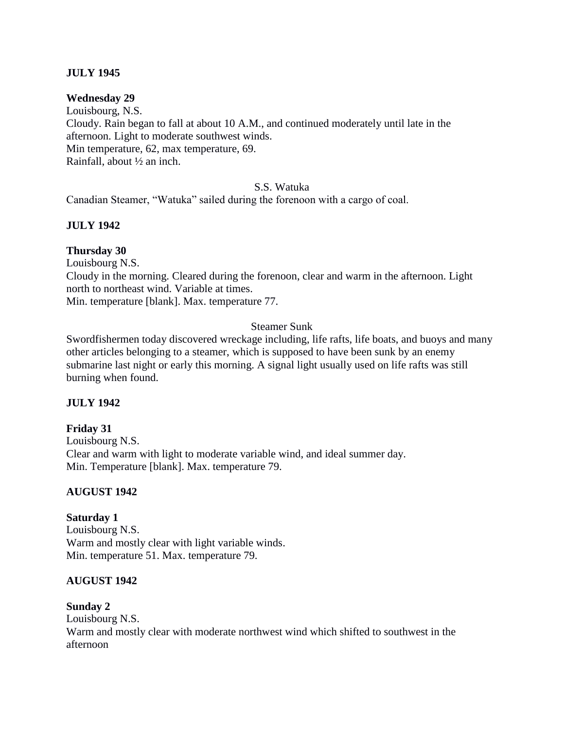## **JULY 1945**

#### **Wednesday 29**

Louisbourg, N.S. Cloudy. Rain began to fall at about 10 A.M., and continued moderately until late in the afternoon. Light to moderate southwest winds. Min temperature, 62, max temperature, 69. Rainfall, about ½ an inch.

#### S.S. Watuka

Canadian Steamer, "Watuka" sailed during the forenoon with a cargo of coal.

#### **JULY 1942**

#### **Thursday 30**

Louisbourg N.S.

Cloudy in the morning. Cleared during the forenoon, clear and warm in the afternoon. Light north to northeast wind. Variable at times.

Min. temperature [blank]. Max. temperature 77.

#### Steamer Sunk

Swordfishermen today discovered wreckage including, life rafts, life boats, and buoys and many other articles belonging to a steamer, which is supposed to have been sunk by an enemy submarine last night or early this morning. A signal light usually used on life rafts was still burning when found.

### **JULY 1942**

### **Friday 31**

Louisbourg N.S. Clear and warm with light to moderate variable wind, and ideal summer day. Min. Temperature [blank]. Max. temperature 79.

### **AUGUST 1942**

#### **Saturday 1**

Louisbourg N.S. Warm and mostly clear with light variable winds. Min. temperature 51. Max. temperature 79.

#### **AUGUST 1942**

### **Sunday 2**

Louisbourg N.S. Warm and mostly clear with moderate northwest wind which shifted to southwest in the afternoon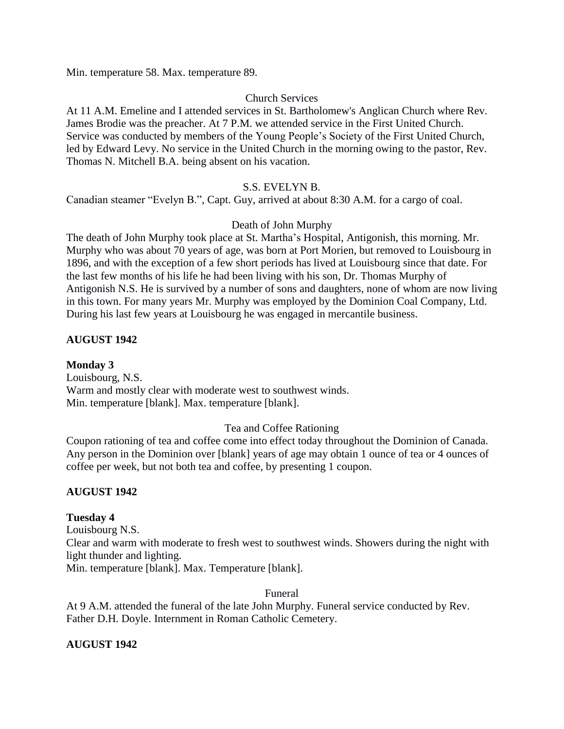Min. temperature 58. Max. temperature 89.

### Church Services

At 11 A.M. Emeline and I attended services in St. Bartholomew's Anglican Church where Rev. James Brodie was the preacher. At 7 P.M. we attended service in the First United Church. Service was conducted by members of the Young People's Society of the First United Church, led by Edward Levy. No service in the United Church in the morning owing to the pastor, Rev. Thomas N. Mitchell B.A. being absent on his vacation.

## S.S. EVELYN B.

Canadian steamer "Evelyn B.", Capt. Guy, arrived at about 8:30 A.M. for a cargo of coal.

## Death of John Murphy

The death of John Murphy took place at St. Martha's Hospital, Antigonish, this morning. Mr. Murphy who was about 70 years of age, was born at Port Morien, but removed to Louisbourg in 1896, and with the exception of a few short periods has lived at Louisbourg since that date. For the last few months of his life he had been living with his son, Dr. Thomas Murphy of Antigonish N.S. He is survived by a number of sons and daughters, none of whom are now living in this town. For many years Mr. Murphy was employed by the Dominion Coal Company, Ltd. During his last few years at Louisbourg he was engaged in mercantile business.

# **AUGUST 1942**

**Monday 3** Louisbourg, N.S. Warm and mostly clear with moderate west to southwest winds. Min. temperature [blank]. Max. temperature [blank].

# Tea and Coffee Rationing

Coupon rationing of tea and coffee come into effect today throughout the Dominion of Canada. Any person in the Dominion over [blank] years of age may obtain 1 ounce of tea or 4 ounces of coffee per week, but not both tea and coffee, by presenting 1 coupon.

### **AUGUST 1942**

### **Tuesday 4**

Louisbourg N.S.

Clear and warm with moderate to fresh west to southwest winds. Showers during the night with light thunder and lighting.

Min. temperature [blank]. Max. Temperature [blank].

### Funeral

At 9 A.M. attended the funeral of the late John Murphy. Funeral service conducted by Rev. Father D.H. Doyle. Internment in Roman Catholic Cemetery.

# **AUGUST 1942**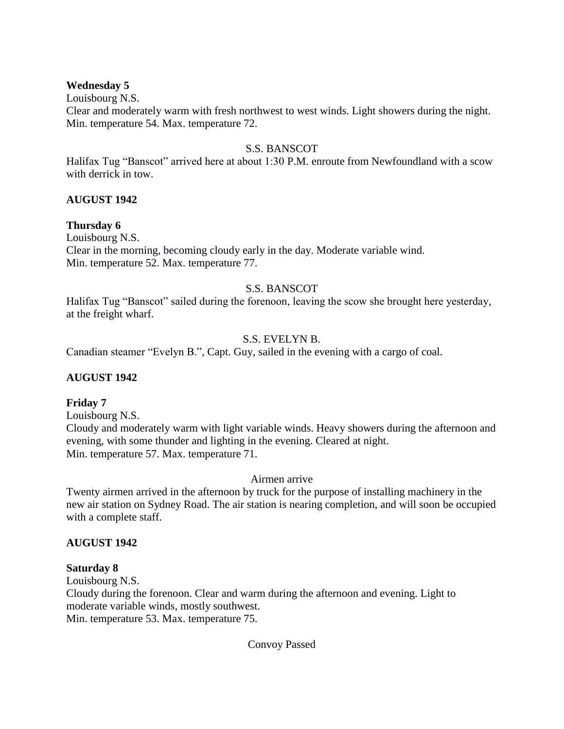### **Wednesday 5**

Louisbourg N.S.

Clear and moderately warm with fresh northwest to west winds. Light showers during the night. Min. temperature 54. Max. temperature 72.

## S.S. BANSCOT

Halifax Tug "Banscot" arrived here at about 1:30 P.M. enroute from Newfoundland with a scow with derrick in tow.

## **AUGUST 1942**

## **Thursday 6**

Louisbourg N.S. Clear in the morning, becoming cloudy early in the day. Moderate variable wind. Min. temperature 52. Max. temperature 77.

# S.S. BANSCOT

Halifax Tug "Banscot" sailed during the forenoon, leaving the scow she brought here yesterday, at the freight wharf.

## S.S. EVELYN B.

Canadian steamer "Evelyn B.", Capt. Guy, sailed in the evening with a cargo of coal.

# **AUGUST 1942**

### **Friday 7**

Louisbourg N.S.

Cloudy and moderately warm with light variable winds. Heavy showers during the afternoon and evening, with some thunder and lighting in the evening. Cleared at night. Min. temperature 57. Max. temperature 71.

### Airmen arrive

Twenty airmen arrived in the afternoon by truck for the purpose of installing machinery in the new air station on Sydney Road. The air station is nearing completion, and will soon be occupied with a complete staff.

### **AUGUST 1942**

### **Saturday 8**

Louisbourg N.S.

Cloudy during the forenoon. Clear and warm during the afternoon and evening. Light to moderate variable winds, mostly southwest. Min. temperature 53. Max. temperature 75.

### Convoy Passed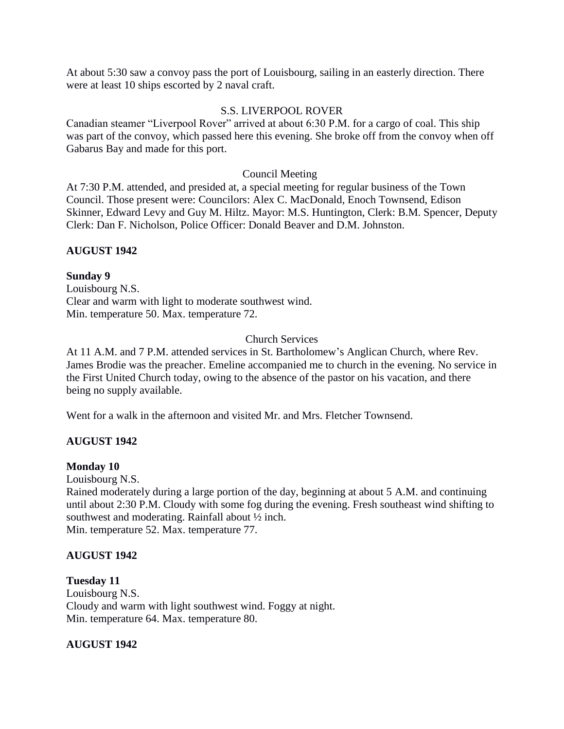At about 5:30 saw a convoy pass the port of Louisbourg, sailing in an easterly direction. There were at least 10 ships escorted by 2 naval craft.

### S.S. LIVERPOOL ROVER

Canadian steamer "Liverpool Rover" arrived at about 6:30 P.M. for a cargo of coal. This ship was part of the convoy, which passed here this evening. She broke off from the convoy when off Gabarus Bay and made for this port.

### Council Meeting

At 7:30 P.M. attended, and presided at, a special meeting for regular business of the Town Council. Those present were: Councilors: Alex C. MacDonald, Enoch Townsend, Edison Skinner, Edward Levy and Guy M. Hiltz. Mayor: M.S. Huntington, Clerk: B.M. Spencer, Deputy Clerk: Dan F. Nicholson, Police Officer: Donald Beaver and D.M. Johnston.

## **AUGUST 1942**

## **Sunday 9**

Louisbourg N.S. Clear and warm with light to moderate southwest wind. Min. temperature 50. Max. temperature 72.

## Church Services

At 11 A.M. and 7 P.M. attended services in St. Bartholomew's Anglican Church, where Rev. James Brodie was the preacher. Emeline accompanied me to church in the evening. No service in the First United Church today, owing to the absence of the pastor on his vacation, and there being no supply available.

Went for a walk in the afternoon and visited Mr. and Mrs. Fletcher Townsend.

# **AUGUST 1942**

### **Monday 10**

Louisbourg N.S.

Rained moderately during a large portion of the day, beginning at about 5 A.M. and continuing until about 2:30 P.M. Cloudy with some fog during the evening. Fresh southeast wind shifting to southwest and moderating. Rainfall about ½ inch. Min. temperature 52. Max. temperature 77.

### **AUGUST 1942**

### **Tuesday 11**

Louisbourg N.S. Cloudy and warm with light southwest wind. Foggy at night. Min. temperature 64. Max. temperature 80.

### **AUGUST 1942**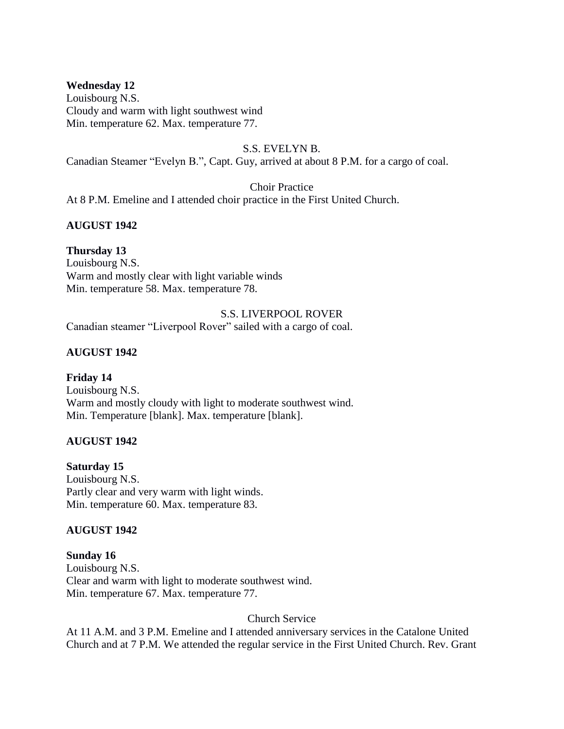## **Wednesday 12**

Louisbourg N.S. Cloudy and warm with light southwest wind Min. temperature 62. Max. temperature 77.

#### S.S. EVELYN B.

Canadian Steamer "Evelyn B.", Capt. Guy, arrived at about 8 P.M. for a cargo of coal.

Choir Practice

At 8 P.M. Emeline and I attended choir practice in the First United Church.

## **AUGUST 1942**

### **Thursday 13**

Louisbourg N.S. Warm and mostly clear with light variable winds Min. temperature 58. Max. temperature 78.

S.S. LIVERPOOL ROVER Canadian steamer "Liverpool Rover" sailed with a cargo of coal.

## **AUGUST 1942**

# **Friday 14**

Louisbourg N.S. Warm and mostly cloudy with light to moderate southwest wind. Min. Temperature [blank]. Max. temperature [blank].

### **AUGUST 1942**

### **Saturday 15**

Louisbourg N.S. Partly clear and very warm with light winds. Min. temperature 60. Max. temperature 83.

### **AUGUST 1942**

### **Sunday 16**

Louisbourg N.S. Clear and warm with light to moderate southwest wind. Min. temperature 67. Max. temperature 77.

### Church Service

At 11 A.M. and 3 P.M. Emeline and I attended anniversary services in the Catalone United Church and at 7 P.M. We attended the regular service in the First United Church. Rev. Grant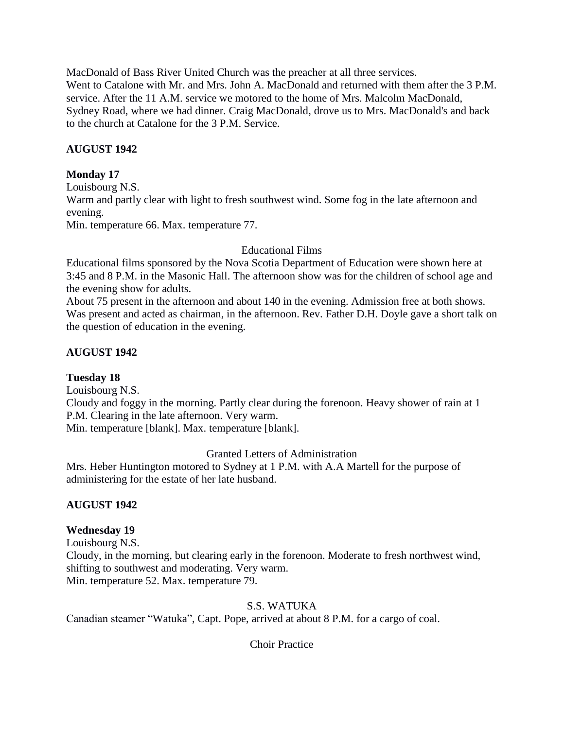MacDonald of Bass River United Church was the preacher at all three services. Went to Catalone with Mr. and Mrs. John A. MacDonald and returned with them after the 3 P.M. service. After the 11 A.M. service we motored to the home of Mrs. Malcolm MacDonald, Sydney Road, where we had dinner. Craig MacDonald, drove us to Mrs. MacDonald's and back to the church at Catalone for the 3 P.M. Service.

# **AUGUST 1942**

# **Monday 17**

Louisbourg N.S. Warm and partly clear with light to fresh southwest wind. Some fog in the late afternoon and evening. Min. temperature 66. Max. temperature 77.

# Educational Films

Educational films sponsored by the Nova Scotia Department of Education were shown here at 3:45 and 8 P.M. in the Masonic Hall. The afternoon show was for the children of school age and the evening show for adults.

About 75 present in the afternoon and about 140 in the evening. Admission free at both shows. Was present and acted as chairman, in the afternoon. Rev. Father D.H. Doyle gave a short talk on the question of education in the evening.

# **AUGUST 1942**

# **Tuesday 18**

Louisbourg N.S.

Cloudy and foggy in the morning. Partly clear during the forenoon. Heavy shower of rain at 1 P.M. Clearing in the late afternoon. Very warm. Min. temperature [blank]. Max. temperature [blank].

Granted Letters of Administration

Mrs. Heber Huntington motored to Sydney at 1 P.M. with A.A Martell for the purpose of administering for the estate of her late husband.

# **AUGUST 1942**

# **Wednesday 19**

Louisbourg N.S. Cloudy, in the morning, but clearing early in the forenoon. Moderate to fresh northwest wind, shifting to southwest and moderating. Very warm. Min. temperature 52. Max. temperature 79.

S.S. WATUKA

Canadian steamer "Watuka", Capt. Pope, arrived at about 8 P.M. for a cargo of coal.

Choir Practice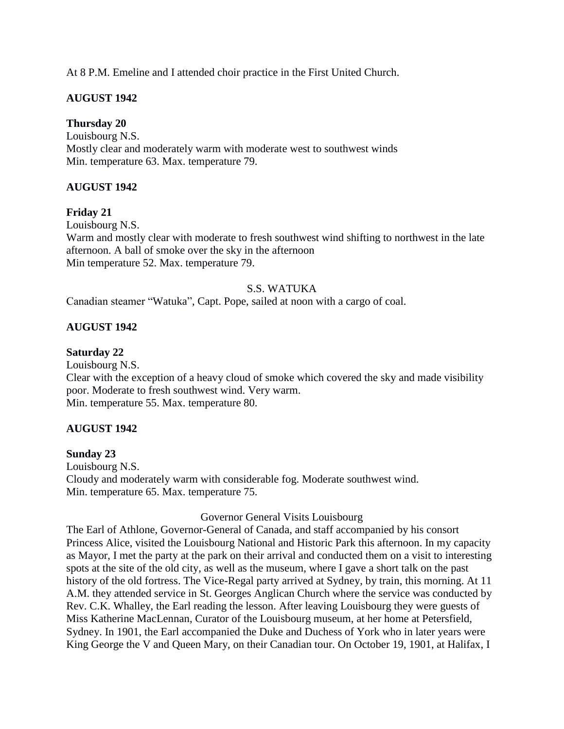At 8 P.M. Emeline and I attended choir practice in the First United Church.

# **AUGUST 1942**

## **Thursday 20**

Louisbourg N.S. Mostly clear and moderately warm with moderate west to southwest winds Min. temperature 63. Max. temperature 79.

# **AUGUST 1942**

## **Friday 21**

Louisbourg N.S. Warm and mostly clear with moderate to fresh southwest wind shifting to northwest in the late afternoon. A ball of smoke over the sky in the afternoon Min temperature 52. Max. temperature 79.

## S.S. WATUKA

Canadian steamer "Watuka", Capt. Pope, sailed at noon with a cargo of coal.

# **AUGUST 1942**

### **Saturday 22**

Louisbourg N.S. Clear with the exception of a heavy cloud of smoke which covered the sky and made visibility poor. Moderate to fresh southwest wind. Very warm. Min. temperature 55. Max. temperature 80.

### **AUGUST 1942**

### **Sunday 23**

Louisbourg N.S. Cloudy and moderately warm with considerable fog. Moderate southwest wind. Min. temperature 65. Max. temperature 75.

### Governor General Visits Louisbourg

The Earl of Athlone, Governor-General of Canada, and staff accompanied by his consort Princess Alice, visited the Louisbourg National and Historic Park this afternoon. In my capacity as Mayor, I met the party at the park on their arrival and conducted them on a visit to interesting spots at the site of the old city, as well as the museum, where I gave a short talk on the past history of the old fortress. The Vice-Regal party arrived at Sydney, by train, this morning. At 11 A.M. they attended service in St. Georges Anglican Church where the service was conducted by Rev. C.K. Whalley, the Earl reading the lesson. After leaving Louisbourg they were guests of Miss Katherine MacLennan, Curator of the Louisbourg museum, at her home at Petersfield, Sydney. In 1901, the Earl accompanied the Duke and Duchess of York who in later years were King George the V and Queen Mary, on their Canadian tour. On October 19, 1901, at Halifax, I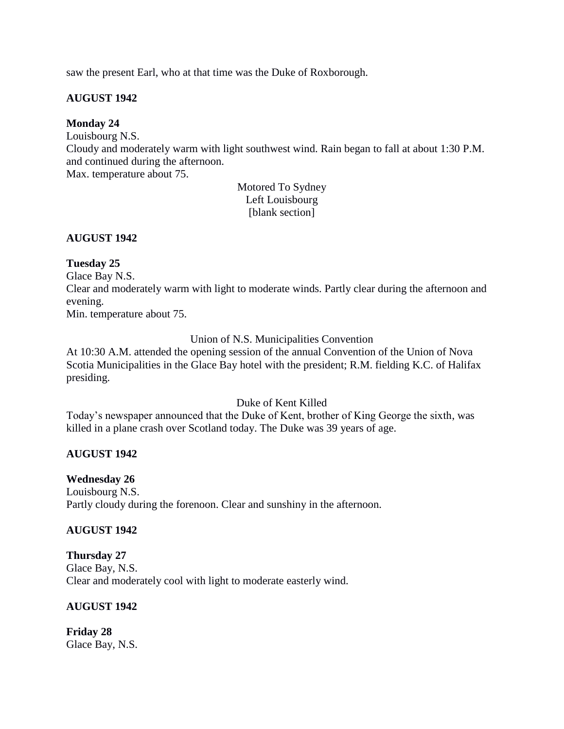saw the present Earl, who at that time was the Duke of Roxborough.

## **AUGUST 1942**

## **Monday 24**

Louisbourg N.S.

Cloudy and moderately warm with light southwest wind. Rain began to fall at about 1:30 P.M. and continued during the afternoon.

Max. temperature about 75.

Motored To Sydney Left Louisbourg [blank section]

## **AUGUST 1942**

## **Tuesday 25**

Glace Bay N.S.

Clear and moderately warm with light to moderate winds. Partly clear during the afternoon and evening.

Min. temperature about 75.

Union of N.S. Municipalities Convention

At 10:30 A.M. attended the opening session of the annual Convention of the Union of Nova Scotia Municipalities in the Glace Bay hotel with the president; R.M. fielding K.C. of Halifax presiding.

Duke of Kent Killed

Today's newspaper announced that the Duke of Kent, brother of King George the sixth, was killed in a plane crash over Scotland today. The Duke was 39 years of age.

# **AUGUST 1942**

# **Wednesday 26**

Louisbourg N.S. Partly cloudy during the forenoon. Clear and sunshiny in the afternoon.

### **AUGUST 1942**

### **Thursday 27**

Glace Bay, N.S. Clear and moderately cool with light to moderate easterly wind.

# **AUGUST 1942**

**Friday 28**  Glace Bay, N.S.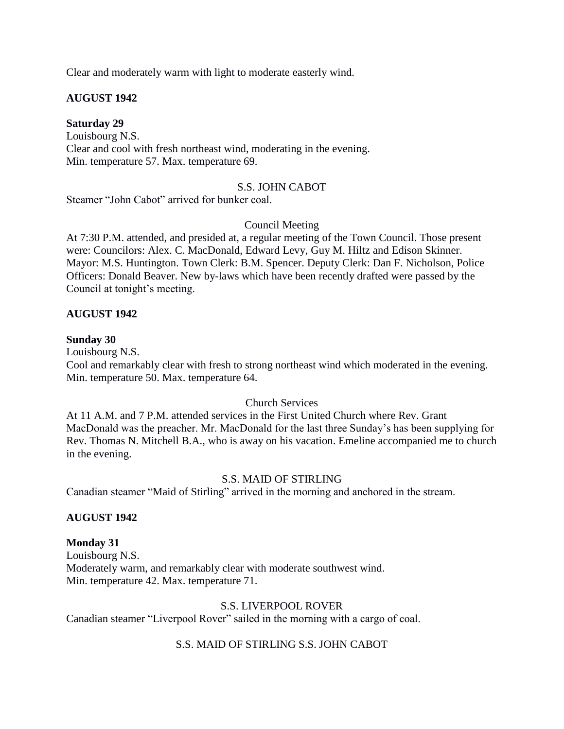Clear and moderately warm with light to moderate easterly wind.

## **AUGUST 1942**

#### **Saturday 29**

Louisbourg N.S. Clear and cool with fresh northeast wind, moderating in the evening. Min. temperature 57. Max. temperature 69.

#### S.S. JOHN CABOT

Steamer "John Cabot" arrived for bunker coal.

### Council Meeting

At 7:30 P.M. attended, and presided at, a regular meeting of the Town Council. Those present were: Councilors: Alex. C. MacDonald, Edward Levy, Guy M. Hiltz and Edison Skinner. Mayor: M.S. Huntington. Town Clerk: B.M. Spencer. Deputy Clerk: Dan F. Nicholson, Police Officers: Donald Beaver. New by-laws which have been recently drafted were passed by the Council at tonight's meeting.

### **AUGUST 1942**

#### **Sunday 30**

Louisbourg N.S.

Cool and remarkably clear with fresh to strong northeast wind which moderated in the evening. Min. temperature 50. Max. temperature 64.

### Church Services

At 11 A.M. and 7 P.M. attended services in the First United Church where Rev. Grant MacDonald was the preacher. Mr. MacDonald for the last three Sunday's has been supplying for Rev. Thomas N. Mitchell B.A., who is away on his vacation. Emeline accompanied me to church in the evening.

### S.S. MAID OF STIRLING

Canadian steamer "Maid of Stirling" arrived in the morning and anchored in the stream.

### **AUGUST 1942**

### **Monday 31**

Louisbourg N.S. Moderately warm, and remarkably clear with moderate southwest wind. Min. temperature 42. Max. temperature 71.

### S.S. LIVERPOOL ROVER

Canadian steamer "Liverpool Rover" sailed in the morning with a cargo of coal.

### S.S. MAID OF STIRLING S.S. JOHN CABOT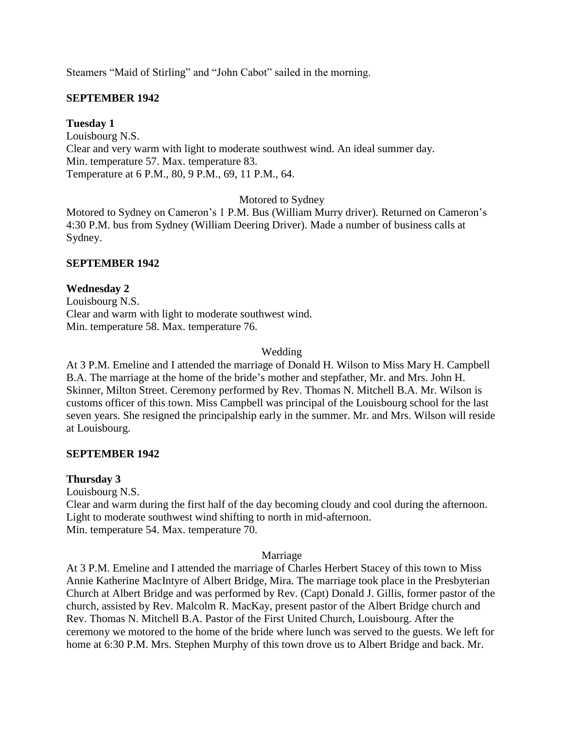Steamers "Maid of Stirling" and "John Cabot" sailed in the morning.

## **SEPTEMBER 1942**

## **Tuesday 1**

Louisbourg N.S. Clear and very warm with light to moderate southwest wind. An ideal summer day. Min. temperature 57. Max. temperature 83. Temperature at 6 P.M., 80, 9 P.M., 69, 11 P.M., 64.

Motored to Sydney

Motored to Sydney on Cameron's 1 P.M. Bus (William Murry driver). Returned on Cameron's 4:30 P.M. bus from Sydney (William Deering Driver). Made a number of business calls at Sydney.

## **SEPTEMBER 1942**

## **Wednesday 2**

Louisbourg N.S. Clear and warm with light to moderate southwest wind. Min. temperature 58. Max. temperature 76.

### Wedding

At 3 P.M. Emeline and I attended the marriage of Donald H. Wilson to Miss Mary H. Campbell B.A. The marriage at the home of the bride's mother and stepfather, Mr. and Mrs. John H. Skinner, Milton Street. Ceremony performed by Rev. Thomas N. Mitchell B.A. Mr. Wilson is customs officer of this town. Miss Campbell was principal of the Louisbourg school for the last seven years. She resigned the principalship early in the summer. Mr. and Mrs. Wilson will reside at Louisbourg.

### **SEPTEMBER 1942**

### **Thursday 3**

Louisbourg N.S. Clear and warm during the first half of the day becoming cloudy and cool during the afternoon. Light to moderate southwest wind shifting to north in mid-afternoon. Min. temperature 54. Max. temperature 70.

#### Marriage

At 3 P.M. Emeline and I attended the marriage of Charles Herbert Stacey of this town to Miss Annie Katherine MacIntyre of Albert Bridge, Mira. The marriage took place in the Presbyterian Church at Albert Bridge and was performed by Rev. (Capt) Donald J. Gillis, former pastor of the church, assisted by Rev. Malcolm R. MacKay, present pastor of the Albert Bridge church and Rev. Thomas N. Mitchell B.A. Pastor of the First United Church, Louisbourg. After the ceremony we motored to the home of the bride where lunch was served to the guests. We left for home at 6:30 P.M. Mrs. Stephen Murphy of this town drove us to Albert Bridge and back. Mr.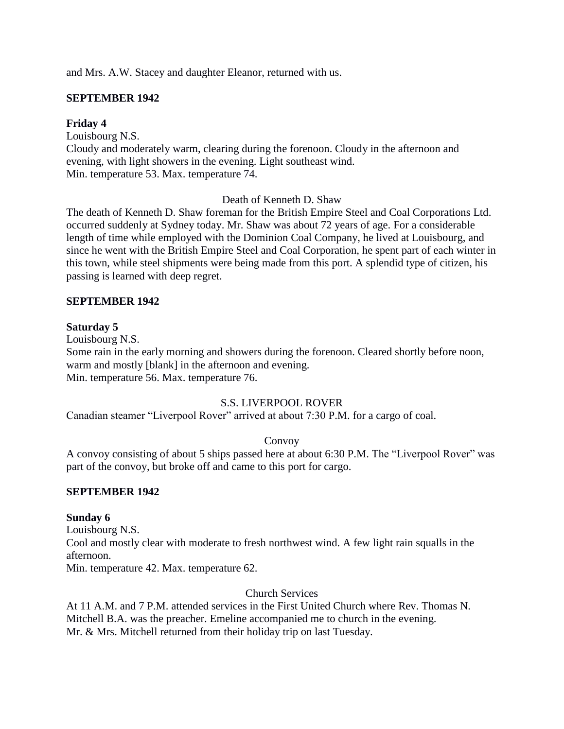and Mrs. A.W. Stacey and daughter Eleanor, returned with us.

## **SEPTEMBER 1942**

### **Friday 4**

Louisbourg N.S.

Cloudy and moderately warm, clearing during the forenoon. Cloudy in the afternoon and evening, with light showers in the evening. Light southeast wind. Min. temperature 53. Max. temperature 74.

## Death of Kenneth D. Shaw

The death of Kenneth D. Shaw foreman for the British Empire Steel and Coal Corporations Ltd. occurred suddenly at Sydney today. Mr. Shaw was about 72 years of age. For a considerable length of time while employed with the Dominion Coal Company, he lived at Louisbourg, and since he went with the British Empire Steel and Coal Corporation, he spent part of each winter in this town, while steel shipments were being made from this port. A splendid type of citizen, his passing is learned with deep regret.

### **SEPTEMBER 1942**

### **Saturday 5**

Louisbourg N.S.

Some rain in the early morning and showers during the forenoon. Cleared shortly before noon, warm and mostly [blank] in the afternoon and evening. Min. temperature 56. Max. temperature 76.

### S.S. LIVERPOOL ROVER

Canadian steamer "Liverpool Rover" arrived at about 7:30 P.M. for a cargo of coal.

### Convoy

A convoy consisting of about 5 ships passed here at about 6:30 P.M. The "Liverpool Rover" was part of the convoy, but broke off and came to this port for cargo.

### **SEPTEMBER 1942**

### **Sunday 6**

Louisbourg N.S. Cool and mostly clear with moderate to fresh northwest wind. A few light rain squalls in the afternoon.

Min. temperature 42. Max. temperature 62.

Church Services

At 11 A.M. and 7 P.M. attended services in the First United Church where Rev. Thomas N. Mitchell B.A. was the preacher. Emeline accompanied me to church in the evening. Mr. & Mrs. Mitchell returned from their holiday trip on last Tuesday.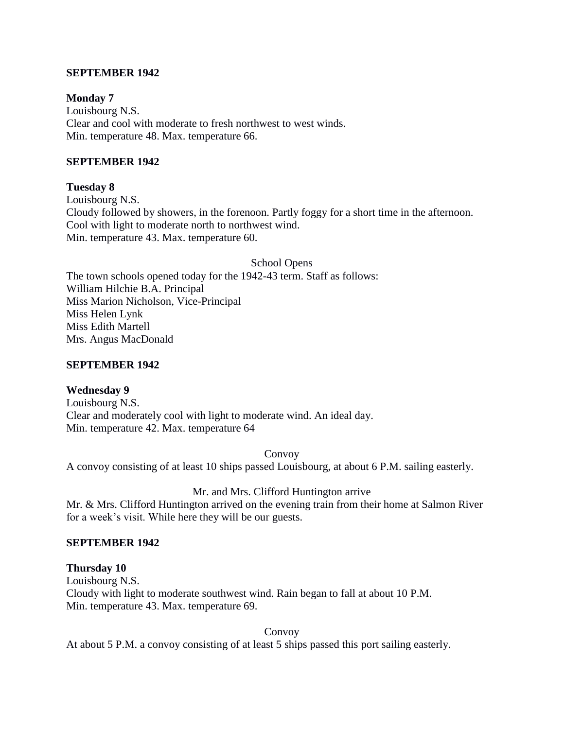### **SEPTEMBER 1942**

### **Monday 7**

Louisbourg N.S. Clear and cool with moderate to fresh northwest to west winds. Min. temperature 48. Max. temperature 66.

### **SEPTEMBER 1942**

## **Tuesday 8**

Louisbourg N.S. Cloudy followed by showers, in the forenoon. Partly foggy for a short time in the afternoon. Cool with light to moderate north to northwest wind. Min. temperature 43. Max. temperature 60.

School Opens

The town schools opened today for the 1942-43 term. Staff as follows: William Hilchie B.A. Principal Miss Marion Nicholson, Vice-Principal Miss Helen Lynk Miss Edith Martell Mrs. Angus MacDonald

### **SEPTEMBER 1942**

### **Wednesday 9**

Louisbourg N.S. Clear and moderately cool with light to moderate wind. An ideal day. Min. temperature 42. Max. temperature 64

Convoy

A convoy consisting of at least 10 ships passed Louisbourg, at about 6 P.M. sailing easterly.

### Mr. and Mrs. Clifford Huntington arrive

Mr. & Mrs. Clifford Huntington arrived on the evening train from their home at Salmon River for a week's visit. While here they will be our guests.

#### **SEPTEMBER 1942**

### **Thursday 10**

Louisbourg N.S. Cloudy with light to moderate southwest wind. Rain began to fall at about 10 P.M. Min. temperature 43. Max. temperature 69.

Convoy

At about 5 P.M. a convoy consisting of at least 5 ships passed this port sailing easterly.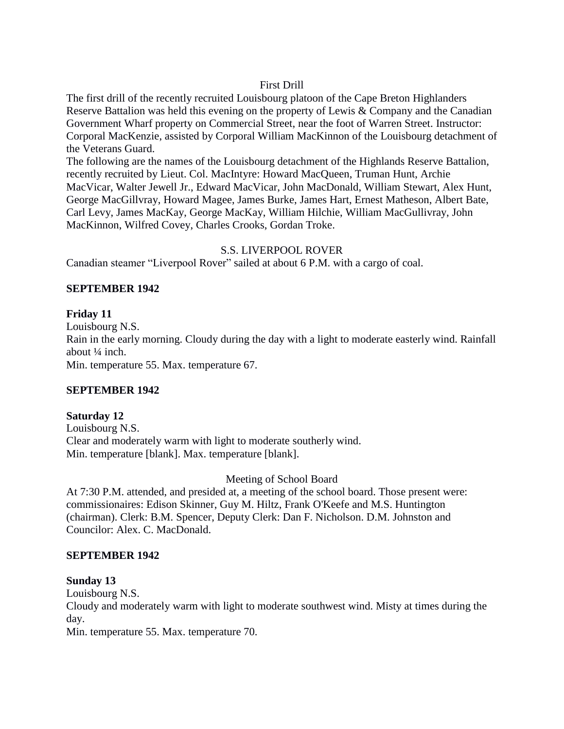## First Drill

The first drill of the recently recruited Louisbourg platoon of the Cape Breton Highlanders Reserve Battalion was held this evening on the property of Lewis & Company and the Canadian Government Wharf property on Commercial Street, near the foot of Warren Street. Instructor: Corporal MacKenzie, assisted by Corporal William MacKinnon of the Louisbourg detachment of the Veterans Guard.

The following are the names of the Louisbourg detachment of the Highlands Reserve Battalion, recently recruited by Lieut. Col. MacIntyre: Howard MacQueen, Truman Hunt, Archie MacVicar, Walter Jewell Jr., Edward MacVicar, John MacDonald, William Stewart, Alex Hunt, George MacGillvray, Howard Magee, James Burke, James Hart, Ernest Matheson, Albert Bate, Carl Levy, James MacKay, George MacKay, William Hilchie, William MacGullivray, John MacKinnon, Wilfred Covey, Charles Crooks, Gordan Troke.

### S.S. LIVERPOOL ROVER

Canadian steamer "Liverpool Rover" sailed at about 6 P.M. with a cargo of coal.

# **SEPTEMBER 1942**

## **Friday 11**

Louisbourg N.S.

Rain in the early morning. Cloudy during the day with a light to moderate easterly wind. Rainfall about  $\frac{1}{4}$  inch.

Min. temperature 55. Max. temperature 67.

# **SEPTEMBER 1942**

### **Saturday 12**

Louisbourg N.S. Clear and moderately warm with light to moderate southerly wind. Min. temperature [blank]. Max. temperature [blank].

### Meeting of School Board

At 7:30 P.M. attended, and presided at, a meeting of the school board. Those present were: commissionaires: Edison Skinner, Guy M. Hiltz, Frank O'Keefe and M.S. Huntington (chairman). Clerk: B.M. Spencer, Deputy Clerk: Dan F. Nicholson. D.M. Johnston and Councilor: Alex. C. MacDonald.

### **SEPTEMBER 1942**

### **Sunday 13**

Louisbourg N.S.

Cloudy and moderately warm with light to moderate southwest wind. Misty at times during the day.

Min. temperature 55. Max. temperature 70.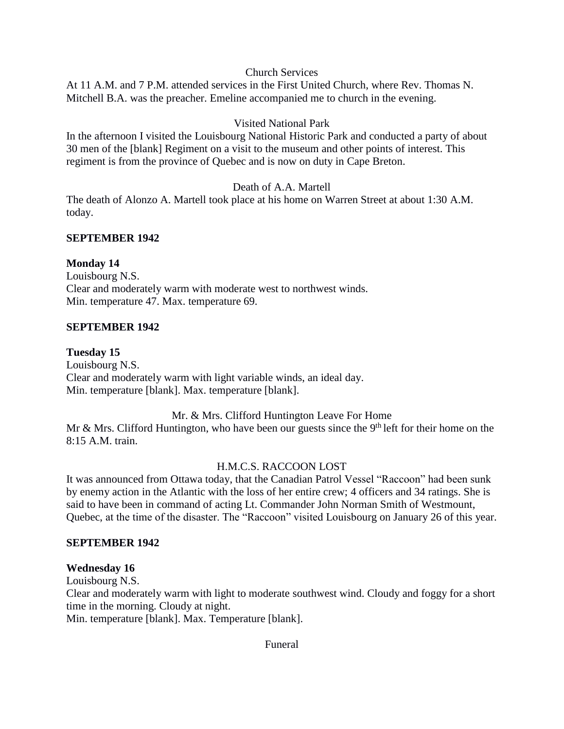### Church Services

At 11 A.M. and 7 P.M. attended services in the First United Church, where Rev. Thomas N. Mitchell B.A. was the preacher. Emeline accompanied me to church in the evening.

## Visited National Park

In the afternoon I visited the Louisbourg National Historic Park and conducted a party of about 30 men of the [blank] Regiment on a visit to the museum and other points of interest. This regiment is from the province of Quebec and is now on duty in Cape Breton.

## Death of A.A. Martell

The death of Alonzo A. Martell took place at his home on Warren Street at about 1:30 A.M. today.

### **SEPTEMBER 1942**

## **Monday 14**

Louisbourg N.S. Clear and moderately warm with moderate west to northwest winds. Min. temperature 47. Max. temperature 69.

## **SEPTEMBER 1942**

### **Tuesday 15**

Louisbourg N.S. Clear and moderately warm with light variable winds, an ideal day. Min. temperature [blank]. Max. temperature [blank].

### Mr. & Mrs. Clifford Huntington Leave For Home

Mr & Mrs. Clifford Huntington, who have been our guests since the  $9<sup>th</sup>$  left for their home on the 8:15 A.M. train.

### H.M.C.S. RACCOON LOST

It was announced from Ottawa today, that the Canadian Patrol Vessel "Raccoon" had been sunk by enemy action in the Atlantic with the loss of her entire crew; 4 officers and 34 ratings. She is said to have been in command of acting Lt. Commander John Norman Smith of Westmount, Quebec, at the time of the disaster. The "Raccoon" visited Louisbourg on January 26 of this year.

## **SEPTEMBER 1942**

### **Wednesday 16**

Louisbourg N.S.

Clear and moderately warm with light to moderate southwest wind. Cloudy and foggy for a short time in the morning. Cloudy at night.

Min. temperature [blank]. Max. Temperature [blank].

### Funeral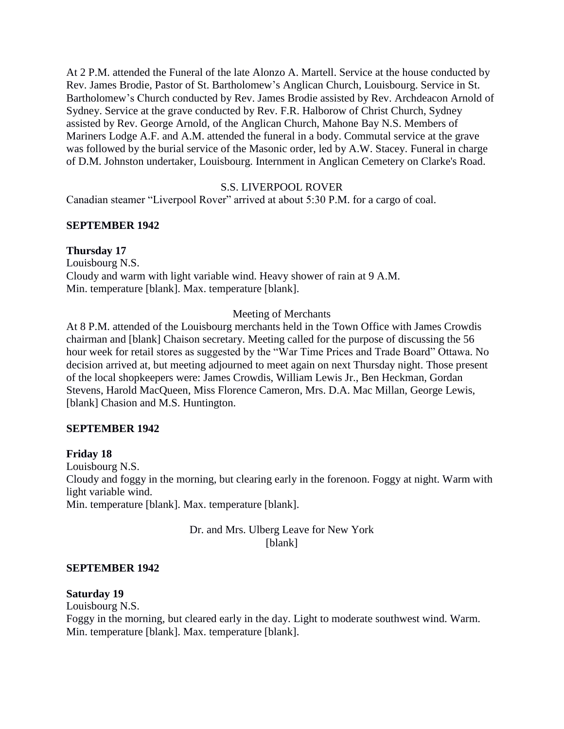At 2 P.M. attended the Funeral of the late Alonzo A. Martell. Service at the house conducted by Rev. James Brodie, Pastor of St. Bartholomew's Anglican Church, Louisbourg. Service in St. Bartholomew's Church conducted by Rev. James Brodie assisted by Rev. Archdeacon Arnold of Sydney. Service at the grave conducted by Rev. F.R. Halborow of Christ Church, Sydney assisted by Rev. George Arnold, of the Anglican Church, Mahone Bay N.S. Members of Mariners Lodge A.F. and A.M. attended the funeral in a body. Commutal service at the grave was followed by the burial service of the Masonic order, led by A.W. Stacey. Funeral in charge of D.M. Johnston undertaker, Louisbourg. Internment in Anglican Cemetery on Clarke's Road.

### S.S. LIVERPOOL ROVER

Canadian steamer "Liverpool Rover" arrived at about 5:30 P.M. for a cargo of coal.

## **SEPTEMBER 1942**

## **Thursday 17**

Louisbourg N.S. Cloudy and warm with light variable wind. Heavy shower of rain at 9 A.M. Min. temperature [blank]. Max. temperature [blank].

## Meeting of Merchants

At 8 P.M. attended of the Louisbourg merchants held in the Town Office with James Crowdis chairman and [blank] Chaison secretary. Meeting called for the purpose of discussing the 56 hour week for retail stores as suggested by the "War Time Prices and Trade Board" Ottawa. No decision arrived at, but meeting adjourned to meet again on next Thursday night. Those present of the local shopkeepers were: James Crowdis, William Lewis Jr., Ben Heckman, Gordan Stevens, Harold MacQueen, Miss Florence Cameron, Mrs. D.A. Mac Millan, George Lewis, [blank] Chasion and M.S. Huntington.

### **SEPTEMBER 1942**

# **Friday 18**

Louisbourg N.S. Cloudy and foggy in the morning, but clearing early in the forenoon. Foggy at night. Warm with light variable wind. Min. temperature [blank]. Max. temperature [blank].

> Dr. and Mrs. Ulberg Leave for New York [blank]

### **SEPTEMBER 1942**

### **Saturday 19**

Louisbourg N.S.

Foggy in the morning, but cleared early in the day. Light to moderate southwest wind. Warm. Min. temperature [blank]. Max. temperature [blank].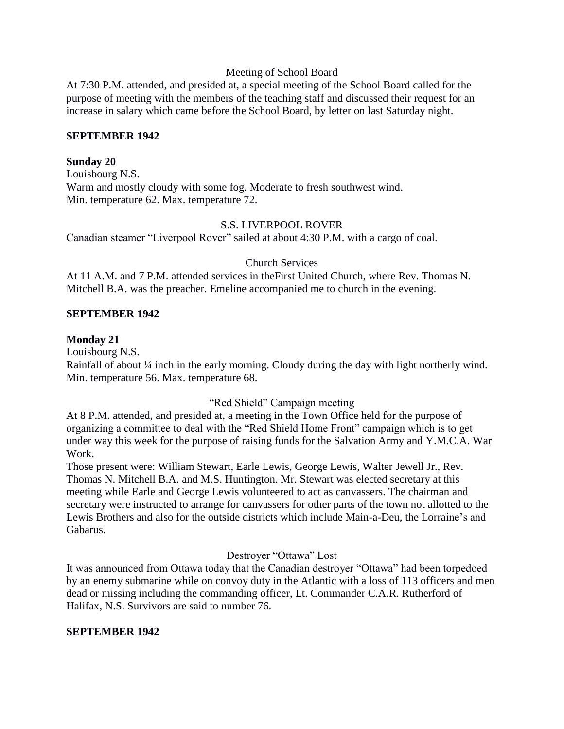### Meeting of School Board

At 7:30 P.M. attended, and presided at, a special meeting of the School Board called for the purpose of meeting with the members of the teaching staff and discussed their request for an increase in salary which came before the School Board, by letter on last Saturday night.

### **SEPTEMBER 1942**

### **Sunday 20**

Louisbourg N.S. Warm and mostly cloudy with some fog. Moderate to fresh southwest wind. Min. temperature 62. Max. temperature 72.

## S.S. LIVERPOOL ROVER

Canadian steamer "Liverpool Rover" sailed at about 4:30 P.M. with a cargo of coal.

## Church Services

At 11 A.M. and 7 P.M. attended services in theFirst United Church, where Rev. Thomas N. Mitchell B.A. was the preacher. Emeline accompanied me to church in the evening.

## **SEPTEMBER 1942**

## **Monday 21**

Louisbourg N.S.

Rainfall of about ¼ inch in the early morning. Cloudy during the day with light northerly wind. Min. temperature 56. Max. temperature 68.

# "Red Shield" Campaign meeting

At 8 P.M. attended, and presided at, a meeting in the Town Office held for the purpose of organizing a committee to deal with the "Red Shield Home Front" campaign which is to get under way this week for the purpose of raising funds for the Salvation Army and Y.M.C.A. War Work.

Those present were: William Stewart, Earle Lewis, George Lewis, Walter Jewell Jr., Rev. Thomas N. Mitchell B.A. and M.S. Huntington. Mr. Stewart was elected secretary at this meeting while Earle and George Lewis volunteered to act as canvassers. The chairman and secretary were instructed to arrange for canvassers for other parts of the town not allotted to the Lewis Brothers and also for the outside districts which include Main-a-Deu, the Lorraine's and Gabarus.

# Destroyer "Ottawa" Lost

It was announced from Ottawa today that the Canadian destroyer "Ottawa" had been torpedoed by an enemy submarine while on convoy duty in the Atlantic with a loss of 113 officers and men dead or missing including the commanding officer, Lt. Commander C.A.R. Rutherford of Halifax, N.S. Survivors are said to number 76.

### **SEPTEMBER 1942**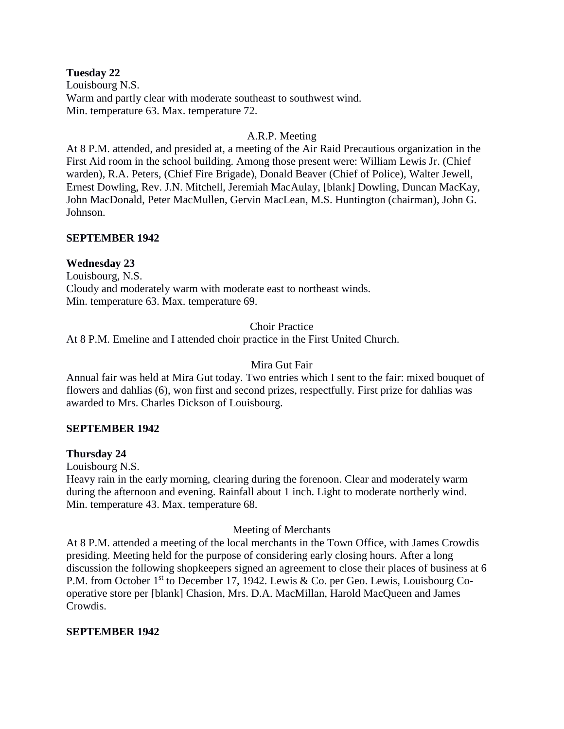### **Tuesday 22**

Louisbourg N.S. Warm and partly clear with moderate southeast to southwest wind. Min. temperature 63. Max. temperature 72.

## A.R.P. Meeting

At 8 P.M. attended, and presided at, a meeting of the Air Raid Precautious organization in the First Aid room in the school building. Among those present were: William Lewis Jr. (Chief warden), R.A. Peters, (Chief Fire Brigade), Donald Beaver (Chief of Police), Walter Jewell, Ernest Dowling, Rev. J.N. Mitchell, Jeremiah MacAulay, [blank] Dowling, Duncan MacKay, John MacDonald, Peter MacMullen, Gervin MacLean, M.S. Huntington (chairman), John G. Johnson.

## **SEPTEMBER 1942**

## **Wednesday 23**

Louisbourg, N.S. Cloudy and moderately warm with moderate east to northeast winds. Min. temperature 63. Max. temperature 69.

## Choir Practice

At 8 P.M. Emeline and I attended choir practice in the First United Church.

## Mira Gut Fair

Annual fair was held at Mira Gut today. Two entries which I sent to the fair: mixed bouquet of flowers and dahlias (6), won first and second prizes, respectfully. First prize for dahlias was awarded to Mrs. Charles Dickson of Louisbourg.

### **SEPTEMBER 1942**

### **Thursday 24**

Louisbourg N.S.

Heavy rain in the early morning, clearing during the forenoon. Clear and moderately warm during the afternoon and evening. Rainfall about 1 inch. Light to moderate northerly wind. Min. temperature 43. Max. temperature 68.

### Meeting of Merchants

At 8 P.M. attended a meeting of the local merchants in the Town Office, with James Crowdis presiding. Meeting held for the purpose of considering early closing hours. After a long discussion the following shopkeepers signed an agreement to close their places of business at 6 P.M. from October 1<sup>st</sup> to December 17, 1942. Lewis & Co. per Geo. Lewis, Louisbourg Cooperative store per [blank] Chasion, Mrs. D.A. MacMillan, Harold MacQueen and James Crowdis.

### **SEPTEMBER 1942**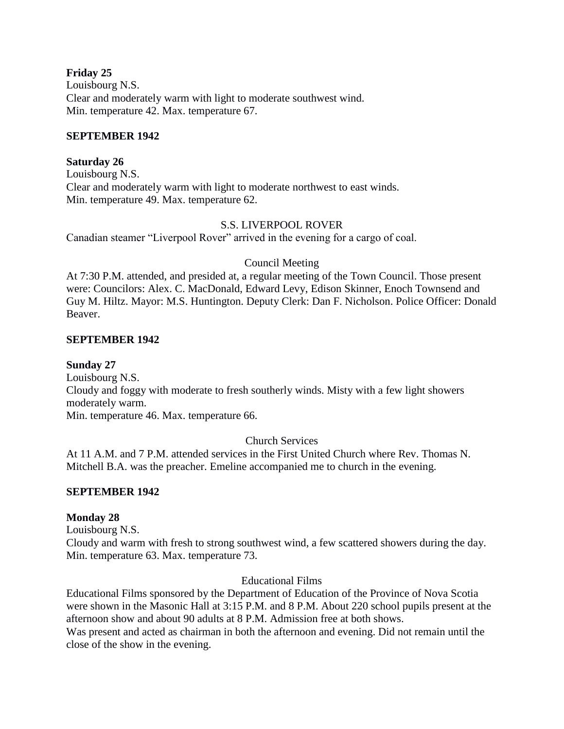### **Friday 25**

Louisbourg N.S. Clear and moderately warm with light to moderate southwest wind. Min. temperature 42. Max. temperature 67.

### **SEPTEMBER 1942**

## **Saturday 26**

Louisbourg N.S. Clear and moderately warm with light to moderate northwest to east winds. Min. temperature 49. Max. temperature 62.

## S.S. LIVERPOOL ROVER

Canadian steamer "Liverpool Rover" arrived in the evening for a cargo of coal.

# Council Meeting

At 7:30 P.M. attended, and presided at, a regular meeting of the Town Council. Those present were: Councilors: Alex. C. MacDonald, Edward Levy, Edison Skinner, Enoch Townsend and Guy M. Hiltz. Mayor: M.S. Huntington. Deputy Clerk: Dan F. Nicholson. Police Officer: Donald Beaver.

# **SEPTEMBER 1942**

# **Sunday 27**

Louisbourg N.S. Cloudy and foggy with moderate to fresh southerly winds. Misty with a few light showers moderately warm. Min. temperature 46. Max. temperature 66.

# Church Services

At 11 A.M. and 7 P.M. attended services in the First United Church where Rev. Thomas N. Mitchell B.A. was the preacher. Emeline accompanied me to church in the evening.

# **SEPTEMBER 1942**

# **Monday 28**

Louisbourg N.S.

Cloudy and warm with fresh to strong southwest wind, a few scattered showers during the day. Min. temperature 63. Max. temperature 73.

# Educational Films

Educational Films sponsored by the Department of Education of the Province of Nova Scotia were shown in the Masonic Hall at 3:15 P.M. and 8 P.M. About 220 school pupils present at the afternoon show and about 90 adults at 8 P.M. Admission free at both shows. Was present and acted as chairman in both the afternoon and evening. Did not remain until the close of the show in the evening.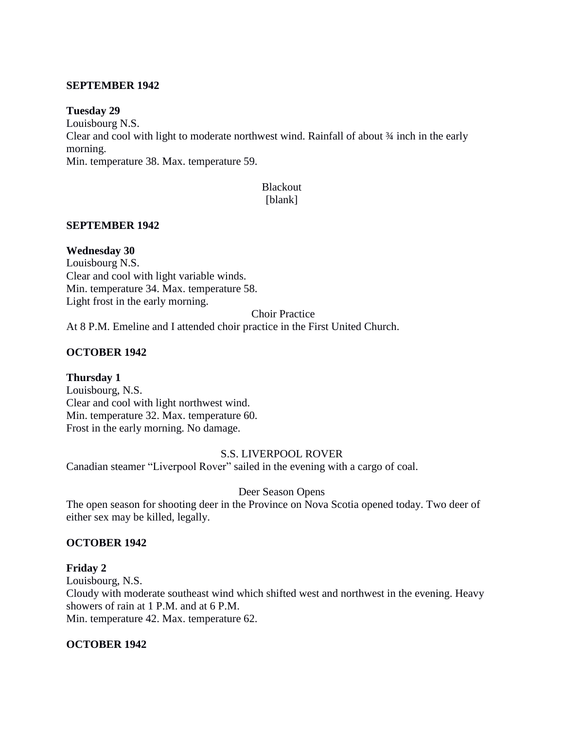#### **SEPTEMBER 1942**

#### **Tuesday 29**

Louisbourg N.S. Clear and cool with light to moderate northwest wind. Rainfall of about ¾ inch in the early morning. Min. temperature 38. Max. temperature 59.

### Blackout [blank]

#### **SEPTEMBER 1942**

**Wednesday 30**

Louisbourg N.S. Clear and cool with light variable winds. Min. temperature 34. Max. temperature 58. Light frost in the early morning.

Choir Practice

At 8 P.M. Emeline and I attended choir practice in the First United Church.

### **OCTOBER 1942**

### **Thursday 1**

Louisbourg, N.S. Clear and cool with light northwest wind. Min. temperature 32. Max. temperature 60. Frost in the early morning. No damage.

### S.S. LIVERPOOL ROVER

Canadian steamer "Liverpool Rover" sailed in the evening with a cargo of coal.

#### Deer Season Opens

The open season for shooting deer in the Province on Nova Scotia opened today. Two deer of either sex may be killed, legally.

#### **OCTOBER 1942**

#### **Friday 2**

Louisbourg, N.S.

Cloudy with moderate southeast wind which shifted west and northwest in the evening. Heavy showers of rain at 1 P.M. and at 6 P.M.

Min. temperature 42. Max. temperature 62.

#### **OCTOBER 1942**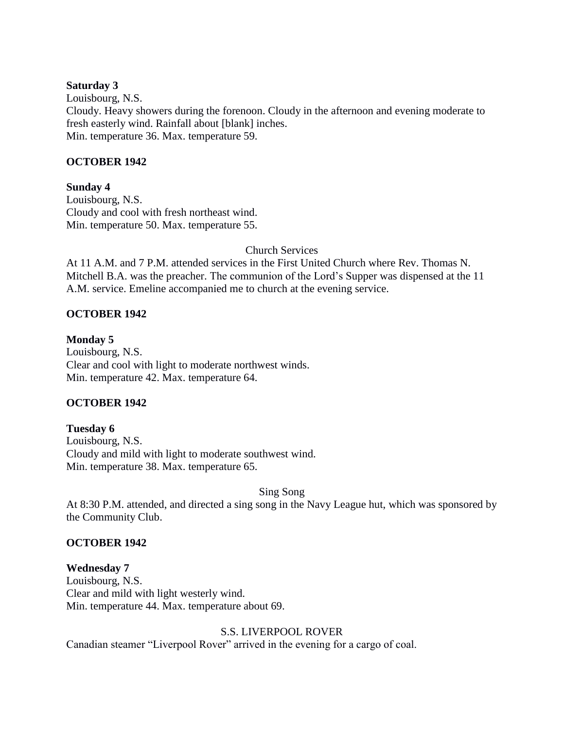#### **Saturday 3**

Louisbourg, N.S. Cloudy. Heavy showers during the forenoon. Cloudy in the afternoon and evening moderate to fresh easterly wind. Rainfall about [blank] inches. Min. temperature 36. Max. temperature 59.

### **OCTOBER 1942**

### **Sunday 4**

Louisbourg, N.S. Cloudy and cool with fresh northeast wind. Min. temperature 50. Max. temperature 55.

## Church Services

At 11 A.M. and 7 P.M. attended services in the First United Church where Rev. Thomas N. Mitchell B.A. was the preacher. The communion of the Lord's Supper was dispensed at the 11 A.M. service. Emeline accompanied me to church at the evening service.

## **OCTOBER 1942**

### **Monday 5**

Louisbourg, N.S. Clear and cool with light to moderate northwest winds. Min. temperature 42. Max. temperature 64.

### **OCTOBER 1942**

### **Tuesday 6**

Louisbourg, N.S. Cloudy and mild with light to moderate southwest wind. Min. temperature 38. Max. temperature 65.

### Sing Song

At 8:30 P.M. attended, and directed a sing song in the Navy League hut, which was sponsored by the Community Club.

### **OCTOBER 1942**

**Wednesday 7** Louisbourg, N.S. Clear and mild with light westerly wind. Min. temperature 44. Max. temperature about 69.

# S.S. LIVERPOOL ROVER

Canadian steamer "Liverpool Rover" arrived in the evening for a cargo of coal.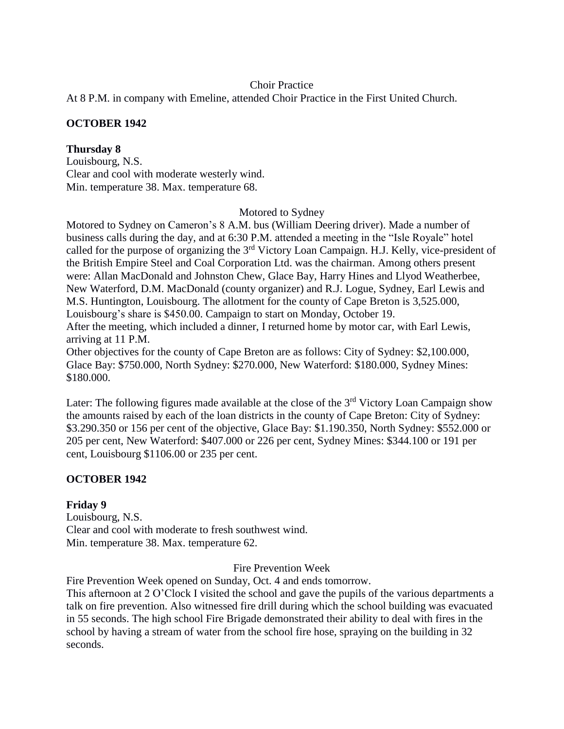# Choir Practice

At 8 P.M. in company with Emeline, attended Choir Practice in the First United Church.

# **OCTOBER 1942**

# **Thursday 8**

Louisbourg, N.S. Clear and cool with moderate westerly wind. Min. temperature 38. Max. temperature 68.

Motored to Sydney

Motored to Sydney on Cameron's 8 A.M. bus (William Deering driver). Made a number of business calls during the day, and at 6:30 P.M. attended a meeting in the "Isle Royale" hotel called for the purpose of organizing the 3rd Victory Loan Campaign. H.J. Kelly, vice-president of the British Empire Steel and Coal Corporation Ltd. was the chairman. Among others present were: Allan MacDonald and Johnston Chew, Glace Bay, Harry Hines and Llyod Weatherbee, New Waterford, D.M. MacDonald (county organizer) and R.J. Logue, Sydney, Earl Lewis and M.S. Huntington, Louisbourg. The allotment for the county of Cape Breton is 3,525.000, Louisbourg's share is \$450.00. Campaign to start on Monday, October 19. After the meeting, which included a dinner, I returned home by motor car, with Earl Lewis, arriving at 11 P.M. Other objectives for the county of Cape Breton are as follows: City of Sydney: \$2,100.000,

Glace Bay: \$750.000, North Sydney: \$270.000, New Waterford: \$180.000, Sydney Mines: \$180.000.

Later: The following figures made available at the close of the  $3<sup>rd</sup>$  Victory Loan Campaign show the amounts raised by each of the loan districts in the county of Cape Breton: City of Sydney: \$3.290.350 or 156 per cent of the objective, Glace Bay: \$1.190.350, North Sydney: \$552.000 or 205 per cent, New Waterford: \$407.000 or 226 per cent, Sydney Mines: \$344.100 or 191 per cent, Louisbourg \$1106.00 or 235 per cent.

# **OCTOBER 1942**

# **Friday 9**

Louisbourg, N.S. Clear and cool with moderate to fresh southwest wind. Min. temperature 38. Max. temperature 62.

Fire Prevention Week

Fire Prevention Week opened on Sunday, Oct. 4 and ends tomorrow.

This afternoon at 2 O'Clock I visited the school and gave the pupils of the various departments a talk on fire prevention. Also witnessed fire drill during which the school building was evacuated in 55 seconds. The high school Fire Brigade demonstrated their ability to deal with fires in the school by having a stream of water from the school fire hose, spraying on the building in 32 seconds.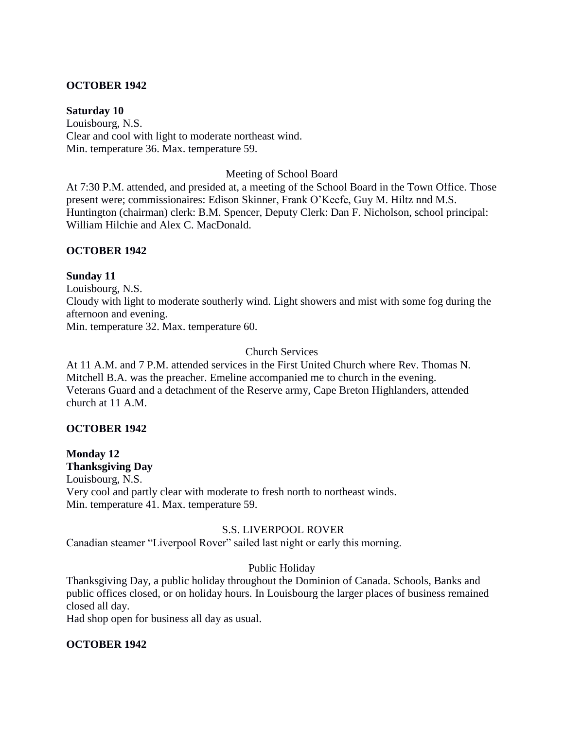### **OCTOBER 1942**

#### **Saturday 10**

Louisbourg, N.S. Clear and cool with light to moderate northeast wind. Min. temperature 36. Max. temperature 59.

#### Meeting of School Board

At 7:30 P.M. attended, and presided at, a meeting of the School Board in the Town Office. Those present were; commissionaires: Edison Skinner, Frank O'Keefe, Guy M. Hiltz nnd M.S. Huntington (chairman) clerk: B.M. Spencer, Deputy Clerk: Dan F. Nicholson, school principal: William Hilchie and Alex C. MacDonald.

### **OCTOBER 1942**

#### **Sunday 11**

Louisbourg, N.S. Cloudy with light to moderate southerly wind. Light showers and mist with some fog during the afternoon and evening. Min. temperature 32. Max. temperature 60.

Church Services

At 11 A.M. and 7 P.M. attended services in the First United Church where Rev. Thomas N. Mitchell B.A. was the preacher. Emeline accompanied me to church in the evening. Veterans Guard and a detachment of the Reserve army, Cape Breton Highlanders, attended church at 11 A.M.

### **OCTOBER 1942**

# **Monday 12**

**Thanksgiving Day** Louisbourg, N.S. Very cool and partly clear with moderate to fresh north to northeast winds. Min. temperature 41. Max. temperature 59.

#### S.S. LIVERPOOL ROVER

Canadian steamer "Liverpool Rover" sailed last night or early this morning.

### Public Holiday

Thanksgiving Day, a public holiday throughout the Dominion of Canada. Schools, Banks and public offices closed, or on holiday hours. In Louisbourg the larger places of business remained closed all day.

Had shop open for business all day as usual.

### **OCTOBER 1942**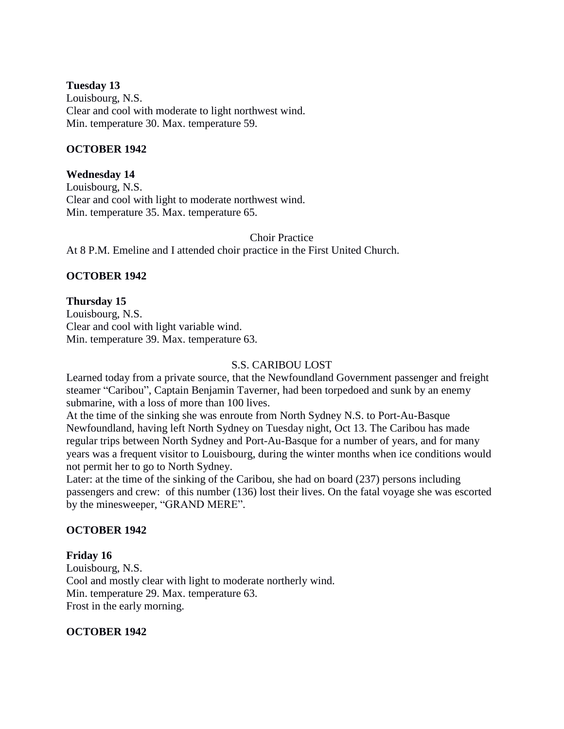### **Tuesday 13**

Louisbourg, N.S. Clear and cool with moderate to light northwest wind. Min. temperature 30. Max. temperature 59.

## **OCTOBER 1942**

**Wednesday 14** Louisbourg, N.S. Clear and cool with light to moderate northwest wind. Min. temperature 35. Max. temperature 65.

Choir Practice At 8 P.M. Emeline and I attended choir practice in the First United Church.

# **OCTOBER 1942**

**Thursday 15** Louisbourg, N.S. Clear and cool with light variable wind. Min. temperature 39. Max. temperature 63.

### S.S. CARIBOU LOST

Learned today from a private source, that the Newfoundland Government passenger and freight steamer "Caribou", Captain Benjamin Taverner, had been torpedoed and sunk by an enemy submarine, with a loss of more than 100 lives.

At the time of the sinking she was enroute from North Sydney N.S. to Port-Au-Basque Newfoundland, having left North Sydney on Tuesday night, Oct 13. The Caribou has made regular trips between North Sydney and Port-Au-Basque for a number of years, and for many years was a frequent visitor to Louisbourg, during the winter months when ice conditions would not permit her to go to North Sydney.

Later: at the time of the sinking of the Caribou, she had on board (237) persons including passengers and crew: of this number (136) lost their lives. On the fatal voyage she was escorted by the minesweeper, "GRAND MERE".

### **OCTOBER 1942**

### **Friday 16**

Louisbourg, N.S. Cool and mostly clear with light to moderate northerly wind. Min. temperature 29. Max. temperature 63. Frost in the early morning.

### **OCTOBER 1942**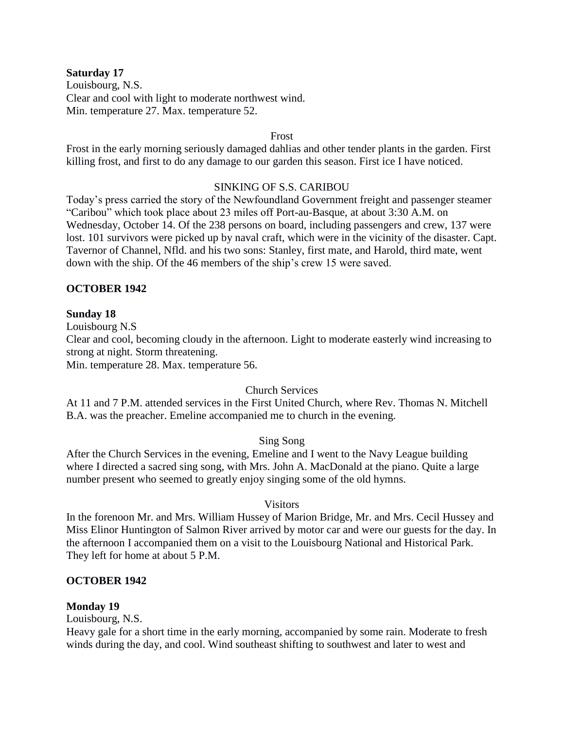#### **Saturday 17**

Louisbourg, N.S. Clear and cool with light to moderate northwest wind. Min. temperature 27. Max. temperature 52.

#### Frost

Frost in the early morning seriously damaged dahlias and other tender plants in the garden. First killing frost, and first to do any damage to our garden this season. First ice I have noticed.

#### SINKING OF S.S. CARIBOU

Today's press carried the story of the Newfoundland Government freight and passenger steamer "Caribou" which took place about 23 miles off Port-au-Basque, at about 3:30 A.M. on Wednesday, October 14. Of the 238 persons on board, including passengers and crew, 137 were lost. 101 survivors were picked up by naval craft, which were in the vicinity of the disaster. Capt. Tavernor of Channel, Nfld. and his two sons: Stanley, first mate, and Harold, third mate, went down with the ship. Of the 46 members of the ship's crew 15 were saved.

### **OCTOBER 1942**

### **Sunday 18**

Louisbourg N.S

Clear and cool, becoming cloudy in the afternoon. Light to moderate easterly wind increasing to strong at night. Storm threatening.

Min. temperature 28. Max. temperature 56.

## Church Services

At 11 and 7 P.M. attended services in the First United Church, where Rev. Thomas N. Mitchell B.A. was the preacher. Emeline accompanied me to church in the evening.

### Sing Song

After the Church Services in the evening, Emeline and I went to the Navy League building where I directed a sacred sing song, with Mrs. John A. MacDonald at the piano. Quite a large number present who seemed to greatly enjoy singing some of the old hymns.

#### Visitors

In the forenoon Mr. and Mrs. William Hussey of Marion Bridge, Mr. and Mrs. Cecil Hussey and Miss Elinor Huntington of Salmon River arrived by motor car and were our guests for the day. In the afternoon I accompanied them on a visit to the Louisbourg National and Historical Park. They left for home at about 5 P.M.

### **OCTOBER 1942**

### **Monday 19**

Louisbourg, N.S.

Heavy gale for a short time in the early morning, accompanied by some rain. Moderate to fresh winds during the day, and cool. Wind southeast shifting to southwest and later to west and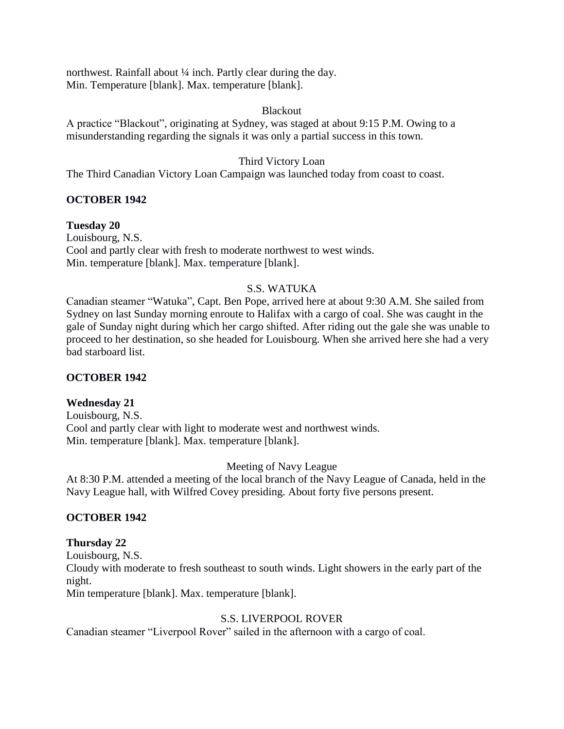northwest. Rainfall about <sup>1</sup>/4 inch. Partly clear during the day. Min. Temperature [blank]. Max. temperature [blank].

### Blackout

A practice "Blackout", originating at Sydney, was staged at about 9:15 P.M. Owing to a misunderstanding regarding the signals it was only a partial success in this town.

## Third Victory Loan

The Third Canadian Victory Loan Campaign was launched today from coast to coast.

### **OCTOBER 1942**

### **Tuesday 20**

Louisbourg, N.S. Cool and partly clear with fresh to moderate northwest to west winds. Min. temperature [blank]. Max. temperature [blank].

# S.S. WATUKA

Canadian steamer "Watuka", Capt. Ben Pope, arrived here at about 9:30 A.M. She sailed from Sydney on last Sunday morning enroute to Halifax with a cargo of coal. She was caught in the gale of Sunday night during which her cargo shifted. After riding out the gale she was unable to proceed to her destination, so she headed for Louisbourg. When she arrived here she had a very bad starboard list.

### **OCTOBER 1942**

### **Wednesday 21**

Louisbourg, N.S. Cool and partly clear with light to moderate west and northwest winds. Min. temperature [blank]. Max. temperature [blank].

### Meeting of Navy League

At 8:30 P.M. attended a meeting of the local branch of the Navy League of Canada, held in the Navy League hall, with Wilfred Covey presiding. About forty five persons present.

### **OCTOBER 1942**

### **Thursday 22**

Louisbourg, N.S. Cloudy with moderate to fresh southeast to south winds. Light showers in the early part of the night. Min temperature [blank]. Max. temperature [blank].

### S.S. LIVERPOOL ROVER

Canadian steamer "Liverpool Rover" sailed in the afternoon with a cargo of coal.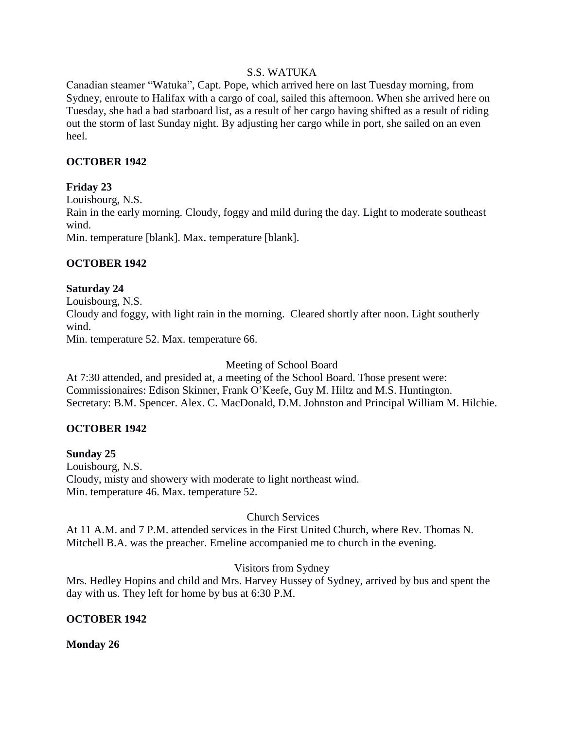## S.S. WATUKA

Canadian steamer "Watuka", Capt. Pope, which arrived here on last Tuesday morning, from Sydney, enroute to Halifax with a cargo of coal, sailed this afternoon. When she arrived here on Tuesday, she had a bad starboard list, as a result of her cargo having shifted as a result of riding out the storm of last Sunday night. By adjusting her cargo while in port, she sailed on an even heel.

### **OCTOBER 1942**

## **Friday 23**

Louisbourg, N.S. Rain in the early morning. Cloudy, foggy and mild during the day. Light to moderate southeast wind. Min. temperature [blank]. Max. temperature [blank].

## **OCTOBER 1942**

### **Saturday 24**

Louisbourg, N.S. Cloudy and foggy, with light rain in the morning. Cleared shortly after noon. Light southerly wind.

Min. temperature 52. Max. temperature 66.

Meeting of School Board

At 7:30 attended, and presided at, a meeting of the School Board. Those present were: Commissionaires: Edison Skinner, Frank O'Keefe, Guy M. Hiltz and M.S. Huntington. Secretary: B.M. Spencer. Alex. C. MacDonald, D.M. Johnston and Principal William M. Hilchie.

# **OCTOBER 1942**

**Sunday 25**  Louisbourg, N.S. Cloudy, misty and showery with moderate to light northeast wind. Min. temperature 46. Max. temperature 52.

### Church Services

At 11 A.M. and 7 P.M. attended services in the First United Church, where Rev. Thomas N. Mitchell B.A. was the preacher. Emeline accompanied me to church in the evening.

### Visitors from Sydney

Mrs. Hedley Hopins and child and Mrs. Harvey Hussey of Sydney, arrived by bus and spent the day with us. They left for home by bus at 6:30 P.M.

### **OCTOBER 1942**

### **Monday 26**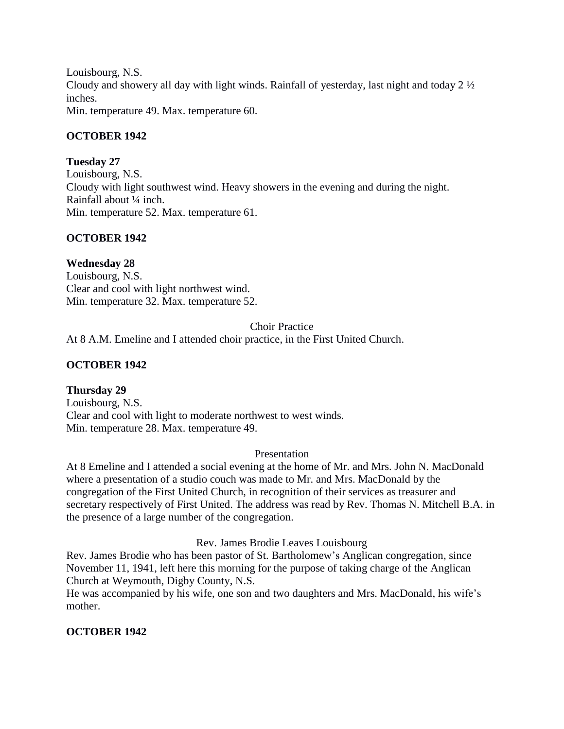Louisbourg, N.S. Cloudy and showery all day with light winds. Rainfall of yesterday, last night and today 2 ½ inches. Min. temperature 49. Max. temperature 60.

**OCTOBER 1942**

### **Tuesday 27**

Louisbourg, N.S. Cloudy with light southwest wind. Heavy showers in the evening and during the night. Rainfall about ¼ inch. Min. temperature 52. Max. temperature 61.

# **OCTOBER 1942**

**Wednesday 28** Louisbourg, N.S. Clear and cool with light northwest wind. Min. temperature 32. Max. temperature 52.

#### Choir Practice

At 8 A.M. Emeline and I attended choir practice, in the First United Church.

### **OCTOBER 1942**

### **Thursday 29**

Louisbourg, N.S. Clear and cool with light to moderate northwest to west winds. Min. temperature 28. Max. temperature 49.

#### Presentation

At 8 Emeline and I attended a social evening at the home of Mr. and Mrs. John N. MacDonald where a presentation of a studio couch was made to Mr. and Mrs. MacDonald by the congregation of the First United Church, in recognition of their services as treasurer and secretary respectively of First United. The address was read by Rev. Thomas N. Mitchell B.A. in the presence of a large number of the congregation.

### Rev. James Brodie Leaves Louisbourg

Rev. James Brodie who has been pastor of St. Bartholomew's Anglican congregation, since November 11, 1941, left here this morning for the purpose of taking charge of the Anglican Church at Weymouth, Digby County, N.S.

He was accompanied by his wife, one son and two daughters and Mrs. MacDonald, his wife's mother.

# **OCTOBER 1942**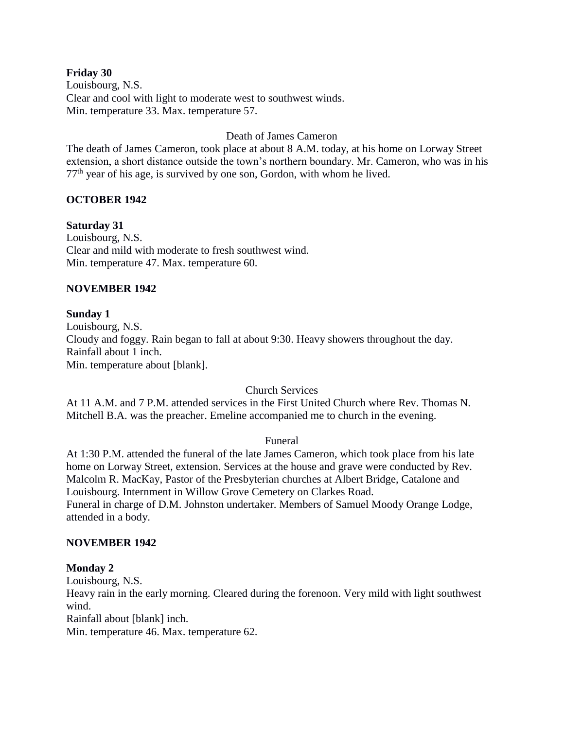#### **Friday 30**

Louisbourg, N.S. Clear and cool with light to moderate west to southwest winds. Min. temperature 33. Max. temperature 57.

### Death of James Cameron

The death of James Cameron, took place at about 8 A.M. today, at his home on Lorway Street extension, a short distance outside the town's northern boundary. Mr. Cameron, who was in his  $77<sup>th</sup>$  year of his age, is survived by one son, Gordon, with whom he lived.

### **OCTOBER 1942**

**Saturday 31** Louisbourg, N.S. Clear and mild with moderate to fresh southwest wind. Min. temperature 47. Max. temperature 60.

### **NOVEMBER 1942**

### **Sunday 1**

Louisbourg, N.S. Cloudy and foggy. Rain began to fall at about 9:30. Heavy showers throughout the day. Rainfall about 1 inch. Min. temperature about [blank].

### Church Services

At 11 A.M. and 7 P.M. attended services in the First United Church where Rev. Thomas N. Mitchell B.A. was the preacher. Emeline accompanied me to church in the evening.

### Funeral

At 1:30 P.M. attended the funeral of the late James Cameron, which took place from his late home on Lorway Street, extension. Services at the house and grave were conducted by Rev. Malcolm R. MacKay, Pastor of the Presbyterian churches at Albert Bridge, Catalone and Louisbourg. Internment in Willow Grove Cemetery on Clarkes Road. Funeral in charge of D.M. Johnston undertaker. Members of Samuel Moody Orange Lodge, attended in a body.

### **NOVEMBER 1942**

### **Monday 2**

Louisbourg, N.S. Heavy rain in the early morning. Cleared during the forenoon. Very mild with light southwest wind. Rainfall about [blank] inch. Min. temperature 46. Max. temperature 62.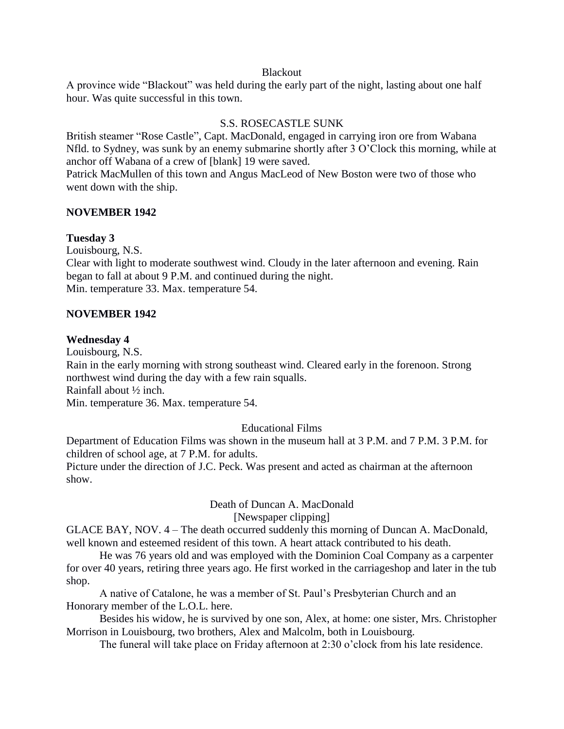#### Blackout

A province wide "Blackout" was held during the early part of the night, lasting about one half hour. Was quite successful in this town.

### S.S. ROSECASTLE SUNK

British steamer "Rose Castle", Capt. MacDonald, engaged in carrying iron ore from Wabana Nfld. to Sydney, was sunk by an enemy submarine shortly after 3 O'Clock this morning, while at anchor off Wabana of a crew of [blank] 19 were saved.

Patrick MacMullen of this town and Angus MacLeod of New Boston were two of those who went down with the ship.

### **NOVEMBER 1942**

### **Tuesday 3**

Louisbourg, N.S.

Clear with light to moderate southwest wind. Cloudy in the later afternoon and evening. Rain began to fall at about 9 P.M. and continued during the night. Min. temperature 33. Max. temperature 54.

### **NOVEMBER 1942**

### **Wednesday 4**

Louisbourg, N.S.

Rain in the early morning with strong southeast wind. Cleared early in the forenoon. Strong northwest wind during the day with a few rain squalls. Rainfall about ½ inch.

Min. temperature 36. Max. temperature 54.

### Educational Films

Department of Education Films was shown in the museum hall at 3 P.M. and 7 P.M. 3 P.M. for children of school age, at 7 P.M. for adults.

Picture under the direction of J.C. Peck. Was present and acted as chairman at the afternoon show.

# Death of Duncan A. MacDonald

[Newspaper clipping]

GLACE BAY, NOV. 4 – The death occurred suddenly this morning of Duncan A. MacDonald, well known and esteemed resident of this town. A heart attack contributed to his death.

He was 76 years old and was employed with the Dominion Coal Company as a carpenter for over 40 years, retiring three years ago. He first worked in the carriageshop and later in the tub shop.

A native of Catalone, he was a member of St. Paul's Presbyterian Church and an Honorary member of the L.O.L. here.

Besides his widow, he is survived by one son, Alex, at home: one sister, Mrs. Christopher Morrison in Louisbourg, two brothers, Alex and Malcolm, both in Louisbourg.

The funeral will take place on Friday afternoon at 2:30 o'clock from his late residence.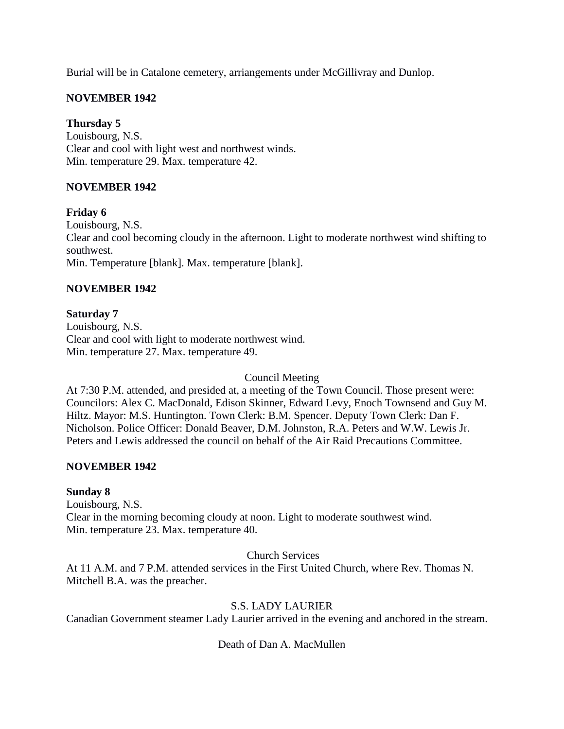Burial will be in Catalone cemetery, arriangements under McGillivray and Dunlop.

# **NOVEMBER 1942**

### **Thursday 5**

Louisbourg, N.S. Clear and cool with light west and northwest winds. Min. temperature 29. Max. temperature 42.

### **NOVEMBER 1942**

### **Friday 6**

Louisbourg, N.S. Clear and cool becoming cloudy in the afternoon. Light to moderate northwest wind shifting to southwest. Min. Temperature [blank]. Max. temperature [blank].

### **NOVEMBER 1942**

### **Saturday 7**

Louisbourg, N.S. Clear and cool with light to moderate northwest wind. Min. temperature 27. Max. temperature 49.

Council Meeting

At 7:30 P.M. attended, and presided at, a meeting of the Town Council. Those present were: Councilors: Alex C. MacDonald, Edison Skinner, Edward Levy, Enoch Townsend and Guy M. Hiltz. Mayor: M.S. Huntington. Town Clerk: B.M. Spencer. Deputy Town Clerk: Dan F. Nicholson. Police Officer: Donald Beaver, D.M. Johnston, R.A. Peters and W.W. Lewis Jr. Peters and Lewis addressed the council on behalf of the Air Raid Precautions Committee.

### **NOVEMBER 1942**

### **Sunday 8**

Louisbourg, N.S. Clear in the morning becoming cloudy at noon. Light to moderate southwest wind. Min. temperature 23. Max. temperature 40.

Church Services

At 11 A.M. and 7 P.M. attended services in the First United Church, where Rev. Thomas N. Mitchell B.A. was the preacher.

### S.S. LADY LAURIER

Canadian Government steamer Lady Laurier arrived in the evening and anchored in the stream.

# Death of Dan A. MacMullen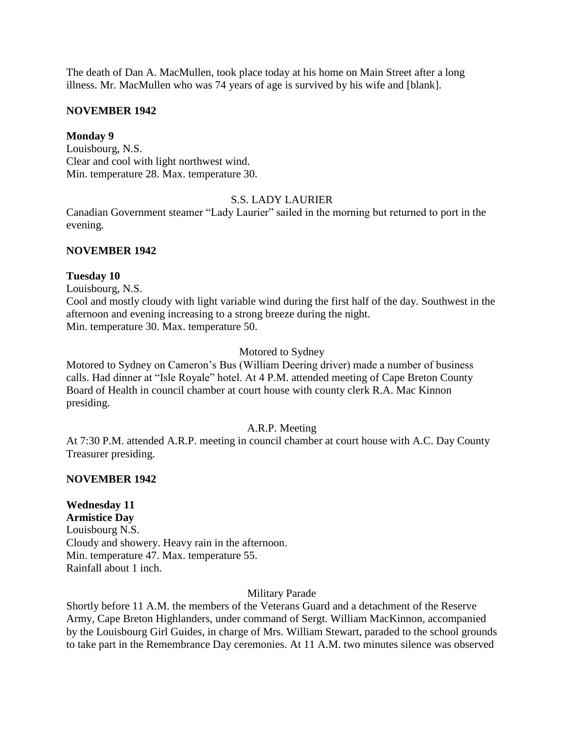The death of Dan A. MacMullen, took place today at his home on Main Street after a long illness. Mr. MacMullen who was 74 years of age is survived by his wife and [blank].

### **NOVEMBER 1942**

### **Monday 9**

Louisbourg, N.S. Clear and cool with light northwest wind. Min. temperature 28. Max. temperature 30.

# S.S. LADY LAURIER

Canadian Government steamer "Lady Laurier" sailed in the morning but returned to port in the evening.

### **NOVEMBER 1942**

### **Tuesday 10**

Louisbourg, N.S.

Cool and mostly cloudy with light variable wind during the first half of the day. Southwest in the afternoon and evening increasing to a strong breeze during the night. Min. temperature 30. Max. temperature 50.

### Motored to Sydney

Motored to Sydney on Cameron's Bus (William Deering driver) made a number of business calls. Had dinner at "Isle Royale" hotel. At 4 P.M. attended meeting of Cape Breton County Board of Health in council chamber at court house with county clerk R.A. Mac Kinnon presiding.

# A.R.P. Meeting

At 7:30 P.M. attended A.R.P. meeting in council chamber at court house with A.C. Day County Treasurer presiding.

### **NOVEMBER 1942**

# **Wednesday 11**

**Armistice Day** Louisbourg N.S. Cloudy and showery. Heavy rain in the afternoon. Min. temperature 47. Max. temperature 55. Rainfall about 1 inch.

### Military Parade

Shortly before 11 A.M. the members of the Veterans Guard and a detachment of the Reserve Army, Cape Breton Highlanders, under command of Sergt. William MacKinnon, accompanied by the Louisbourg Girl Guides, in charge of Mrs. William Stewart, paraded to the school grounds to take part in the Remembrance Day ceremonies. At 11 A.M. two minutes silence was observed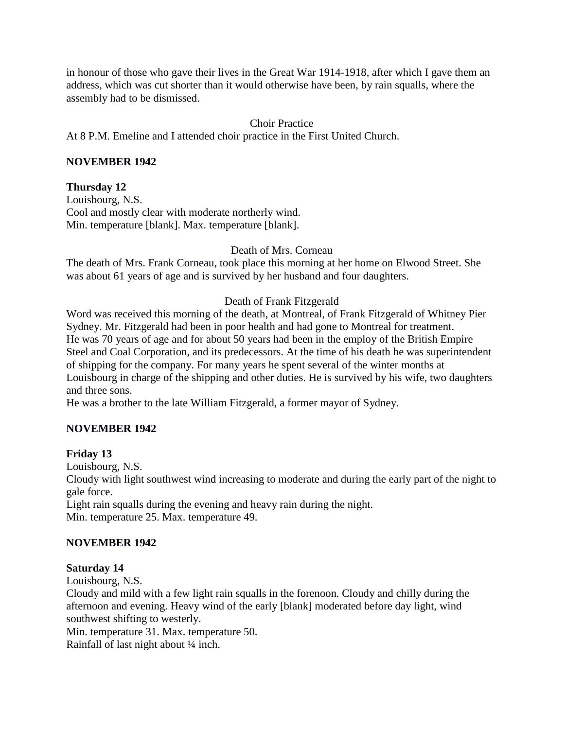in honour of those who gave their lives in the Great War 1914-1918, after which I gave them an address, which was cut shorter than it would otherwise have been, by rain squalls, where the assembly had to be dismissed.

### Choir Practice

At 8 P.M. Emeline and I attended choir practice in the First United Church.

### **NOVEMBER 1942**

### **Thursday 12**

Louisbourg, N.S. Cool and mostly clear with moderate northerly wind. Min. temperature [blank]. Max. temperature [blank].

### Death of Mrs. Corneau

The death of Mrs. Frank Corneau, took place this morning at her home on Elwood Street. She was about 61 years of age and is survived by her husband and four daughters.

### Death of Frank Fitzgerald

Word was received this morning of the death, at Montreal, of Frank Fitzgerald of Whitney Pier Sydney. Mr. Fitzgerald had been in poor health and had gone to Montreal for treatment. He was 70 years of age and for about 50 years had been in the employ of the British Empire Steel and Coal Corporation, and its predecessors. At the time of his death he was superintendent of shipping for the company. For many years he spent several of the winter months at Louisbourg in charge of the shipping and other duties. He is survived by his wife, two daughters and three sons.

He was a brother to the late William Fitzgerald, a former mayor of Sydney.

### **NOVEMBER 1942**

### **Friday 13**

Louisbourg, N.S.

Cloudy with light southwest wind increasing to moderate and during the early part of the night to gale force.

Light rain squalls during the evening and heavy rain during the night. Min. temperature 25. Max. temperature 49.

### **NOVEMBER 1942**

### **Saturday 14**

Louisbourg, N.S.

Cloudy and mild with a few light rain squalls in the forenoon. Cloudy and chilly during the afternoon and evening. Heavy wind of the early [blank] moderated before day light, wind southwest shifting to westerly.

Min. temperature 31. Max. temperature 50.

Rainfall of last night about ¼ inch.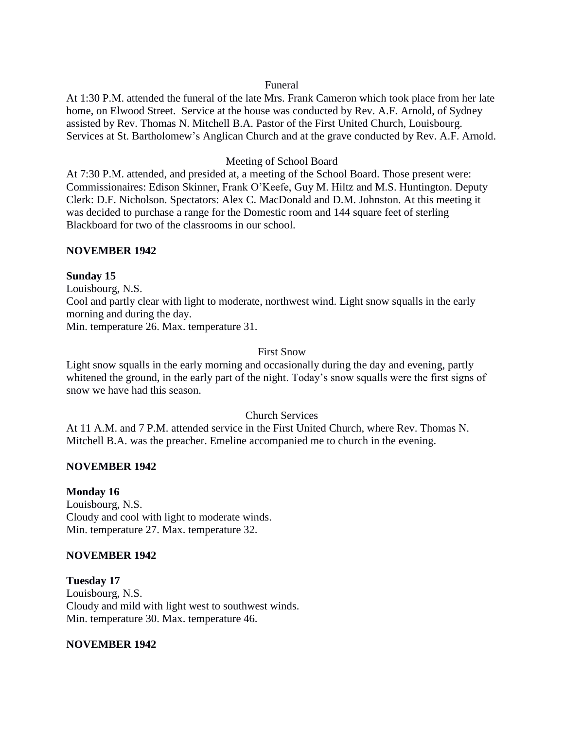#### Funeral

At 1:30 P.M. attended the funeral of the late Mrs. Frank Cameron which took place from her late home, on Elwood Street. Service at the house was conducted by Rev. A.F. Arnold, of Sydney assisted by Rev. Thomas N. Mitchell B.A. Pastor of the First United Church, Louisbourg. Services at St. Bartholomew's Anglican Church and at the grave conducted by Rev. A.F. Arnold.

### Meeting of School Board

At 7:30 P.M. attended, and presided at, a meeting of the School Board. Those present were: Commissionaires: Edison Skinner, Frank O'Keefe, Guy M. Hiltz and M.S. Huntington. Deputy Clerk: D.F. Nicholson. Spectators: Alex C. MacDonald and D.M. Johnston. At this meeting it was decided to purchase a range for the Domestic room and 144 square feet of sterling Blackboard for two of the classrooms in our school.

### **NOVEMBER 1942**

### **Sunday 15**

Louisbourg, N.S.

Cool and partly clear with light to moderate, northwest wind. Light snow squalls in the early morning and during the day.

Min. temperature 26. Max. temperature 31.

### First Snow

Light snow squalls in the early morning and occasionally during the day and evening, partly whitened the ground, in the early part of the night. Today's snow squalls were the first signs of snow we have had this season.

### Church Services

At 11 A.M. and 7 P.M. attended service in the First United Church, where Rev. Thomas N. Mitchell B.A. was the preacher. Emeline accompanied me to church in the evening.

### **NOVEMBER 1942**

### **Monday 16**

Louisbourg, N.S. Cloudy and cool with light to moderate winds. Min. temperature 27. Max. temperature 32.

### **NOVEMBER 1942**

**Tuesday 17** Louisbourg, N.S. Cloudy and mild with light west to southwest winds. Min. temperature 30. Max. temperature 46.

### **NOVEMBER 1942**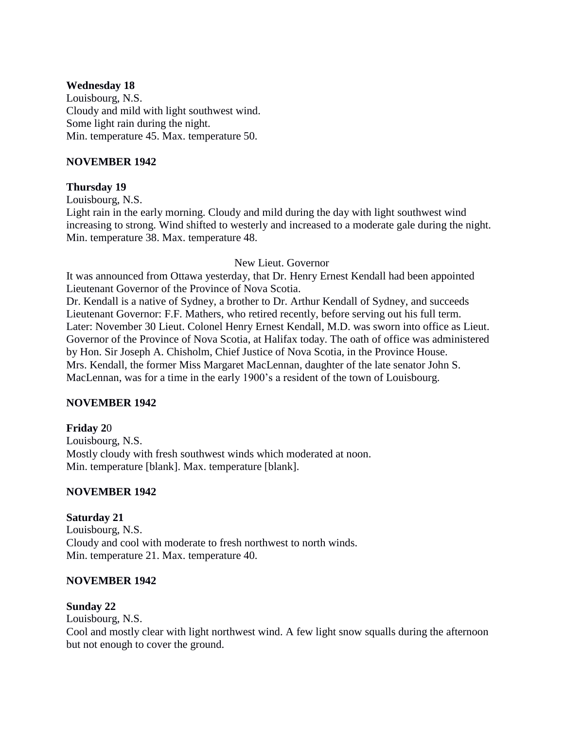### **Wednesday 18**

Louisbourg, N.S. Cloudy and mild with light southwest wind. Some light rain during the night. Min. temperature 45. Max. temperature 50.

### **NOVEMBER 1942**

### **Thursday 19**

Louisbourg, N.S.

Light rain in the early morning. Cloudy and mild during the day with light southwest wind increasing to strong. Wind shifted to westerly and increased to a moderate gale during the night. Min. temperature 38. Max. temperature 48.

### New Lieut. Governor

It was announced from Ottawa yesterday, that Dr. Henry Ernest Kendall had been appointed Lieutenant Governor of the Province of Nova Scotia.

Dr. Kendall is a native of Sydney, a brother to Dr. Arthur Kendall of Sydney, and succeeds Lieutenant Governor: F.F. Mathers, who retired recently, before serving out his full term. Later: November 30 Lieut. Colonel Henry Ernest Kendall, M.D. was sworn into office as Lieut. Governor of the Province of Nova Scotia, at Halifax today. The oath of office was administered by Hon. Sir Joseph A. Chisholm, Chief Justice of Nova Scotia, in the Province House. Mrs. Kendall, the former Miss Margaret MacLennan, daughter of the late senator John S. MacLennan, was for a time in the early 1900's a resident of the town of Louisbourg.

# **NOVEMBER 1942**

**Friday 2**0 Louisbourg, N.S. Mostly cloudy with fresh southwest winds which moderated at noon. Min. temperature [blank]. Max. temperature [blank].

# **NOVEMBER 1942**

**Saturday 21** Louisbourg, N.S. Cloudy and cool with moderate to fresh northwest to north winds. Min. temperature 21. Max. temperature 40.

### **NOVEMBER 1942**

### **Sunday 22**

Louisbourg, N.S.

Cool and mostly clear with light northwest wind. A few light snow squalls during the afternoon but not enough to cover the ground.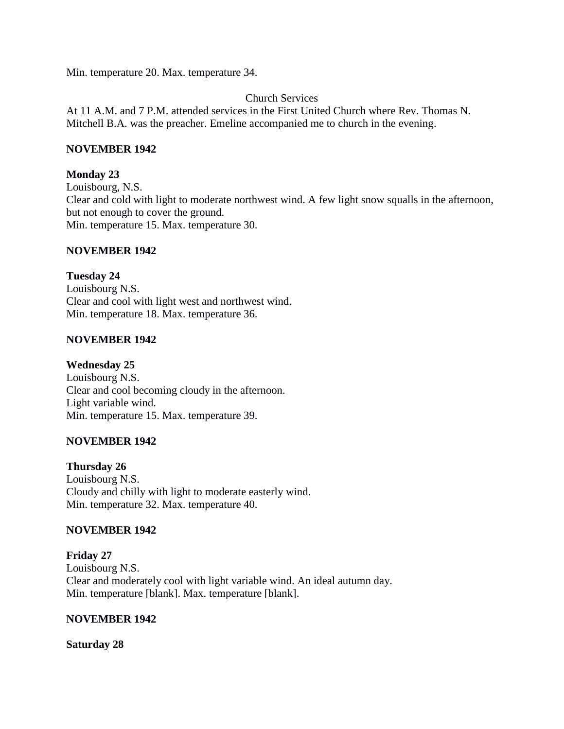Min. temperature 20. Max. temperature 34.

Church Services

At 11 A.M. and 7 P.M. attended services in the First United Church where Rev. Thomas N. Mitchell B.A. was the preacher. Emeline accompanied me to church in the evening.

### **NOVEMBER 1942**

### **Monday 23**

Louisbourg, N.S. Clear and cold with light to moderate northwest wind. A few light snow squalls in the afternoon, but not enough to cover the ground. Min. temperature 15. Max. temperature 30.

### **NOVEMBER 1942**

**Tuesday 24** Louisbourg N.S. Clear and cool with light west and northwest wind. Min. temperature 18. Max. temperature 36.

### **NOVEMBER 1942**

**Wednesday 25**

Louisbourg N.S. Clear and cool becoming cloudy in the afternoon. Light variable wind. Min. temperature 15. Max. temperature 39.

### **NOVEMBER 1942**

**Thursday 26** Louisbourg N.S. Cloudy and chilly with light to moderate easterly wind. Min. temperature 32. Max. temperature 40.

### **NOVEMBER 1942**

**Friday 27**  Louisbourg N.S. Clear and moderately cool with light variable wind. An ideal autumn day. Min. temperature [blank]. Max. temperature [blank].

### **NOVEMBER 1942**

**Saturday 28**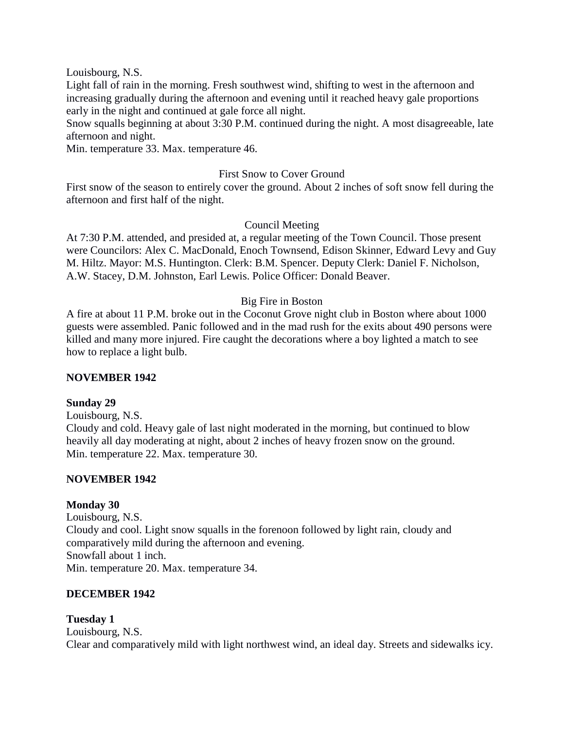Louisbourg, N.S.

Light fall of rain in the morning. Fresh southwest wind, shifting to west in the afternoon and increasing gradually during the afternoon and evening until it reached heavy gale proportions early in the night and continued at gale force all night.

Snow squalls beginning at about 3:30 P.M. continued during the night. A most disagreeable, late afternoon and night.

Min. temperature 33. Max. temperature 46.

#### First Snow to Cover Ground

First snow of the season to entirely cover the ground. About 2 inches of soft snow fell during the afternoon and first half of the night.

#### Council Meeting

At 7:30 P.M. attended, and presided at, a regular meeting of the Town Council. Those present were Councilors: Alex C. MacDonald, Enoch Townsend, Edison Skinner, Edward Levy and Guy M. Hiltz. Mayor: M.S. Huntington. Clerk: B.M. Spencer. Deputy Clerk: Daniel F. Nicholson, A.W. Stacey, D.M. Johnston, Earl Lewis. Police Officer: Donald Beaver.

#### Big Fire in Boston

A fire at about 11 P.M. broke out in the Coconut Grove night club in Boston where about 1000 guests were assembled. Panic followed and in the mad rush for the exits about 490 persons were killed and many more injured. Fire caught the decorations where a boy lighted a match to see how to replace a light bulb.

#### **NOVEMBER 1942**

#### **Sunday 29**

Louisbourg, N.S.

Cloudy and cold. Heavy gale of last night moderated in the morning, but continued to blow heavily all day moderating at night, about 2 inches of heavy frozen snow on the ground. Min. temperature 22. Max. temperature 30.

#### **NOVEMBER 1942**

#### **Monday 30**

Louisbourg, N.S. Cloudy and cool. Light snow squalls in the forenoon followed by light rain, cloudy and comparatively mild during the afternoon and evening. Snowfall about 1 inch. Min. temperature 20. Max. temperature 34.

### **DECEMBER 1942**

#### **Tuesday 1**

Louisbourg, N.S. Clear and comparatively mild with light northwest wind, an ideal day. Streets and sidewalks icy.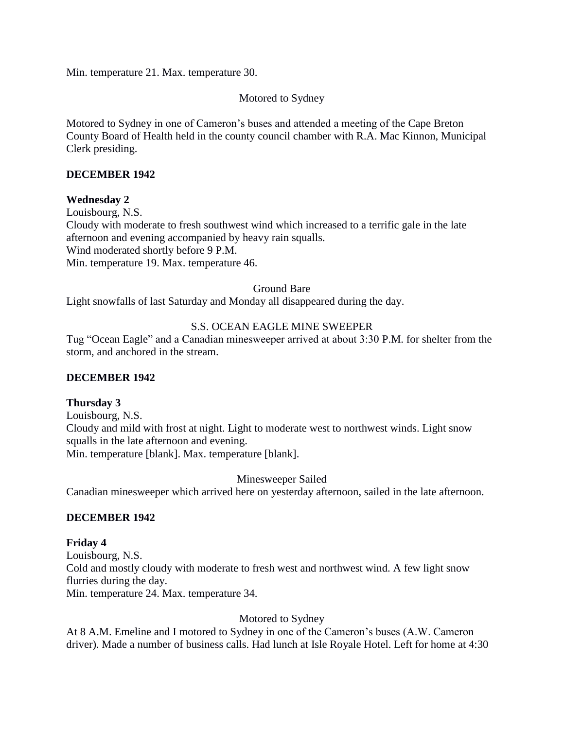Min. temperature 21. Max. temperature 30.

### Motored to Sydney

Motored to Sydney in one of Cameron's buses and attended a meeting of the Cape Breton County Board of Health held in the county council chamber with R.A. Mac Kinnon, Municipal Clerk presiding.

### **DECEMBER 1942**

### **Wednesday 2**

Louisbourg, N.S. Cloudy with moderate to fresh southwest wind which increased to a terrific gale in the late afternoon and evening accompanied by heavy rain squalls. Wind moderated shortly before 9 P.M. Min. temperature 19. Max. temperature 46.

### Ground Bare

Light snowfalls of last Saturday and Monday all disappeared during the day.

### S.S. OCEAN EAGLE MINE SWEEPER

Tug "Ocean Eagle" and a Canadian minesweeper arrived at about 3:30 P.M. for shelter from the storm, and anchored in the stream.

### **DECEMBER 1942**

### **Thursday 3**

Louisbourg, N.S. Cloudy and mild with frost at night. Light to moderate west to northwest winds. Light snow squalls in the late afternoon and evening. Min. temperature [blank]. Max. temperature [blank].

Minesweeper Sailed

Canadian minesweeper which arrived here on yesterday afternoon, sailed in the late afternoon.

### **DECEMBER 1942**

### **Friday 4**

Louisbourg, N.S. Cold and mostly cloudy with moderate to fresh west and northwest wind. A few light snow flurries during the day. Min. temperature 24. Max. temperature 34.

### Motored to Sydney

At 8 A.M. Emeline and I motored to Sydney in one of the Cameron's buses (A.W. Cameron driver). Made a number of business calls. Had lunch at Isle Royale Hotel. Left for home at 4:30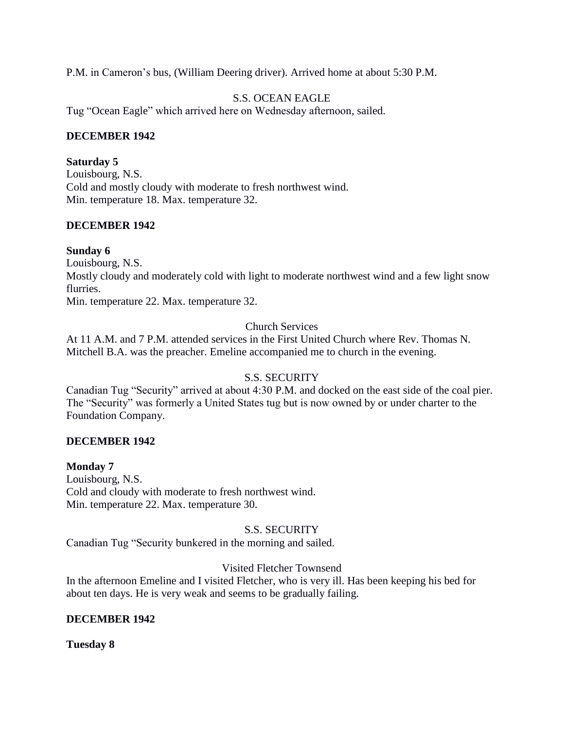P.M. in Cameron's bus, (William Deering driver). Arrived home at about 5:30 P.M.

### S.S. OCEAN EAGLE

Tug "Ocean Eagle" which arrived here on Wednesday afternoon, sailed.

### **DECEMBER 1942**

### **Saturday 5**

Louisbourg, N.S. Cold and mostly cloudy with moderate to fresh northwest wind. Min. temperature 18. Max. temperature 32.

# **DECEMBER 1942**

### **Sunday 6**

Louisbourg, N.S. Mostly cloudy and moderately cold with light to moderate northwest wind and a few light snow flurries. Min. temperature 22. Max. temperature 32.

Church Services

At 11 A.M. and 7 P.M. attended services in the First United Church where Rev. Thomas N. Mitchell B.A. was the preacher. Emeline accompanied me to church in the evening.

# S.S. SECURITY

Canadian Tug "Security" arrived at about 4:30 P.M. and docked on the east side of the coal pier. The "Security" was formerly a United States tug but is now owned by or under charter to the Foundation Company.

# **DECEMBER 1942**

# **Monday 7**

Louisbourg, N.S. Cold and cloudy with moderate to fresh northwest wind. Min. temperature 22. Max. temperature 30.

# S.S. SECURITY

Canadian Tug "Security bunkered in the morning and sailed.

# Visited Fletcher Townsend

In the afternoon Emeline and I visited Fletcher, who is very ill. Has been keeping his bed for about ten days. He is very weak and seems to be gradually failing.

# **DECEMBER 1942**

**Tuesday 8**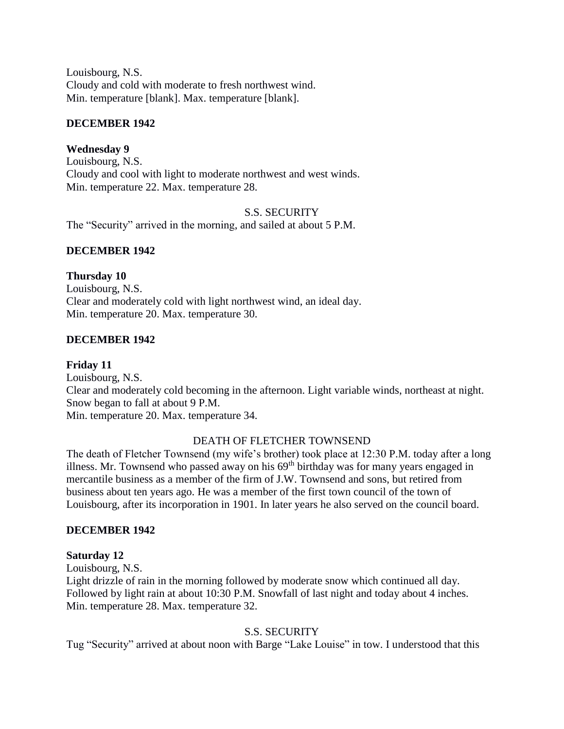Louisbourg, N.S. Cloudy and cold with moderate to fresh northwest wind. Min. temperature [blank]. Max. temperature [blank].

### **DECEMBER 1942**

### **Wednesday 9**

Louisbourg, N.S. Cloudy and cool with light to moderate northwest and west winds. Min. temperature 22. Max. temperature 28.

### S.S. SECURITY

The "Security" arrived in the morning, and sailed at about 5 P.M.

### **DECEMBER 1942**

### **Thursday 10**

Louisbourg, N.S. Clear and moderately cold with light northwest wind, an ideal day. Min. temperature 20. Max. temperature 30.

### **DECEMBER 1942**

### **Friday 11**

Louisbourg, N.S. Clear and moderately cold becoming in the afternoon. Light variable winds, northeast at night. Snow began to fall at about 9 P.M. Min. temperature 20. Max. temperature 34.

### DEATH OF FLETCHER TOWNSEND

The death of Fletcher Townsend (my wife's brother) took place at 12:30 P.M. today after a long illness. Mr. Townsend who passed away on his  $69<sup>th</sup>$  birthday was for many years engaged in mercantile business as a member of the firm of J.W. Townsend and sons, but retired from business about ten years ago. He was a member of the first town council of the town of Louisbourg, after its incorporation in 1901. In later years he also served on the council board.

### **DECEMBER 1942**

### **Saturday 12**

Louisbourg, N.S.

Light drizzle of rain in the morning followed by moderate snow which continued all day. Followed by light rain at about 10:30 P.M. Snowfall of last night and today about 4 inches. Min. temperature 28. Max. temperature 32.

### S.S. SECURITY

Tug "Security" arrived at about noon with Barge "Lake Louise" in tow. I understood that this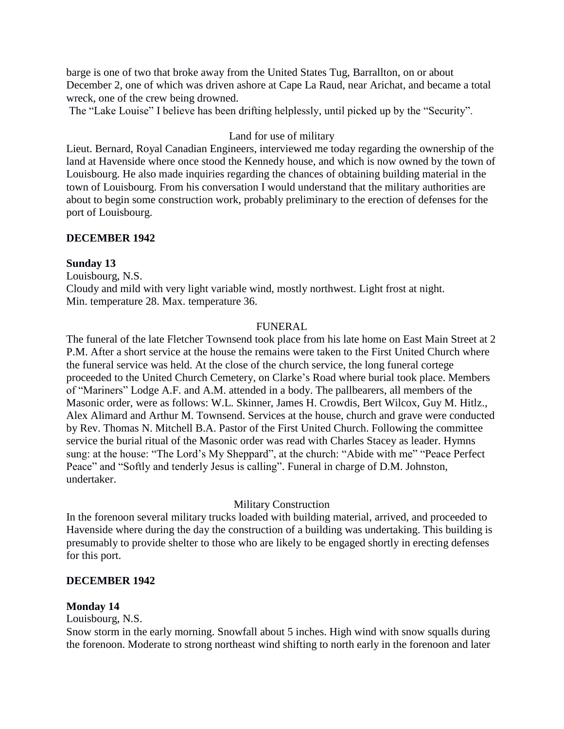barge is one of two that broke away from the United States Tug, Barrallton, on or about December 2, one of which was driven ashore at Cape La Raud, near Arichat, and became a total wreck, one of the crew being drowned.

The "Lake Louise" I believe has been drifting helplessly, until picked up by the "Security".

### Land for use of military

Lieut. Bernard, Royal Canadian Engineers, interviewed me today regarding the ownership of the land at Havenside where once stood the Kennedy house, and which is now owned by the town of Louisbourg. He also made inquiries regarding the chances of obtaining building material in the town of Louisbourg. From his conversation I would understand that the military authorities are about to begin some construction work, probably preliminary to the erection of defenses for the port of Louisbourg.

### **DECEMBER 1942**

### **Sunday 13**

Louisbourg, N.S. Cloudy and mild with very light variable wind, mostly northwest. Light frost at night. Min. temperature 28. Max. temperature 36.

### FUNERAL

The funeral of the late Fletcher Townsend took place from his late home on East Main Street at 2 P.M. After a short service at the house the remains were taken to the First United Church where the funeral service was held. At the close of the church service, the long funeral cortege proceeded to the United Church Cemetery, on Clarke's Road where burial took place. Members of "Mariners" Lodge A.F. and A.M. attended in a body. The pallbearers, all members of the Masonic order, were as follows: W.L. Skinner, James H. Crowdis, Bert Wilcox, Guy M. Hitlz., Alex Alimard and Arthur M. Townsend. Services at the house, church and grave were conducted by Rev. Thomas N. Mitchell B.A. Pastor of the First United Church. Following the committee service the burial ritual of the Masonic order was read with Charles Stacey as leader. Hymns sung: at the house: "The Lord's My Sheppard", at the church: "Abide with me" "Peace Perfect Peace" and "Softly and tenderly Jesus is calling". Funeral in charge of D.M. Johnston, undertaker.

# Military Construction

In the forenoon several military trucks loaded with building material, arrived, and proceeded to Havenside where during the day the construction of a building was undertaking. This building is presumably to provide shelter to those who are likely to be engaged shortly in erecting defenses for this port.

# **DECEMBER 1942**

# **Monday 14**

# Louisbourg, N.S.

Snow storm in the early morning. Snowfall about 5 inches. High wind with snow squalls during the forenoon. Moderate to strong northeast wind shifting to north early in the forenoon and later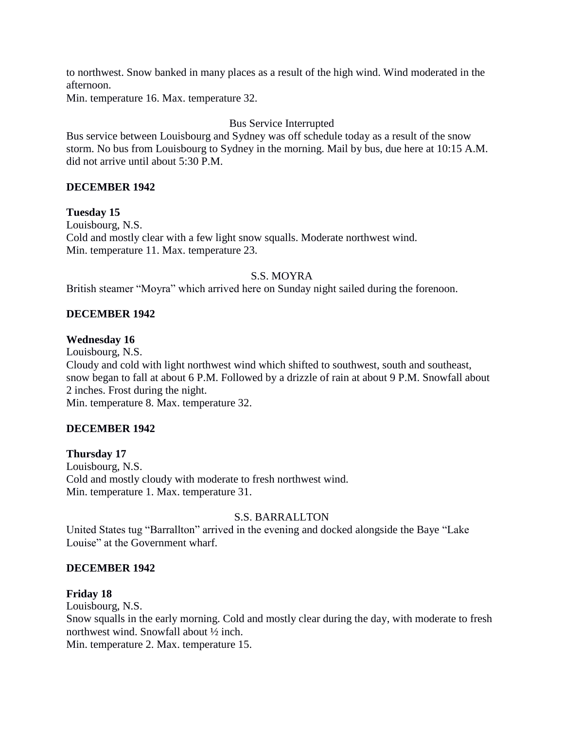to northwest. Snow banked in many places as a result of the high wind. Wind moderated in the afternoon.

Min. temperature 16. Max. temperature 32.

# Bus Service Interrupted

Bus service between Louisbourg and Sydney was off schedule today as a result of the snow storm. No bus from Louisbourg to Sydney in the morning. Mail by bus, due here at 10:15 A.M. did not arrive until about 5:30 P.M.

# **DECEMBER 1942**

**Tuesday 15** Louisbourg, N.S. Cold and mostly clear with a few light snow squalls. Moderate northwest wind. Min. temperature 11. Max. temperature 23.

# S.S. MOYRA

British steamer "Moyra" which arrived here on Sunday night sailed during the forenoon.

# **DECEMBER 1942**

### **Wednesday 16**

Louisbourg, N.S. Cloudy and cold with light northwest wind which shifted to southwest, south and southeast, snow began to fall at about 6 P.M. Followed by a drizzle of rain at about 9 P.M. Snowfall about 2 inches. Frost during the night.

Min. temperature 8. Max. temperature 32.

# **DECEMBER 1942**

### **Thursday 17**

Louisbourg, N.S. Cold and mostly cloudy with moderate to fresh northwest wind. Min. temperature 1. Max. temperature 31.

### S.S. BARRALLTON

United States tug "Barrallton" arrived in the evening and docked alongside the Baye "Lake Louise" at the Government wharf.

### **DECEMBER 1942**

### **Friday 18**

Louisbourg, N.S.

Snow squalls in the early morning. Cold and mostly clear during the day, with moderate to fresh northwest wind. Snowfall about ½ inch.

Min. temperature 2. Max. temperature 15.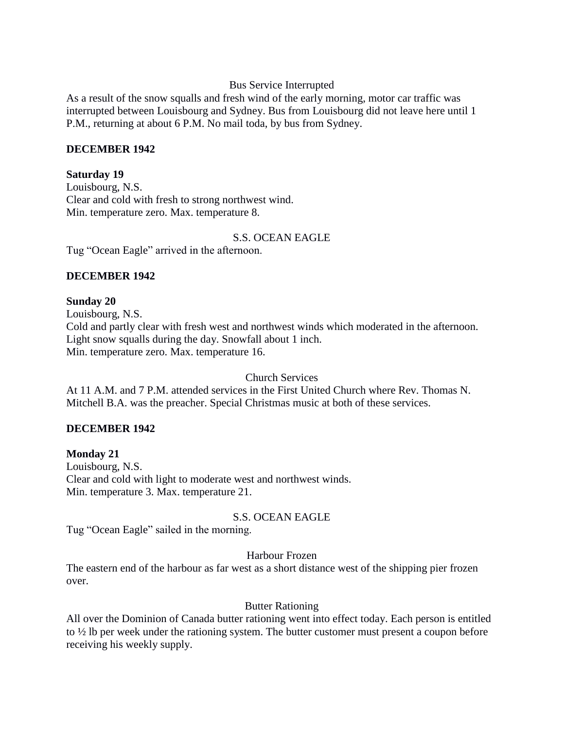### Bus Service Interrupted

As a result of the snow squalls and fresh wind of the early morning, motor car traffic was interrupted between Louisbourg and Sydney. Bus from Louisbourg did not leave here until 1 P.M., returning at about 6 P.M. No mail toda, by bus from Sydney.

#### **DECEMBER 1942**

#### **Saturday 19**

Louisbourg, N.S. Clear and cold with fresh to strong northwest wind. Min. temperature zero. Max. temperature 8.

### S.S. OCEAN EAGLE

Tug "Ocean Eagle" arrived in the afternoon.

### **DECEMBER 1942**

# **Sunday 20**

Louisbourg, N.S. Cold and partly clear with fresh west and northwest winds which moderated in the afternoon. Light snow squalls during the day. Snowfall about 1 inch. Min. temperature zero. Max. temperature 16.

Church Services

At 11 A.M. and 7 P.M. attended services in the First United Church where Rev. Thomas N. Mitchell B.A. was the preacher. Special Christmas music at both of these services.

# **DECEMBER 1942**

**Monday 21** Louisbourg, N.S. Clear and cold with light to moderate west and northwest winds. Min. temperature 3. Max. temperature 21.

S.S. OCEAN EAGLE

Tug "Ocean Eagle" sailed in the morning.

### Harbour Frozen

The eastern end of the harbour as far west as a short distance west of the shipping pier frozen over.

### Butter Rationing

All over the Dominion of Canada butter rationing went into effect today. Each person is entitled to ½ lb per week under the rationing system. The butter customer must present a coupon before receiving his weekly supply.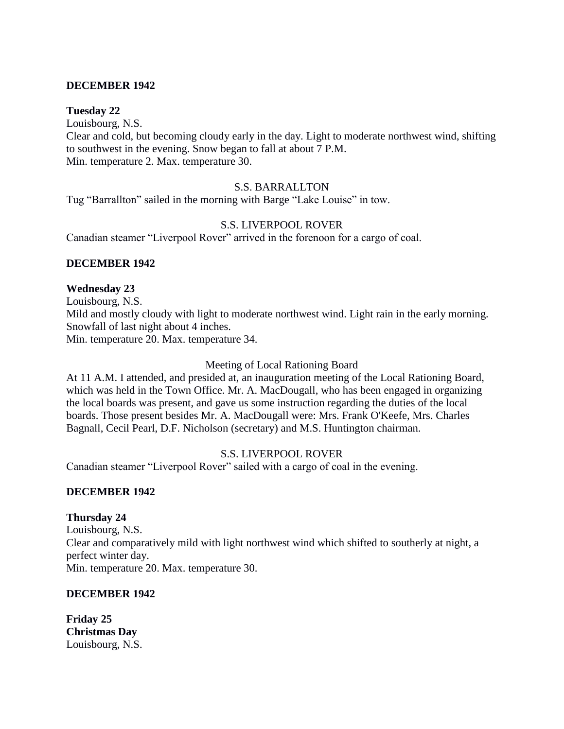### **DECEMBER 1942**

### **Tuesday 22**

Louisbourg, N.S. Clear and cold, but becoming cloudy early in the day. Light to moderate northwest wind, shifting to southwest in the evening. Snow began to fall at about 7 P.M. Min. temperature 2. Max. temperature 30.

#### S.S. BARRALLTON

Tug "Barrallton" sailed in the morning with Barge "Lake Louise" in tow.

### S.S. LIVERPOOL ROVER

Canadian steamer "Liverpool Rover" arrived in the forenoon for a cargo of coal.

### **DECEMBER 1942**

#### **Wednesday 23**

Louisbourg, N.S. Mild and mostly cloudy with light to moderate northwest wind. Light rain in the early morning. Snowfall of last night about 4 inches. Min. temperature 20. Max. temperature 34.

#### Meeting of Local Rationing Board

At 11 A.M. I attended, and presided at, an inauguration meeting of the Local Rationing Board, which was held in the Town Office. Mr. A. MacDougall, who has been engaged in organizing the local boards was present, and gave us some instruction regarding the duties of the local boards. Those present besides Mr. A. MacDougall were: Mrs. Frank O'Keefe, Mrs. Charles Bagnall, Cecil Pearl, D.F. Nicholson (secretary) and M.S. Huntington chairman.

### S.S. LIVERPOOL ROVER

Canadian steamer "Liverpool Rover" sailed with a cargo of coal in the evening.

#### **DECEMBER 1942**

### **Thursday 24**

Louisbourg, N.S. Clear and comparatively mild with light northwest wind which shifted to southerly at night, a perfect winter day. Min. temperature 20. Max. temperature 30.

#### **DECEMBER 1942**

**Friday 25 Christmas Day** Louisbourg, N.S.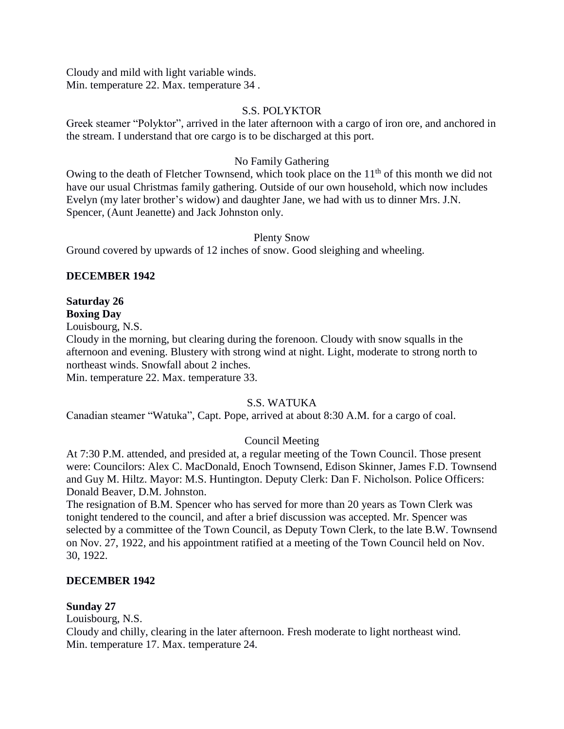Cloudy and mild with light variable winds. Min. temperature 22. Max. temperature 34 .

### S.S. POLYKTOR

Greek steamer "Polyktor", arrived in the later afternoon with a cargo of iron ore, and anchored in the stream. I understand that ore cargo is to be discharged at this port.

### No Family Gathering

Owing to the death of Fletcher Townsend, which took place on the  $11<sup>th</sup>$  of this month we did not have our usual Christmas family gathering. Outside of our own household, which now includes Evelyn (my later brother's widow) and daughter Jane, we had with us to dinner Mrs. J.N. Spencer, (Aunt Jeanette) and Jack Johnston only.

### Plenty Snow

Ground covered by upwards of 12 inches of snow. Good sleighing and wheeling.

### **DECEMBER 1942**

# **Saturday 26**

**Boxing Day** Louisbourg, N.S.

Cloudy in the morning, but clearing during the forenoon. Cloudy with snow squalls in the afternoon and evening. Blustery with strong wind at night. Light, moderate to strong north to northeast winds. Snowfall about 2 inches.

Min. temperature 22. Max. temperature 33.

# S.S. WATUKA

Canadian steamer "Watuka", Capt. Pope, arrived at about 8:30 A.M. for a cargo of coal.

# Council Meeting

At 7:30 P.M. attended, and presided at, a regular meeting of the Town Council. Those present were: Councilors: Alex C. MacDonald, Enoch Townsend, Edison Skinner, James F.D. Townsend and Guy M. Hiltz. Mayor: M.S. Huntington. Deputy Clerk: Dan F. Nicholson. Police Officers: Donald Beaver, D.M. Johnston.

The resignation of B.M. Spencer who has served for more than 20 years as Town Clerk was tonight tendered to the council, and after a brief discussion was accepted. Mr. Spencer was selected by a committee of the Town Council, as Deputy Town Clerk, to the late B.W. Townsend on Nov. 27, 1922, and his appointment ratified at a meeting of the Town Council held on Nov. 30, 1922.

### **DECEMBER 1942**

### **Sunday 27**

Louisbourg, N.S.

Cloudy and chilly, clearing in the later afternoon. Fresh moderate to light northeast wind. Min. temperature 17. Max. temperature 24.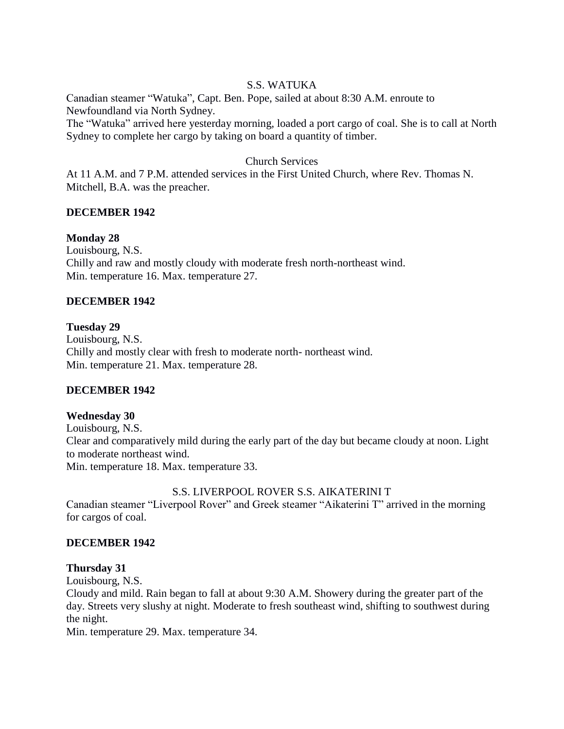### S.S. WATUKA

Canadian steamer "Watuka", Capt. Ben. Pope, sailed at about 8:30 A.M. enroute to Newfoundland via North Sydney.

The "Watuka" arrived here yesterday morning, loaded a port cargo of coal. She is to call at North Sydney to complete her cargo by taking on board a quantity of timber.

### Church Services

At 11 A.M. and 7 P.M. attended services in the First United Church, where Rev. Thomas N. Mitchell, B.A. was the preacher.

### **DECEMBER 1942**

### **Monday 28**

Louisbourg, N.S. Chilly and raw and mostly cloudy with moderate fresh north-northeast wind. Min. temperature 16. Max. temperature 27.

### **DECEMBER 1942**

### **Tuesday 29**

Louisbourg, N.S. Chilly and mostly clear with fresh to moderate north- northeast wind. Min. temperature 21. Max. temperature 28.

# **DECEMBER 1942**

### **Wednesday 30**

Louisbourg, N.S. Clear and comparatively mild during the early part of the day but became cloudy at noon. Light to moderate northeast wind. Min. temperature 18. Max. temperature 33.

### S.S. LIVERPOOL ROVER S.S. AIKATERINI T

Canadian steamer "Liverpool Rover" and Greek steamer "Aikaterini T" arrived in the morning for cargos of coal.

### **DECEMBER 1942**

### **Thursday 31**

Louisbourg, N.S.

Cloudy and mild. Rain began to fall at about 9:30 A.M. Showery during the greater part of the day. Streets very slushy at night. Moderate to fresh southeast wind, shifting to southwest during the night.

Min. temperature 29. Max. temperature 34.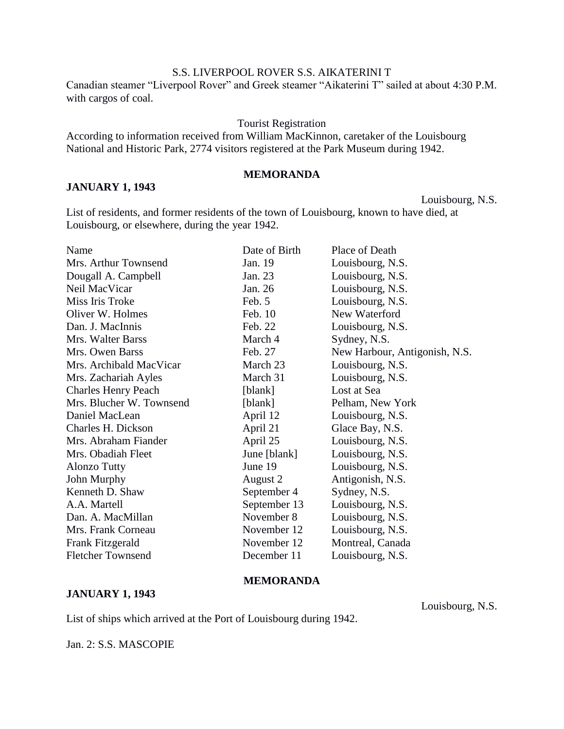### S.S. LIVERPOOL ROVER S.S. AIKATERINI T

Canadian steamer "Liverpool Rover" and Greek steamer "Aikaterini T" sailed at about 4:30 P.M. with cargos of coal.

#### Tourist Registration

According to information received from William MacKinnon, caretaker of the Louisbourg National and Historic Park, 2774 visitors registered at the Park Museum during 1942.

# **MEMORANDA**

Louisbourg, N.S.

List of residents, and former residents of the town of Louisbourg, known to have died, at Louisbourg, or elsewhere, during the year 1942.

| Date of Birth | Place of Death                |
|---------------|-------------------------------|
| Jan. 19       | Louisbourg, N.S.              |
| Jan. 23       | Louisbourg, N.S.              |
| Jan. 26       | Louisbourg, N.S.              |
| Feb. 5        | Louisbourg, N.S.              |
| Feb. 10       | New Waterford                 |
| Feb. 22       | Louisbourg, N.S.              |
| March 4       | Sydney, N.S.                  |
| Feb. 27       | New Harbour, Antigonish, N.S. |
| March 23      | Louisbourg, N.S.              |
| March 31      | Louisbourg, N.S.              |
| [blank]       | Lost at Sea                   |
| [blank]       | Pelham, New York              |
| April 12      | Louisbourg, N.S.              |
| April 21      | Glace Bay, N.S.               |
| April 25      | Louisbourg, N.S.              |
| June [blank]  | Louisbourg, N.S.              |
| June 19       | Louisbourg, N.S.              |
| August 2      | Antigonish, N.S.              |
| September 4   | Sydney, N.S.                  |
| September 13  | Louisbourg, N.S.              |
| November 8    | Louisbourg, N.S.              |
| November 12   | Louisbourg, N.S.              |
| November 12   | Montreal, Canada              |
| December 11   | Louisbourg, N.S.              |
|               |                               |

#### **MEMORANDA**

#### **JANUARY 1, 1943**

**JANUARY 1, 1943**

Louisbourg, N.S.

List of ships which arrived at the Port of Louisbourg during 1942.

Jan. 2: S.S. MASCOPIE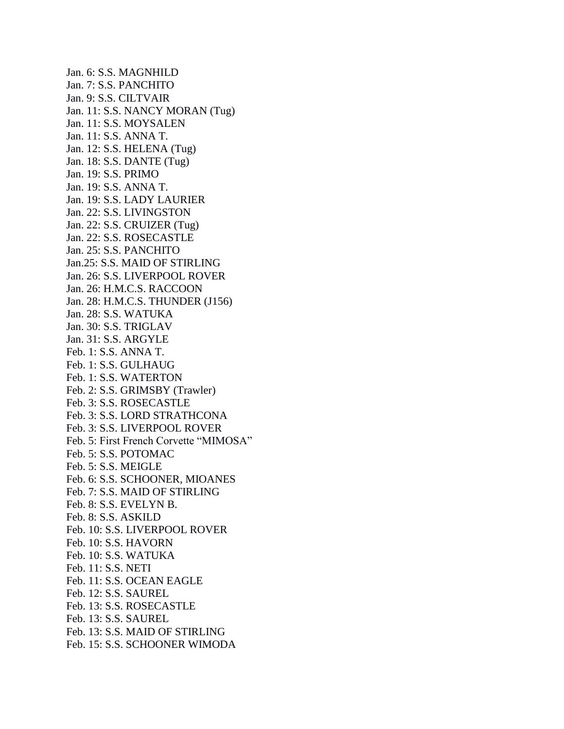Jan. 6: S.S. MAGNHILD Jan. 7: S.S. PANCHITO Jan. 9: S.S. CILTVAIR Jan. 11: S.S. NANCY MORAN (Tug) Jan. 11: S.S. MOYSALEN Jan. 11: S.S. ANNA T. Jan. 12: S.S. HELENA (Tug) Jan. 18: S.S. DANTE (Tug) Jan. 19: S.S. PRIMO Jan. 19: S.S. ANNA T. Jan. 19: S.S. LADY LAURIER Jan. 22: S.S. LIVINGSTON Jan. 22: S.S. CRUIZER (Tug) Jan. 22: S.S. ROSECASTLE Jan. 25: S.S. PANCHITO Jan.25: S.S. MAID OF STIRLING Jan. 26: S.S. LIVERPOOL ROVER Jan. 26: H.M.C.S. RACCOON Jan. 28: H.M.C.S. THUNDER (J156) Jan. 28: S.S. WATUKA Jan. 30: S.S. TRIGLAV Jan. 31: S.S. ARGYLE Feb. 1: S.S. ANNA T. Feb. 1: S.S. GULHAUG Feb. 1: S.S. WATERTON Feb. 2: S.S. GRIMSBY (Trawler) Feb. 3: S.S. ROSECASTLE Feb. 3: S.S. LORD STRATHCONA Feb. 3: S.S. LIVERPOOL ROVER Feb. 5: First French Corvette "MIMOSA" Feb. 5: S.S. POTOMAC Feb. 5: S.S. MEIGLE Feb. 6: S.S. SCHOONER, MIOANES Feb. 7: S.S. MAID OF STIRLING Feb. 8: S.S. EVELYN B. Feb. 8: S.S. ASKILD Feb. 10: S.S. LIVERPOOL ROVER Feb. 10: S.S. HAVORN Feb. 10: S.S. WATUKA Feb. 11: S.S. NETI Feb. 11: S.S. OCEAN EAGLE Feb. 12: S.S. SAUREL Feb. 13: S.S. ROSECASTLE Feb. 13: S.S. SAUREL Feb. 13: S.S. MAID OF STIRLING Feb. 15: S.S. SCHOONER WIMODA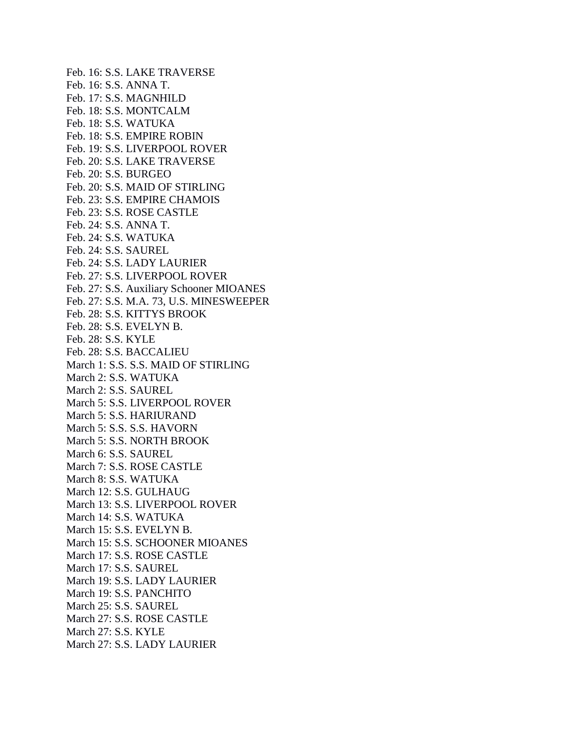Feb. 16: S.S. LAKE TRAVERSE Feb. 16: S.S. ANNA T. Feb. 17: S.S. MAGNHILD Feb. 18: S.S. MONTCALM Feb. 18: S.S. WATUKA Feb. 18: S.S. EMPIRE ROBIN Feb. 19: S.S. LIVERPOOL ROVER Feb. 20: S.S. LAKE TRAVERSE Feb. 20: S.S. BURGEO Feb. 20: S.S. MAID OF STIRLING Feb. 23: S.S. EMPIRE CHAMOIS Feb. 23: S.S. ROSE CASTLE Feb. 24: S.S. ANNA T. Feb. 24: S.S. WATUKA Feb. 24: S.S. SAUREL Feb. 24: S.S. LADY LAURIER Feb. 27: S.S. LIVERPOOL ROVER Feb. 27: S.S. Auxiliary Schooner MIOANES Feb. 27: S.S. M.A. 73, U.S. MINESWEEPER Feb. 28: S.S. KITTYS BROOK Feb. 28: S.S. EVELYN B. Feb. 28: S.S. KYLE Feb. 28: S.S. BACCALIEU March 1: S.S. S.S. MAID OF STIRLING March 2: S.S. WATUKA March 2: S.S. SAUREL March 5: S.S. LIVERPOOL ROVER March 5: S.S. HARIURAND March 5: S.S. S.S. HAVORN March 5: S.S. NORTH BROOK March 6: S.S. SAUREL March 7: S.S. ROSE CASTLE March 8: S.S. WATUKA March 12: S.S. GULHAUG March 13: S.S. LIVERPOOL ROVER March 14: S.S. WATUKA March 15: S.S. EVELYN B. March 15: S.S. SCHOONER MIOANES March 17: S.S. ROSE CASTLE March 17: S.S. SAUREL March 19: S.S. LADY LAURIER March 19: S.S. PANCHITO March 25: S.S. SAUREL March 27: S.S. ROSE CASTLE March 27: S.S. KYLE March 27: S.S. LADY LAURIER